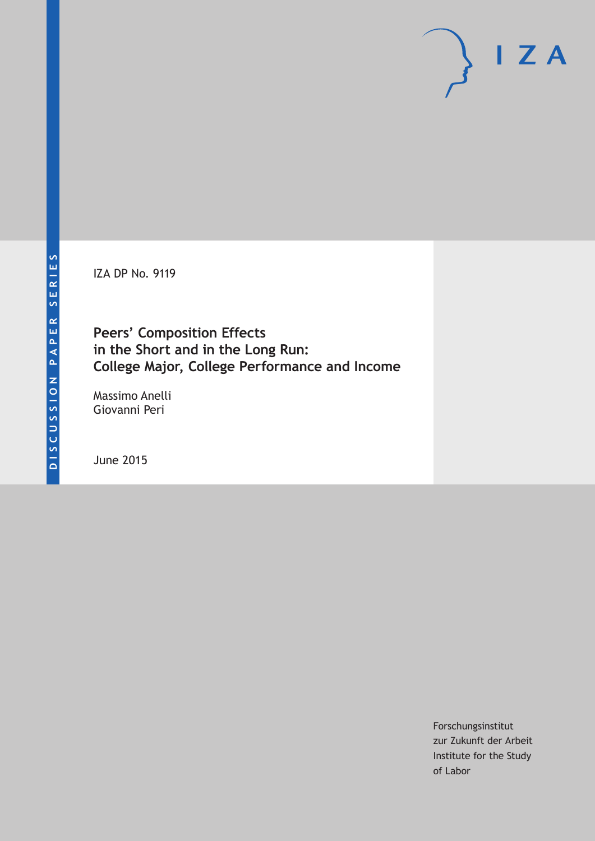IZA DP No. 9119

**Peers' Composition Effects in the Short and in the Long Run: College Major, College Performance and Income**

Massimo Anelli Giovanni Peri

June 2015

Forschungsinstitut zur Zukunft der Arbeit Institute for the Study of Labor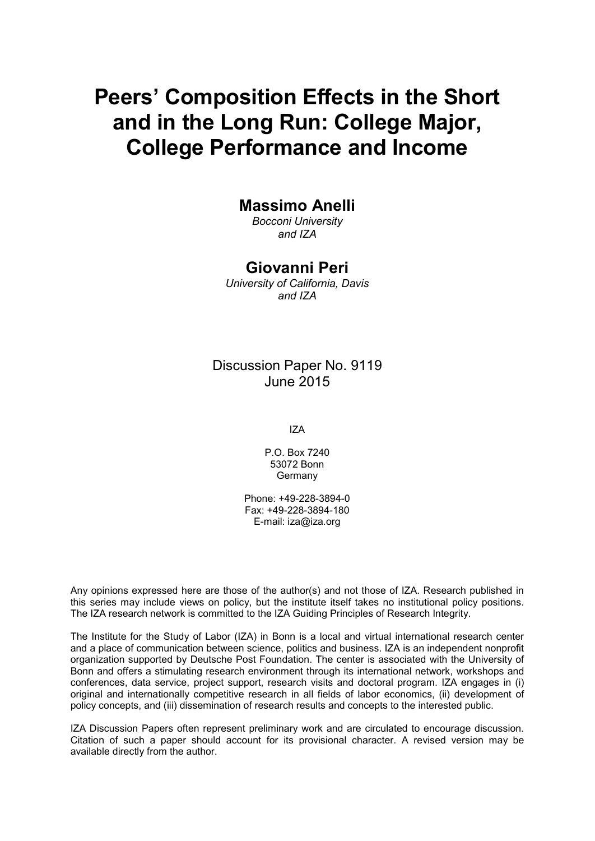# **Peers' Composition Effects in the Short and in the Long Run: College Major, College Performance and Income**

### **Massimo Anelli**

*Bocconi University and IZA*

#### **Giovanni Peri**

*University of California, Davis and IZA*

### Discussion Paper No. 9119 June 2015

IZA

P.O. Box 7240 53072 Bonn **Germany** 

Phone: +49-228-3894-0 Fax: +49-228-3894-180 E-mail: iza@iza.org

Any opinions expressed here are those of the author(s) and not those of IZA. Research published in this series may include views on policy, but the institute itself takes no institutional policy positions. The IZA research network is committed to the IZA Guiding Principles of Research Integrity.

The Institute for the Study of Labor (IZA) in Bonn is a local and virtual international research center and a place of communication between science, politics and business. IZA is an independent nonprofit organization supported by Deutsche Post Foundation. The center is associated with the University of Bonn and offers a stimulating research environment through its international network, workshops and conferences, data service, project support, research visits and doctoral program. IZA engages in (i) original and internationally competitive research in all fields of labor economics, (ii) development of policy concepts, and (iii) dissemination of research results and concepts to the interested public.

IZA Discussion Papers often represent preliminary work and are circulated to encourage discussion. Citation of such a paper should account for its provisional character. A revised version may be available directly from the author.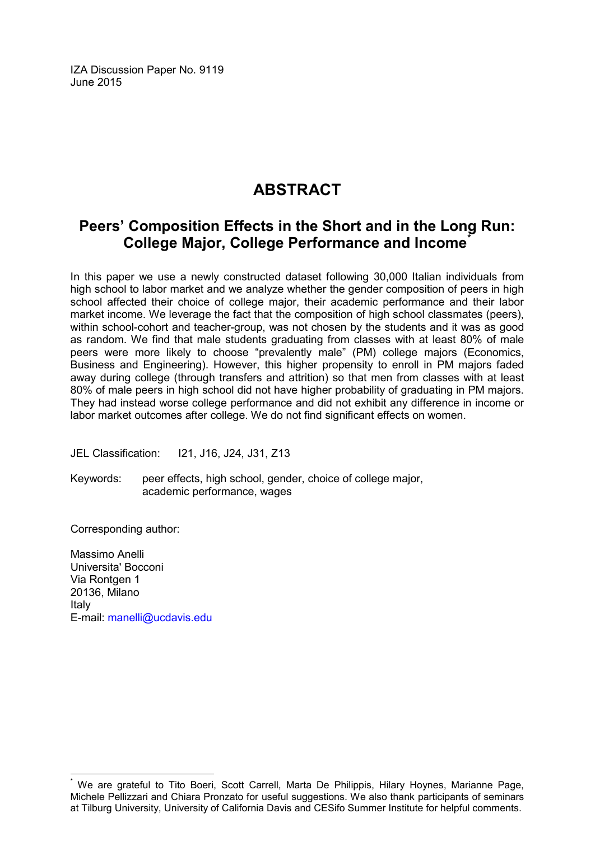IZA Discussion Paper No. 9119 June 2015

## **ABSTRACT**

### **Peers' Composition Effects in the Short and in the Long Run: College Major, College Performance and Income[\\*](#page-2-0)**

In this paper we use a newly constructed dataset following 30,000 Italian individuals from high school to labor market and we analyze whether the gender composition of peers in high school affected their choice of college major, their academic performance and their labor market income. We leverage the fact that the composition of high school classmates (peers), within school-cohort and teacher-group, was not chosen by the students and it was as good as random. We find that male students graduating from classes with at least 80% of male peers were more likely to choose "prevalently male" (PM) college majors (Economics, Business and Engineering). However, this higher propensity to enroll in PM majors faded away during college (through transfers and attrition) so that men from classes with at least 80% of male peers in high school did not have higher probability of graduating in PM majors. They had instead worse college performance and did not exhibit any difference in income or labor market outcomes after college. We do not find significant effects on women.

JEL Classification: I21, J16, J24, J31, Z13

Keywords: peer effects, high school, gender, choice of college major, academic performance, wages

Corresponding author:

Massimo Anelli Universita' Bocconi Via Rontgen 1 20136, Milano Italy E-mail: [manelli@ucdavis.edu](mailto:manelli@ucdavis.edu)

<span id="page-2-0"></span>We are grateful to Tito Boeri, Scott Carrell, Marta De Philippis, Hilary Hoynes, Marianne Page, Michele Pellizzari and Chiara Pronzato for useful suggestions. We also thank participants of seminars at Tilburg University, University of California Davis and CESifo Summer Institute for helpful comments.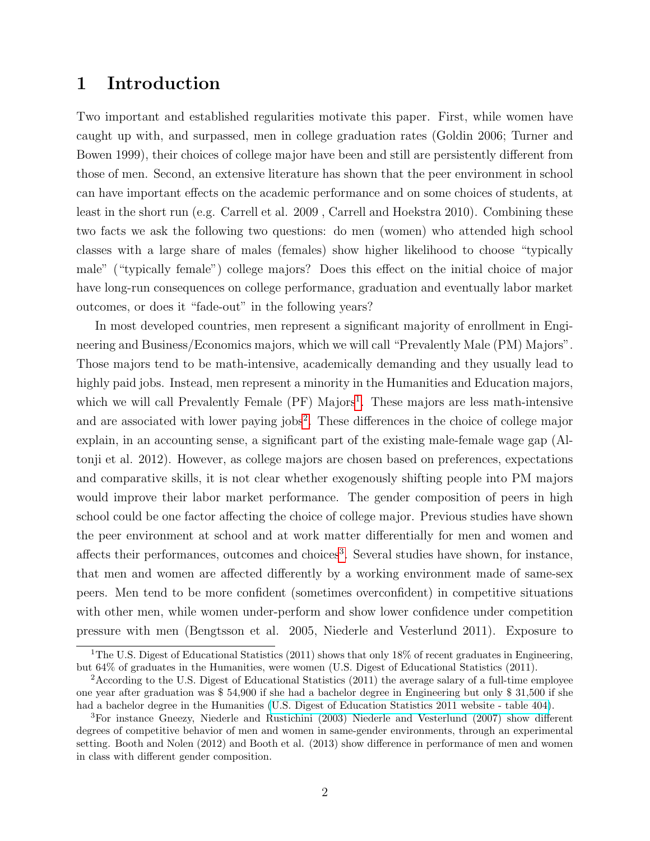### 1 Introduction

Two important and established regularities motivate this paper. First, while women have caught up with, and surpassed, men in college graduation rates (Goldin 2006; Turner and Bowen 1999), their choices of college major have been and still are persistently different from those of men. Second, an extensive literature has shown that the peer environment in school can have important effects on the academic performance and on some choices of students, at least in the short run (e.g. Carrell et al. 2009 , Carrell and Hoekstra 2010). Combining these two facts we ask the following two questions: do men (women) who attended high school classes with a large share of males (females) show higher likelihood to choose "typically male" ("typically female") college majors? Does this effect on the initial choice of major have long-run consequences on college performance, graduation and eventually labor market outcomes, or does it "fade-out" in the following years?

In most developed countries, men represent a significant majority of enrollment in Engineering and Business/Economics majors, which we will call "Prevalently Male (PM) Majors". Those majors tend to be math-intensive, academically demanding and they usually lead to highly paid jobs. Instead, men represent a minority in the Humanities and Education majors, which we will call Prevalently Female (PF) Majors<sup>[1](#page-3-0)</sup>. These majors are less math-intensive and are associated with lower paying jobs<sup>[2](#page-3-1)</sup>. These differences in the choice of college major explain, in an accounting sense, a significant part of the existing male-female wage gap (Altonji et al. 2012). However, as college majors are chosen based on preferences, expectations and comparative skills, it is not clear whether exogenously shifting people into PM majors would improve their labor market performance. The gender composition of peers in high school could be one factor affecting the choice of college major. Previous studies have shown the peer environment at school and at work matter differentially for men and women and affects their performances, outcomes and choices<sup>[3](#page-3-2)</sup>. Several studies have shown, for instance, that men and women are affected differently by a working environment made of same-sex peers. Men tend to be more confident (sometimes overconfident) in competitive situations with other men, while women under-perform and show lower confidence under competition pressure with men (Bengtsson et al. 2005, Niederle and Vesterlund 2011). Exposure to

<span id="page-3-0"></span><sup>&</sup>lt;sup>1</sup>The U.S. Digest of Educational Statistics (2011) shows that only 18% of recent graduates in Engineering, but 64% of graduates in the Humanities, were women (U.S. Digest of Educational Statistics (2011).

<span id="page-3-1"></span><sup>&</sup>lt;sup>2</sup>According to the U.S. Digest of Educational Statistics (2011) the average salary of a full-time employee one year after graduation was \$ 54,900 if she had a bachelor degree in Engineering but only \$ 31,500 if she had a bachelor degree in the Humanities [\(U.S. Digest of Education Statistics 2011 website - table 404\)](http://nces.ed.gov/programs/digest/d11/tables/dt11_404.asp).

<span id="page-3-2"></span><sup>3</sup>For instance Gneezy, Niederle and Rustichini (2003) Niederle and Vesterlund (2007) show different degrees of competitive behavior of men and women in same-gender environments, through an experimental setting. Booth and Nolen (2012) and Booth et al. (2013) show difference in performance of men and women in class with different gender composition.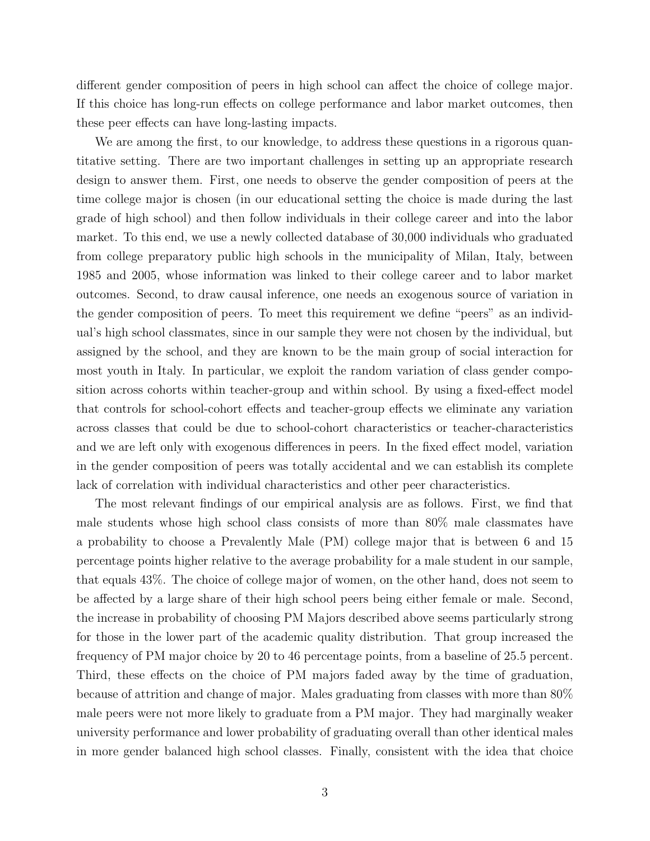different gender composition of peers in high school can affect the choice of college major. If this choice has long-run effects on college performance and labor market outcomes, then these peer effects can have long-lasting impacts.

We are among the first, to our knowledge, to address these questions in a rigorous quantitative setting. There are two important challenges in setting up an appropriate research design to answer them. First, one needs to observe the gender composition of peers at the time college major is chosen (in our educational setting the choice is made during the last grade of high school) and then follow individuals in their college career and into the labor market. To this end, we use a newly collected database of 30,000 individuals who graduated from college preparatory public high schools in the municipality of Milan, Italy, between 1985 and 2005, whose information was linked to their college career and to labor market outcomes. Second, to draw causal inference, one needs an exogenous source of variation in the gender composition of peers. To meet this requirement we define "peers" as an individual's high school classmates, since in our sample they were not chosen by the individual, but assigned by the school, and they are known to be the main group of social interaction for most youth in Italy. In particular, we exploit the random variation of class gender composition across cohorts within teacher-group and within school. By using a fixed-effect model that controls for school-cohort effects and teacher-group effects we eliminate any variation across classes that could be due to school-cohort characteristics or teacher-characteristics and we are left only with exogenous differences in peers. In the fixed effect model, variation in the gender composition of peers was totally accidental and we can establish its complete lack of correlation with individual characteristics and other peer characteristics.

The most relevant findings of our empirical analysis are as follows. First, we find that male students whose high school class consists of more than 80% male classmates have a probability to choose a Prevalently Male (PM) college major that is between 6 and 15 percentage points higher relative to the average probability for a male student in our sample, that equals 43%. The choice of college major of women, on the other hand, does not seem to be affected by a large share of their high school peers being either female or male. Second, the increase in probability of choosing PM Majors described above seems particularly strong for those in the lower part of the academic quality distribution. That group increased the frequency of PM major choice by 20 to 46 percentage points, from a baseline of 25.5 percent. Third, these effects on the choice of PM majors faded away by the time of graduation, because of attrition and change of major. Males graduating from classes with more than 80% male peers were not more likely to graduate from a PM major. They had marginally weaker university performance and lower probability of graduating overall than other identical males in more gender balanced high school classes. Finally, consistent with the idea that choice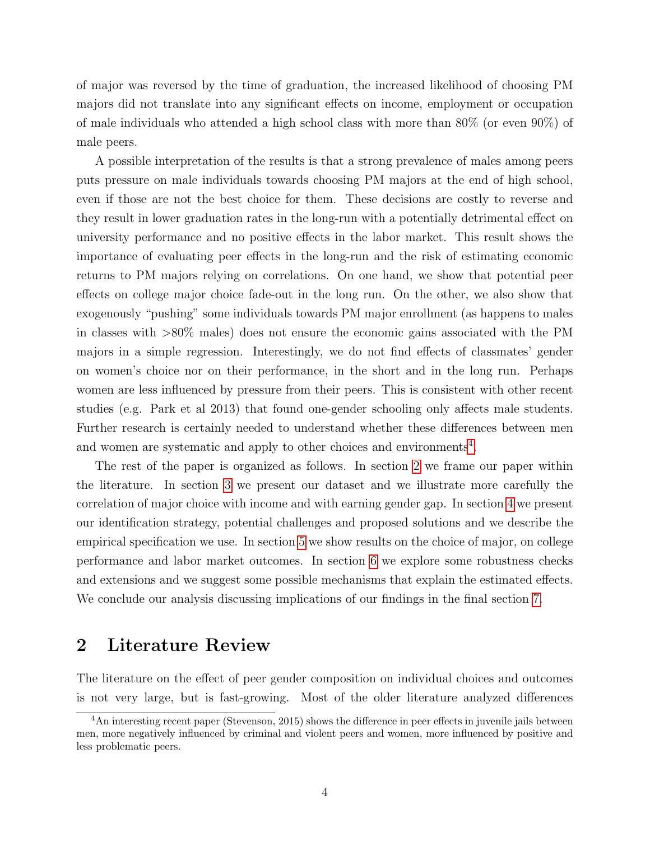of major was reversed by the time of graduation, the increased likelihood of choosing PM majors did not translate into any significant effects on income, employment or occupation of male individuals who attended a high school class with more than 80% (or even 90%) of male peers.

A possible interpretation of the results is that a strong prevalence of males among peers puts pressure on male individuals towards choosing PM majors at the end of high school, even if those are not the best choice for them. These decisions are costly to reverse and they result in lower graduation rates in the long-run with a potentially detrimental effect on university performance and no positive effects in the labor market. This result shows the importance of evaluating peer effects in the long-run and the risk of estimating economic returns to PM majors relying on correlations. On one hand, we show that potential peer effects on college major choice fade-out in the long run. On the other, we also show that exogenously "pushing" some individuals towards PM major enrollment (as happens to males in classes with >80% males) does not ensure the economic gains associated with the PM majors in a simple regression. Interestingly, we do not find effects of classmates' gender on women's choice nor on their performance, in the short and in the long run. Perhaps women are less influenced by pressure from their peers. This is consistent with other recent studies (e.g. Park et al 2013) that found one-gender schooling only affects male students. Further research is certainly needed to understand whether these differences between men and women are systematic and apply to other choices and environments<sup>[4](#page-5-0)</sup>.

The rest of the paper is organized as follows. In section [2](#page-5-1) we frame our paper within the literature. In section [3](#page-8-0) we present our dataset and we illustrate more carefully the correlation of major choice with income and with earning gender gap. In section [4](#page-14-0) we present our identification strategy, potential challenges and proposed solutions and we describe the empirical specification we use. In section [5](#page-20-0) we show results on the choice of major, on college performance and labor market outcomes. In section [6](#page-28-0) we explore some robustness checks and extensions and we suggest some possible mechanisms that explain the estimated effects. We conclude our analysis discussing implications of our findings in the final section [7.](#page-30-0)

### <span id="page-5-1"></span>2 Literature Review

The literature on the effect of peer gender composition on individual choices and outcomes is not very large, but is fast-growing. Most of the older literature analyzed differences

<span id="page-5-0"></span><sup>&</sup>lt;sup>4</sup>An interesting recent paper (Stevenson, 2015) shows the difference in peer effects in juvenile jails between men, more negatively influenced by criminal and violent peers and women, more influenced by positive and less problematic peers.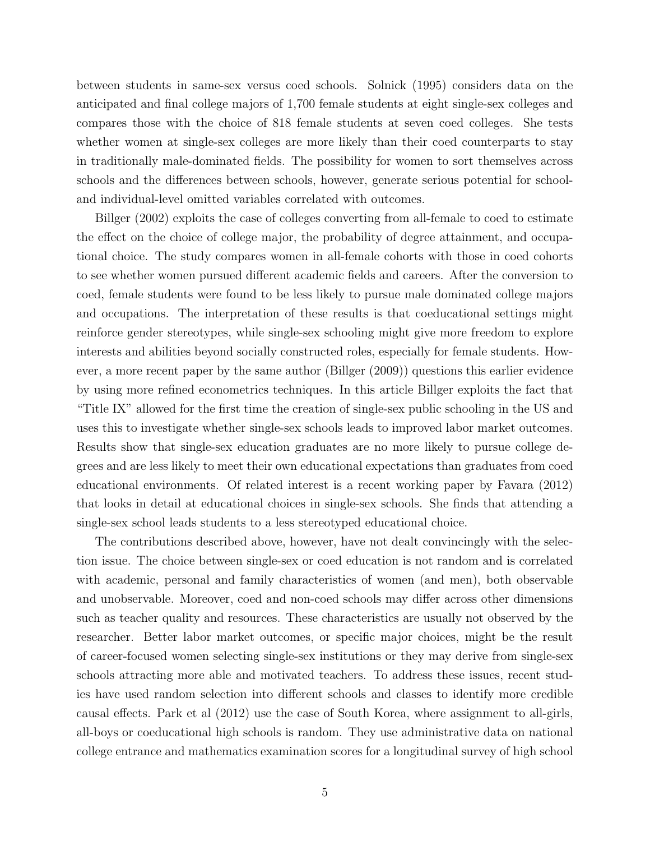between students in same-sex versus coed schools. Solnick (1995) considers data on the anticipated and final college majors of 1,700 female students at eight single-sex colleges and compares those with the choice of 818 female students at seven coed colleges. She tests whether women at single-sex colleges are more likely than their coed counterparts to stay in traditionally male-dominated fields. The possibility for women to sort themselves across schools and the differences between schools, however, generate serious potential for schooland individual-level omitted variables correlated with outcomes.

Billger (2002) exploits the case of colleges converting from all-female to coed to estimate the effect on the choice of college major, the probability of degree attainment, and occupational choice. The study compares women in all-female cohorts with those in coed cohorts to see whether women pursued different academic fields and careers. After the conversion to coed, female students were found to be less likely to pursue male dominated college majors and occupations. The interpretation of these results is that coeducational settings might reinforce gender stereotypes, while single-sex schooling might give more freedom to explore interests and abilities beyond socially constructed roles, especially for female students. However, a more recent paper by the same author (Billger (2009)) questions this earlier evidence by using more refined econometrics techniques. In this article Billger exploits the fact that "Title IX" allowed for the first time the creation of single-sex public schooling in the US and uses this to investigate whether single-sex schools leads to improved labor market outcomes. Results show that single-sex education graduates are no more likely to pursue college degrees and are less likely to meet their own educational expectations than graduates from coed educational environments. Of related interest is a recent working paper by Favara (2012) that looks in detail at educational choices in single-sex schools. She finds that attending a single-sex school leads students to a less stereotyped educational choice.

The contributions described above, however, have not dealt convincingly with the selection issue. The choice between single-sex or coed education is not random and is correlated with academic, personal and family characteristics of women (and men), both observable and unobservable. Moreover, coed and non-coed schools may differ across other dimensions such as teacher quality and resources. These characteristics are usually not observed by the researcher. Better labor market outcomes, or specific major choices, might be the result of career-focused women selecting single-sex institutions or they may derive from single-sex schools attracting more able and motivated teachers. To address these issues, recent studies have used random selection into different schools and classes to identify more credible causal effects. Park et al (2012) use the case of South Korea, where assignment to all-girls, all-boys or coeducational high schools is random. They use administrative data on national college entrance and mathematics examination scores for a longitudinal survey of high school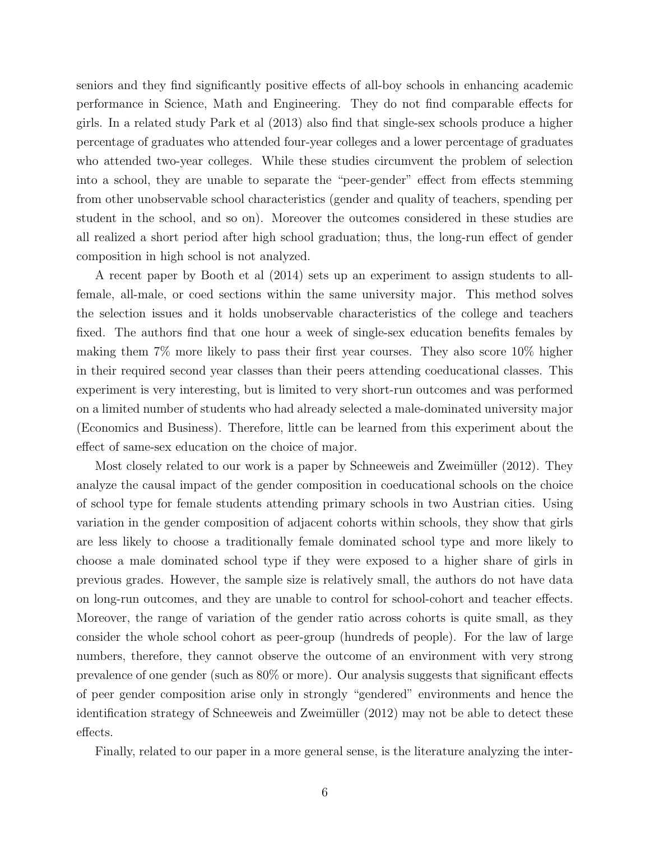seniors and they find significantly positive effects of all-boy schools in enhancing academic performance in Science, Math and Engineering. They do not find comparable effects for girls. In a related study Park et al (2013) also find that single-sex schools produce a higher percentage of graduates who attended four-year colleges and a lower percentage of graduates who attended two-year colleges. While these studies circumvent the problem of selection into a school, they are unable to separate the "peer-gender" effect from effects stemming from other unobservable school characteristics (gender and quality of teachers, spending per student in the school, and so on). Moreover the outcomes considered in these studies are all realized a short period after high school graduation; thus, the long-run effect of gender composition in high school is not analyzed.

A recent paper by Booth et al (2014) sets up an experiment to assign students to allfemale, all-male, or coed sections within the same university major. This method solves the selection issues and it holds unobservable characteristics of the college and teachers fixed. The authors find that one hour a week of single-sex education benefits females by making them 7% more likely to pass their first year courses. They also score 10% higher in their required second year classes than their peers attending coeducational classes. This experiment is very interesting, but is limited to very short-run outcomes and was performed on a limited number of students who had already selected a male-dominated university major (Economics and Business). Therefore, little can be learned from this experiment about the effect of same-sex education on the choice of major.

Most closely related to our work is a paper by Schneeweis and Zweimüller (2012). They analyze the causal impact of the gender composition in coeducational schools on the choice of school type for female students attending primary schools in two Austrian cities. Using variation in the gender composition of adjacent cohorts within schools, they show that girls are less likely to choose a traditionally female dominated school type and more likely to choose a male dominated school type if they were exposed to a higher share of girls in previous grades. However, the sample size is relatively small, the authors do not have data on long-run outcomes, and they are unable to control for school-cohort and teacher effects. Moreover, the range of variation of the gender ratio across cohorts is quite small, as they consider the whole school cohort as peer-group (hundreds of people). For the law of large numbers, therefore, they cannot observe the outcome of an environment with very strong prevalence of one gender (such as 80% or more). Our analysis suggests that significant effects of peer gender composition arise only in strongly "gendered" environments and hence the identification strategy of Schneeweis and Zweim¨uller (2012) may not be able to detect these effects.

Finally, related to our paper in a more general sense, is the literature analyzing the inter-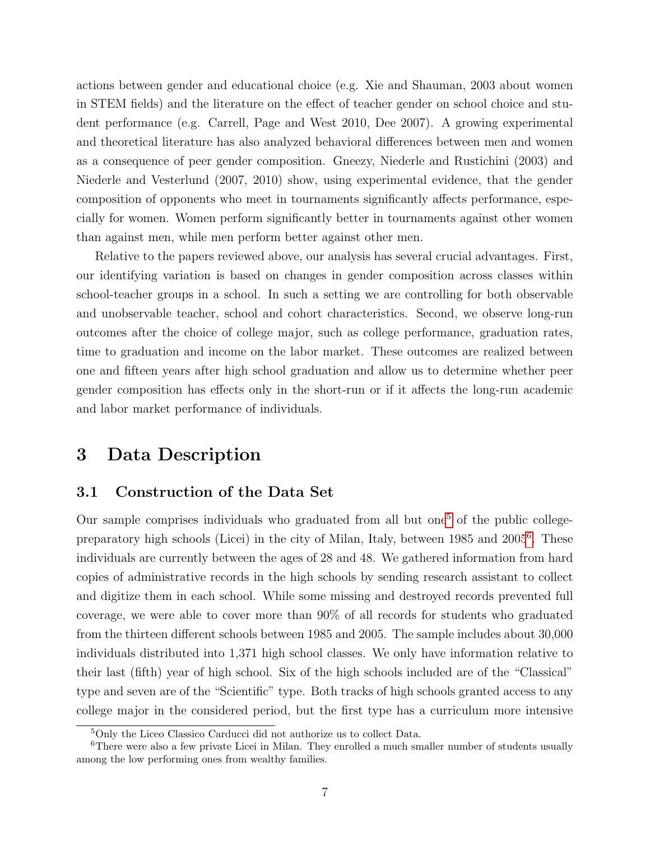actions between gender and educational choice (e.g. Xie and Shauman, 2003 about women in STEM fields) and the literature on the effect of teacher gender on school choice and student performance (e.g. Carrell, Page and West 2010, Dee 2007). A growing experimental and theoretical literature has also analyzed behavioral differences between men and women as a consequence of peer gender composition. Gneezy, Niederle and Rustichini (2003) and Niederle and Vesterlund (2007, 2010) show, using experimental evidence, that the gender composition of opponents who meet in tournaments significantly affects performance, especially for women. Women perform significantly better in tournaments against other women than against men, while men perform better against other men.

Relative to the papers reviewed above, our analysis has several crucial advantages. First, our identifying variation is based on changes in gender composition across classes within school-teacher groups in a school. In such a setting we are controlling for both observable and unobservable teacher, school and cohort characteristics. Second, we observe long-run outcomes after the choice of college major, such as college performance, graduation rates, time to graduation and income on the labor market. These outcomes are realized between one and fifteen years after high school graduation and allow us to determine whether peer gender composition has effects only in the short-run or if it affects the long-run academic and labor market performance of individuals.

### <span id="page-8-0"></span>3 Data Description

#### 3.1 Construction of the Data Set

Our sample comprises individuals who graduated from all but one<sup>[5](#page-8-1)</sup> of the public collegepreparatory high schools (Licei) in the city of Milan, Italy, between 1985 and 2005[6](#page-8-2) . These individuals are currently between the ages of 28 and 48. We gathered information from hard copies of administrative records in the high schools by sending research assistant to collect and digitize them in each school. While some missing and destroyed records prevented full coverage, we were able to cover more than 90% of all records for students who graduated from the thirteen different schools between 1985 and 2005. The sample includes about 30,000 individuals distributed into 1,371 high school classes. We only have information relative to their last (fifth) year of high school. Six of the high schools included are of the "Classical" type and seven are of the "Scientific" type. Both tracks of high schools granted access to any college major in the considered period, but the first type has a curriculum more intensive

<span id="page-8-2"></span><span id="page-8-1"></span><sup>5</sup>Only the Liceo Classico Carducci did not authorize us to collect Data.

<sup>&</sup>lt;sup>6</sup>There were also a few private Licei in Milan. They enrolled a much smaller number of students usually among the low performing ones from wealthy families.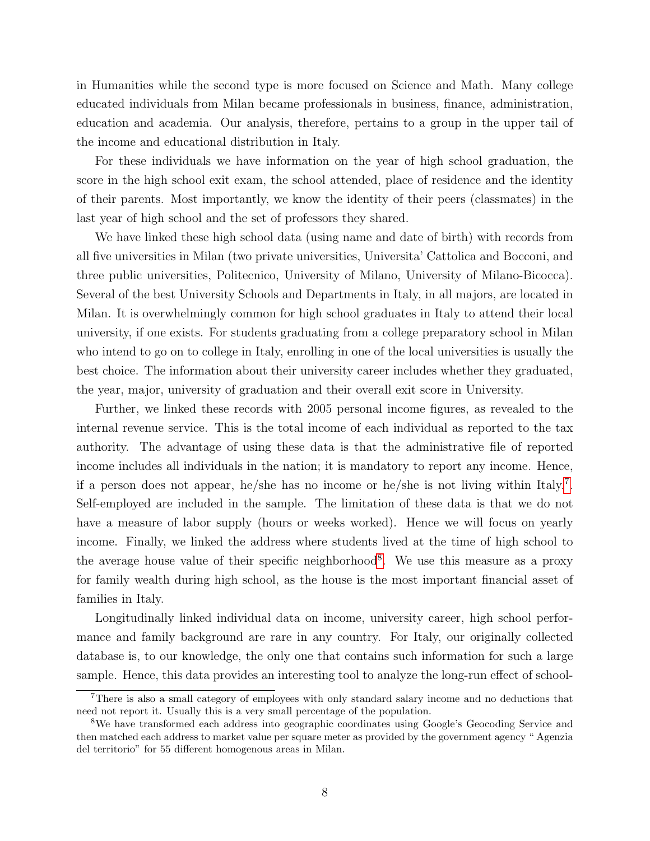in Humanities while the second type is more focused on Science and Math. Many college educated individuals from Milan became professionals in business, finance, administration, education and academia. Our analysis, therefore, pertains to a group in the upper tail of the income and educational distribution in Italy.

For these individuals we have information on the year of high school graduation, the score in the high school exit exam, the school attended, place of residence and the identity of their parents. Most importantly, we know the identity of their peers (classmates) in the last year of high school and the set of professors they shared.

We have linked these high school data (using name and date of birth) with records from all five universities in Milan (two private universities, Universita' Cattolica and Bocconi, and three public universities, Politecnico, University of Milano, University of Milano-Bicocca). Several of the best University Schools and Departments in Italy, in all majors, are located in Milan. It is overwhelmingly common for high school graduates in Italy to attend their local university, if one exists. For students graduating from a college preparatory school in Milan who intend to go on to college in Italy, enrolling in one of the local universities is usually the best choice. The information about their university career includes whether they graduated, the year, major, university of graduation and their overall exit score in University.

Further, we linked these records with 2005 personal income figures, as revealed to the internal revenue service. This is the total income of each individual as reported to the tax authority. The advantage of using these data is that the administrative file of reported income includes all individuals in the nation; it is mandatory to report any income. Hence, if a person does not appear, he/she has no income or he/she is not living within Italy.[7](#page-9-0) . Self-employed are included in the sample. The limitation of these data is that we do not have a measure of labor supply (hours or weeks worked). Hence we will focus on yearly income. Finally, we linked the address where students lived at the time of high school to the average house value of their specific neighborhood<sup>[8](#page-9-1)</sup>. We use this measure as a proxy for family wealth during high school, as the house is the most important financial asset of families in Italy.

Longitudinally linked individual data on income, university career, high school performance and family background are rare in any country. For Italy, our originally collected database is, to our knowledge, the only one that contains such information for such a large sample. Hence, this data provides an interesting tool to analyze the long-run effect of school-

<span id="page-9-0"></span><sup>7</sup>There is also a small category of employees with only standard salary income and no deductions that need not report it. Usually this is a very small percentage of the population.

<span id="page-9-1"></span><sup>8</sup>We have transformed each address into geographic coordinates using Google's Geocoding Service and then matched each address to market value per square meter as provided by the government agency " Agenzia del territorio" for 55 different homogenous areas in Milan.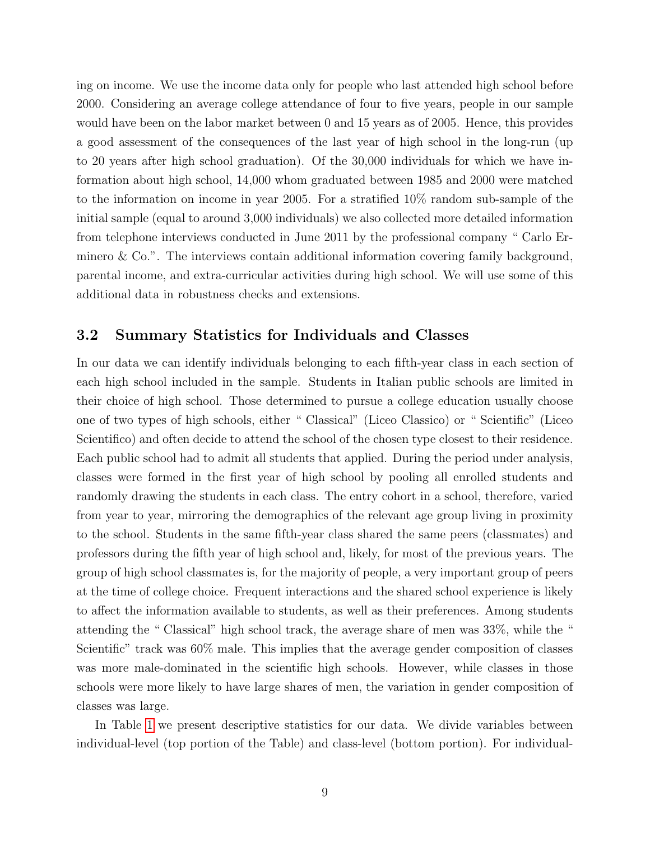ing on income. We use the income data only for people who last attended high school before 2000. Considering an average college attendance of four to five years, people in our sample would have been on the labor market between 0 and 15 years as of 2005. Hence, this provides a good assessment of the consequences of the last year of high school in the long-run (up to 20 years after high school graduation). Of the 30,000 individuals for which we have information about high school, 14,000 whom graduated between 1985 and 2000 were matched to the information on income in year 2005. For a stratified 10% random sub-sample of the initial sample (equal to around 3,000 individuals) we also collected more detailed information from telephone interviews conducted in June 2011 by the professional company " Carlo Erminero & Co.". The interviews contain additional information covering family background, parental income, and extra-curricular activities during high school. We will use some of this additional data in robustness checks and extensions.

#### 3.2 Summary Statistics for Individuals and Classes

In our data we can identify individuals belonging to each fifth-year class in each section of each high school included in the sample. Students in Italian public schools are limited in their choice of high school. Those determined to pursue a college education usually choose one of two types of high schools, either " Classical" (Liceo Classico) or " Scientific" (Liceo Scientifico) and often decide to attend the school of the chosen type closest to their residence. Each public school had to admit all students that applied. During the period under analysis, classes were formed in the first year of high school by pooling all enrolled students and randomly drawing the students in each class. The entry cohort in a school, therefore, varied from year to year, mirroring the demographics of the relevant age group living in proximity to the school. Students in the same fifth-year class shared the same peers (classmates) and professors during the fifth year of high school and, likely, for most of the previous years. The group of high school classmates is, for the majority of people, a very important group of peers at the time of college choice. Frequent interactions and the shared school experience is likely to affect the information available to students, as well as their preferences. Among students attending the " Classical" high school track, the average share of men was 33%, while the " Scientific" track was  $60\%$  male. This implies that the average gender composition of classes was more male-dominated in the scientific high schools. However, while classes in those schools were more likely to have large shares of men, the variation in gender composition of classes was large.

In Table [1](#page-37-0) we present descriptive statistics for our data. We divide variables between individual-level (top portion of the Table) and class-level (bottom portion). For individual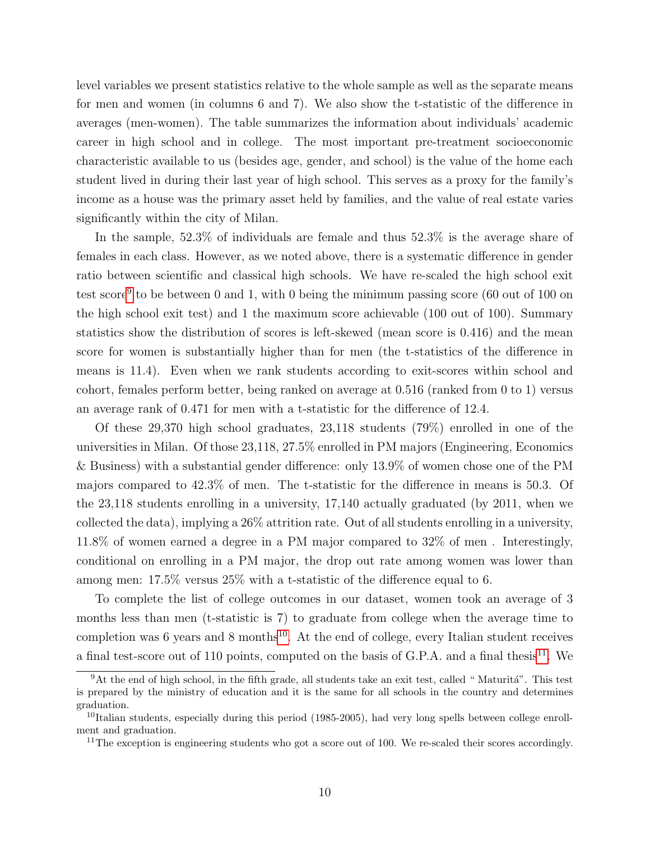level variables we present statistics relative to the whole sample as well as the separate means for men and women (in columns 6 and 7). We also show the t-statistic of the difference in averages (men-women). The table summarizes the information about individuals' academic career in high school and in college. The most important pre-treatment socioeconomic characteristic available to us (besides age, gender, and school) is the value of the home each student lived in during their last year of high school. This serves as a proxy for the family's income as a house was the primary asset held by families, and the value of real estate varies significantly within the city of Milan.

In the sample, 52.3% of individuals are female and thus 52.3% is the average share of females in each class. However, as we noted above, there is a systematic difference in gender ratio between scientific and classical high schools. We have re-scaled the high school exit test score<sup>[9](#page-11-0)</sup> to be between 0 and 1, with 0 being the minimum passing score (60 out of 100 on the high school exit test) and 1 the maximum score achievable (100 out of 100). Summary statistics show the distribution of scores is left-skewed (mean score is 0.416) and the mean score for women is substantially higher than for men (the t-statistics of the difference in means is 11.4). Even when we rank students according to exit-scores within school and cohort, females perform better, being ranked on average at 0.516 (ranked from 0 to 1) versus an average rank of 0.471 for men with a t-statistic for the difference of 12.4.

Of these 29,370 high school graduates, 23,118 students (79%) enrolled in one of the universities in Milan. Of those 23,118, 27.5% enrolled in PM majors (Engineering, Economics & Business) with a substantial gender difference: only 13.9% of women chose one of the PM majors compared to 42.3% of men. The t-statistic for the difference in means is 50.3. Of the 23,118 students enrolling in a university, 17,140 actually graduated (by 2011, when we collected the data), implying a 26% attrition rate. Out of all students enrolling in a university, 11.8% of women earned a degree in a PM major compared to 32% of men . Interestingly, conditional on enrolling in a PM major, the drop out rate among women was lower than among men: 17.5% versus 25% with a t-statistic of the difference equal to 6.

To complete the list of college outcomes in our dataset, women took an average of 3 months less than men (t-statistic is 7) to graduate from college when the average time to completion was 6 years and 8 months<sup>[10](#page-11-1)</sup>. At the end of college, every Italian student receives a final test-score out of [11](#page-11-2)0 points, computed on the basis of G.P.A. and a final thesis<sup>11</sup>. We

<span id="page-11-0"></span> $9$ At the end of high school, in the fifth grade, all students take an exit test, called "Maturitá". This test is prepared by the ministry of education and it is the same for all schools in the country and determines graduation.

<span id="page-11-1"></span> $10$ Italian students, especially during this period (1985-2005), had very long spells between college enrollment and graduation.

<span id="page-11-2"></span><sup>&</sup>lt;sup>11</sup>The exception is engineering students who got a score out of 100. We re-scaled their scores accordingly.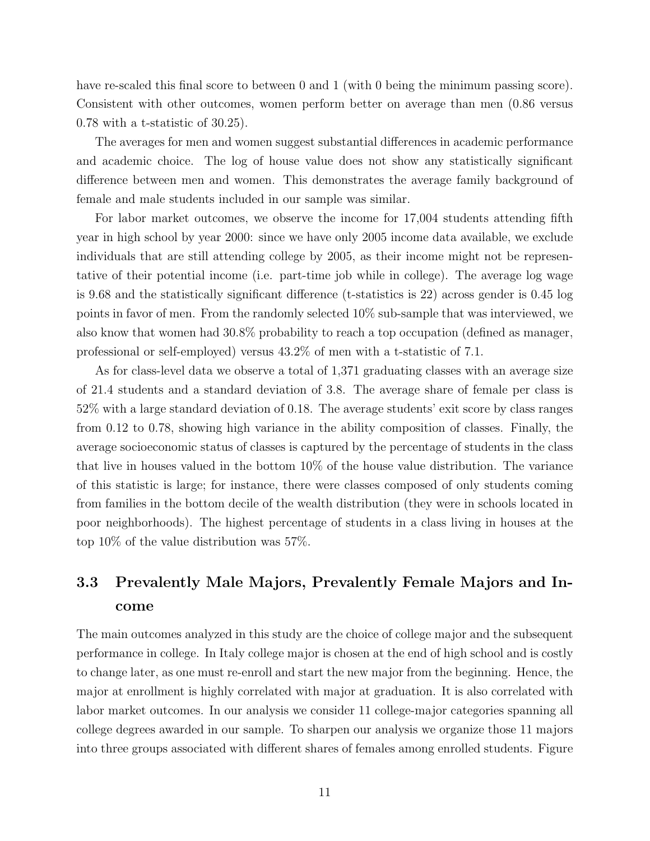have re-scaled this final score to between 0 and 1 (with 0 being the minimum passing score). Consistent with other outcomes, women perform better on average than men (0.86 versus 0.78 with a t-statistic of 30.25).

The averages for men and women suggest substantial differences in academic performance and academic choice. The log of house value does not show any statistically significant difference between men and women. This demonstrates the average family background of female and male students included in our sample was similar.

For labor market outcomes, we observe the income for 17,004 students attending fifth year in high school by year 2000: since we have only 2005 income data available, we exclude individuals that are still attending college by 2005, as their income might not be representative of their potential income (i.e. part-time job while in college). The average log wage is 9.68 and the statistically significant difference (t-statistics is 22) across gender is 0.45 log points in favor of men. From the randomly selected 10% sub-sample that was interviewed, we also know that women had 30.8% probability to reach a top occupation (defined as manager, professional or self-employed) versus 43.2% of men with a t-statistic of 7.1.

As for class-level data we observe a total of 1,371 graduating classes with an average size of 21.4 students and a standard deviation of 3.8. The average share of female per class is 52% with a large standard deviation of 0.18. The average students' exit score by class ranges from 0.12 to 0.78, showing high variance in the ability composition of classes. Finally, the average socioeconomic status of classes is captured by the percentage of students in the class that live in houses valued in the bottom 10% of the house value distribution. The variance of this statistic is large; for instance, there were classes composed of only students coming from families in the bottom decile of the wealth distribution (they were in schools located in poor neighborhoods). The highest percentage of students in a class living in houses at the top 10% of the value distribution was 57%.

### 3.3 Prevalently Male Majors, Prevalently Female Majors and Income

The main outcomes analyzed in this study are the choice of college major and the subsequent performance in college. In Italy college major is chosen at the end of high school and is costly to change later, as one must re-enroll and start the new major from the beginning. Hence, the major at enrollment is highly correlated with major at graduation. It is also correlated with labor market outcomes. In our analysis we consider 11 college-major categories spanning all college degrees awarded in our sample. To sharpen our analysis we organize those 11 majors into three groups associated with different shares of females among enrolled students. Figure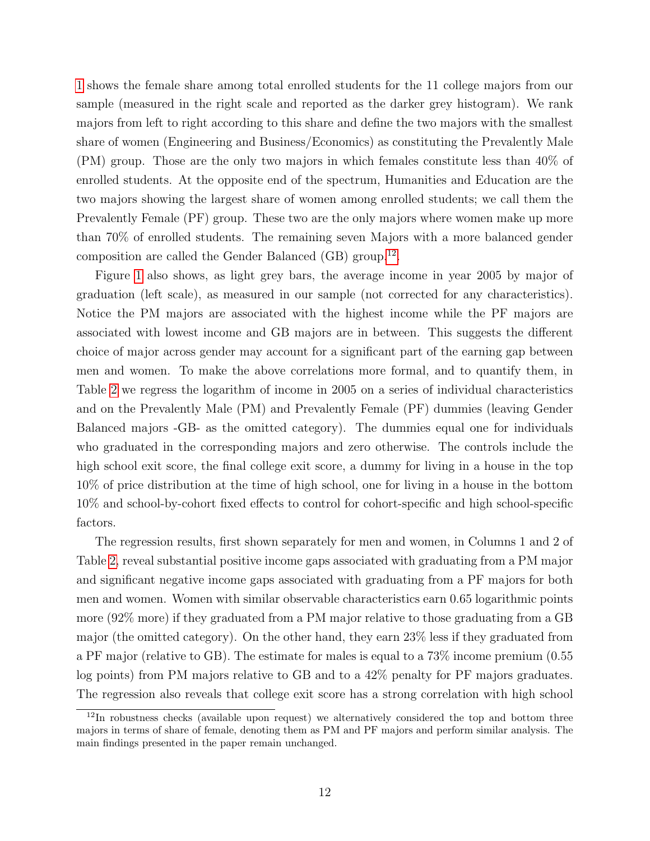[1](#page-35-0) shows the female share among total enrolled students for the 11 college majors from our sample (measured in the right scale and reported as the darker grey histogram). We rank majors from left to right according to this share and define the two majors with the smallest share of women (Engineering and Business/Economics) as constituting the Prevalently Male (PM) group. Those are the only two majors in which females constitute less than 40% of enrolled students. At the opposite end of the spectrum, Humanities and Education are the two majors showing the largest share of women among enrolled students; we call them the Prevalently Female (PF) group. These two are the only majors where women make up more than 70% of enrolled students. The remaining seven Majors with a more balanced gender composition are called the Gender Balanced (GB) group.[12](#page-13-0) .

Figure [1](#page-35-0) also shows, as light grey bars, the average income in year 2005 by major of graduation (left scale), as measured in our sample (not corrected for any characteristics). Notice the PM majors are associated with the highest income while the PF majors are associated with lowest income and GB majors are in between. This suggests the different choice of major across gender may account for a significant part of the earning gap between men and women. To make the above correlations more formal, and to quantify them, in Table [2](#page-38-0) we regress the logarithm of income in 2005 on a series of individual characteristics and on the Prevalently Male (PM) and Prevalently Female (PF) dummies (leaving Gender Balanced majors -GB- as the omitted category). The dummies equal one for individuals who graduated in the corresponding majors and zero otherwise. The controls include the high school exit score, the final college exit score, a dummy for living in a house in the top 10% of price distribution at the time of high school, one for living in a house in the bottom 10% and school-by-cohort fixed effects to control for cohort-specific and high school-specific factors.

The regression results, first shown separately for men and women, in Columns 1 and 2 of Table [2,](#page-38-0) reveal substantial positive income gaps associated with graduating from a PM major and significant negative income gaps associated with graduating from a PF majors for both men and women. Women with similar observable characteristics earn 0.65 logarithmic points more (92% more) if they graduated from a PM major relative to those graduating from a GB major (the omitted category). On the other hand, they earn 23% less if they graduated from a PF major (relative to GB). The estimate for males is equal to a 73% income premium (0.55 log points) from PM majors relative to GB and to a 42% penalty for PF majors graduates. The regression also reveals that college exit score has a strong correlation with high school

<span id="page-13-0"></span><sup>&</sup>lt;sup>12</sup>In robustness checks (available upon request) we alternatively considered the top and bottom three majors in terms of share of female, denoting them as PM and PF majors and perform similar analysis. The main findings presented in the paper remain unchanged.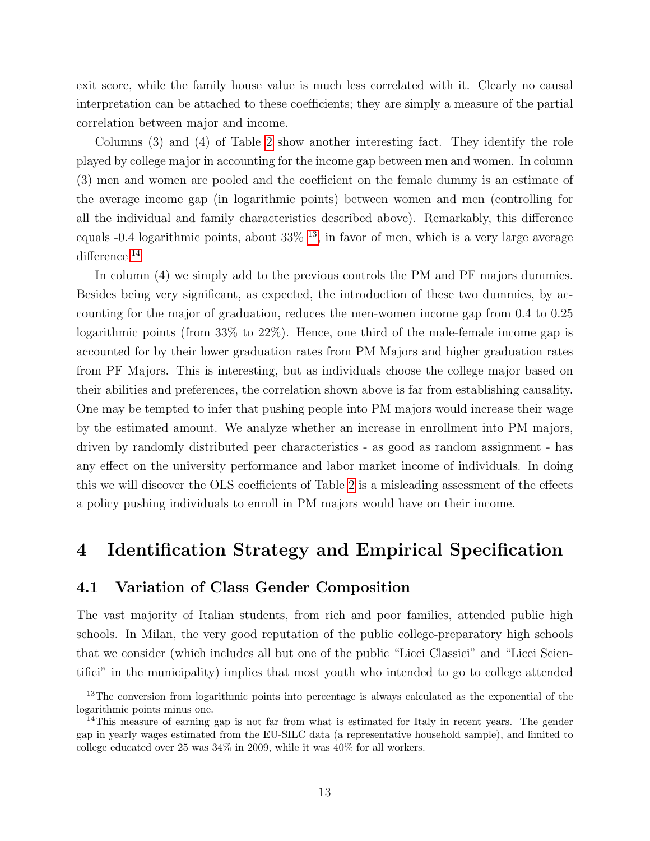exit score, while the family house value is much less correlated with it. Clearly no causal interpretation can be attached to these coefficients; they are simply a measure of the partial correlation between major and income.

Columns (3) and (4) of Table [2](#page-38-0) show another interesting fact. They identify the role played by college major in accounting for the income gap between men and women. In column (3) men and women are pooled and the coefficient on the female dummy is an estimate of the average income gap (in logarithmic points) between women and men (controlling for all the individual and family characteristics described above). Remarkably, this difference equals  $-0.4$  logarithmic points, about  $33\%$  <sup>[13](#page-14-1)</sup>, in favor of men, which is a very large average difference.<sup>[14](#page-14-2)</sup>

In column (4) we simply add to the previous controls the PM and PF majors dummies. Besides being very significant, as expected, the introduction of these two dummies, by accounting for the major of graduation, reduces the men-women income gap from 0.4 to 0.25 logarithmic points (from 33% to 22%). Hence, one third of the male-female income gap is accounted for by their lower graduation rates from PM Majors and higher graduation rates from PF Majors. This is interesting, but as individuals choose the college major based on their abilities and preferences, the correlation shown above is far from establishing causality. One may be tempted to infer that pushing people into PM majors would increase their wage by the estimated amount. We analyze whether an increase in enrollment into PM majors, driven by randomly distributed peer characteristics - as good as random assignment - has any effect on the university performance and labor market income of individuals. In doing this we will discover the OLS coefficients of Table [2](#page-38-0) is a misleading assessment of the effects a policy pushing individuals to enroll in PM majors would have on their income.

### <span id="page-14-0"></span>4 Identification Strategy and Empirical Specification

#### 4.1 Variation of Class Gender Composition

The vast majority of Italian students, from rich and poor families, attended public high schools. In Milan, the very good reputation of the public college-preparatory high schools that we consider (which includes all but one of the public "Licei Classici" and "Licei Scientifici" in the municipality) implies that most youth who intended to go to college attended

<span id="page-14-1"></span><sup>&</sup>lt;sup>13</sup>The conversion from logarithmic points into percentage is always calculated as the exponential of the logarithmic points minus one.

<span id="page-14-2"></span><sup>&</sup>lt;sup>14</sup>This measure of earning gap is not far from what is estimated for Italy in recent years. The gender gap in yearly wages estimated from the EU-SILC data (a representative household sample), and limited to college educated over 25 was 34% in 2009, while it was 40% for all workers.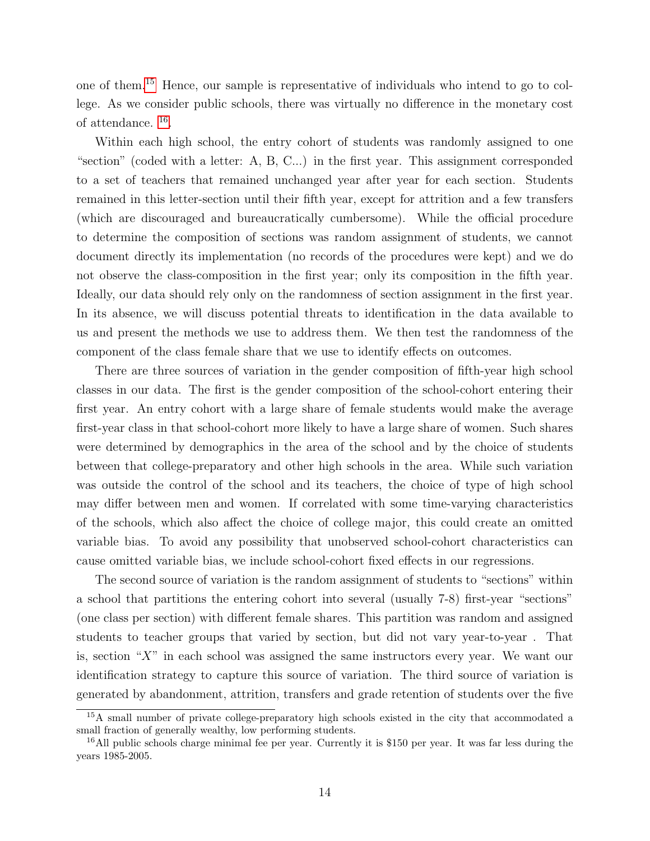one of them.[15](#page-15-0) Hence, our sample is representative of individuals who intend to go to college. As we consider public schools, there was virtually no difference in the monetary cost of attendance. [16](#page-15-1) .

Within each high school, the entry cohort of students was randomly assigned to one "section" (coded with a letter: A, B, C...) in the first year. This assignment corresponded to a set of teachers that remained unchanged year after year for each section. Students remained in this letter-section until their fifth year, except for attrition and a few transfers (which are discouraged and bureaucratically cumbersome). While the official procedure to determine the composition of sections was random assignment of students, we cannot document directly its implementation (no records of the procedures were kept) and we do not observe the class-composition in the first year; only its composition in the fifth year. Ideally, our data should rely only on the randomness of section assignment in the first year. In its absence, we will discuss potential threats to identification in the data available to us and present the methods we use to address them. We then test the randomness of the component of the class female share that we use to identify effects on outcomes.

There are three sources of variation in the gender composition of fifth-year high school classes in our data. The first is the gender composition of the school-cohort entering their first year. An entry cohort with a large share of female students would make the average first-year class in that school-cohort more likely to have a large share of women. Such shares were determined by demographics in the area of the school and by the choice of students between that college-preparatory and other high schools in the area. While such variation was outside the control of the school and its teachers, the choice of type of high school may differ between men and women. If correlated with some time-varying characteristics of the schools, which also affect the choice of college major, this could create an omitted variable bias. To avoid any possibility that unobserved school-cohort characteristics can cause omitted variable bias, we include school-cohort fixed effects in our regressions.

The second source of variation is the random assignment of students to "sections" within a school that partitions the entering cohort into several (usually 7-8) first-year "sections" (one class per section) with different female shares. This partition was random and assigned students to teacher groups that varied by section, but did not vary year-to-year . That is, section " $X$ " in each school was assigned the same instructors every year. We want our identification strategy to capture this source of variation. The third source of variation is generated by abandonment, attrition, transfers and grade retention of students over the five

<span id="page-15-0"></span><sup>&</sup>lt;sup>15</sup>A small number of private college-preparatory high schools existed in the city that accommodated a small fraction of generally wealthy, low performing students.

<span id="page-15-1"></span><sup>&</sup>lt;sup>16</sup>All public schools charge minimal fee per year. Currently it is \$150 per year. It was far less during the years 1985-2005.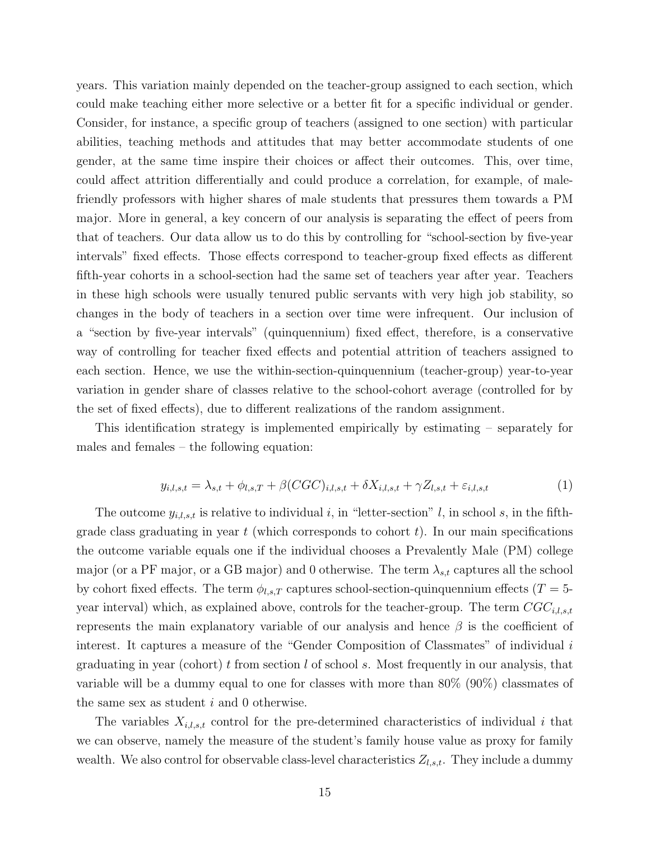years. This variation mainly depended on the teacher-group assigned to each section, which could make teaching either more selective or a better fit for a specific individual or gender. Consider, for instance, a specific group of teachers (assigned to one section) with particular abilities, teaching methods and attitudes that may better accommodate students of one gender, at the same time inspire their choices or affect their outcomes. This, over time, could affect attrition differentially and could produce a correlation, for example, of malefriendly professors with higher shares of male students that pressures them towards a PM major. More in general, a key concern of our analysis is separating the effect of peers from that of teachers. Our data allow us to do this by controlling for "school-section by five-year intervals" fixed effects. Those effects correspond to teacher-group fixed effects as different fifth-year cohorts in a school-section had the same set of teachers year after year. Teachers in these high schools were usually tenured public servants with very high job stability, so changes in the body of teachers in a section over time were infrequent. Our inclusion of a "section by five-year intervals" (quinquennium) fixed effect, therefore, is a conservative way of controlling for teacher fixed effects and potential attrition of teachers assigned to each section. Hence, we use the within-section-quinquennium (teacher-group) year-to-year variation in gender share of classes relative to the school-cohort average (controlled for by the set of fixed effects), due to different realizations of the random assignment.

This identification strategy is implemented empirically by estimating – separately for males and females – the following equation:

<span id="page-16-0"></span>
$$
y_{i,l,s,t} = \lambda_{s,t} + \phi_{l,s,T} + \beta (CGC)_{i,l,s,t} + \delta X_{i,l,s,t} + \gamma Z_{l,s,t} + \varepsilon_{i,l,s,t}
$$
 (1)

The outcome  $y_{i,l,s,t}$  is relative to individual i, in "letter-section" l, in school s, in the fifthgrade class graduating in year  $t$  (which corresponds to cohort  $t$ ). In our main specifications the outcome variable equals one if the individual chooses a Prevalently Male (PM) college major (or a PF major, or a GB major) and 0 otherwise. The term  $\lambda_{s,t}$  captures all the school by cohort fixed effects. The term  $\phi_{l,s,T}$  captures school-section-quinquennium effects (T = 5year interval) which, as explained above, controls for the teacher-group. The term  $CGC_{i,l,s,t}$ represents the main explanatory variable of our analysis and hence  $\beta$  is the coefficient of interest. It captures a measure of the "Gender Composition of Classmates" of individual  $i$ graduating in year (cohort) t from section  $l$  of school  $s$ . Most frequently in our analysis, that variable will be a dummy equal to one for classes with more than 80% (90%) classmates of the same sex as student  $i$  and 0 otherwise.

The variables  $X_{i,l,s,t}$  control for the pre-determined characteristics of individual i that we can observe, namely the measure of the student's family house value as proxy for family wealth. We also control for observable class-level characteristics  $Z_{l,s,t}$ . They include a dummy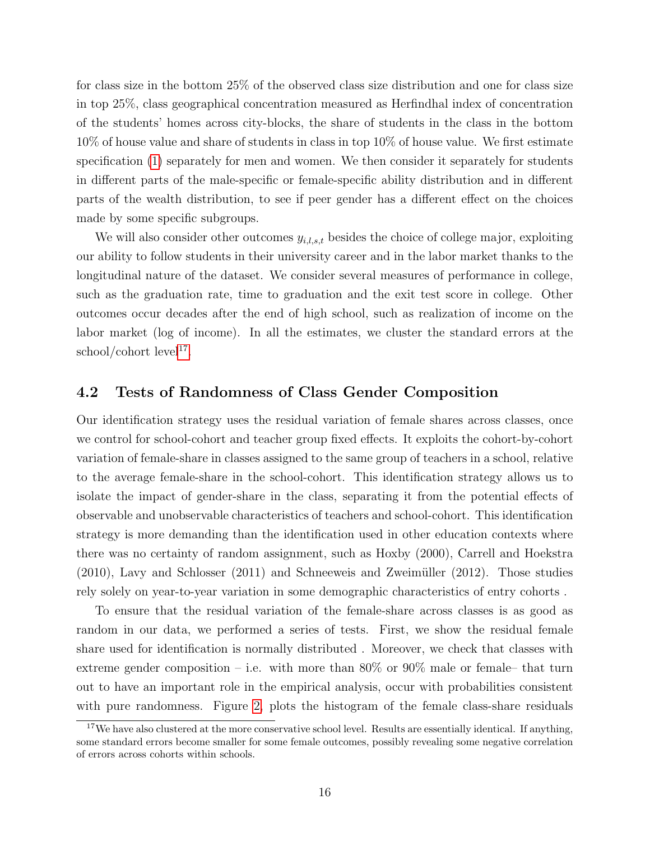for class size in the bottom 25% of the observed class size distribution and one for class size in top 25%, class geographical concentration measured as Herfindhal index of concentration of the students' homes across city-blocks, the share of students in the class in the bottom 10% of house value and share of students in class in top 10% of house value. We first estimate specification [\(1\)](#page-16-0) separately for men and women. We then consider it separately for students in different parts of the male-specific or female-specific ability distribution and in different parts of the wealth distribution, to see if peer gender has a different effect on the choices made by some specific subgroups.

We will also consider other outcomes  $y_{i,l,s,t}$  besides the choice of college major, exploiting our ability to follow students in their university career and in the labor market thanks to the longitudinal nature of the dataset. We consider several measures of performance in college, such as the graduation rate, time to graduation and the exit test score in college. Other outcomes occur decades after the end of high school, such as realization of income on the labor market (log of income). In all the estimates, we cluster the standard errors at the school/cohort level<sup>[17](#page-17-0)</sup>.

#### 4.2 Tests of Randomness of Class Gender Composition

Our identification strategy uses the residual variation of female shares across classes, once we control for school-cohort and teacher group fixed effects. It exploits the cohort-by-cohort variation of female-share in classes assigned to the same group of teachers in a school, relative to the average female-share in the school-cohort. This identification strategy allows us to isolate the impact of gender-share in the class, separating it from the potential effects of observable and unobservable characteristics of teachers and school-cohort. This identification strategy is more demanding than the identification used in other education contexts where there was no certainty of random assignment, such as Hoxby (2000), Carrell and Hoekstra  $(2010)$ , Lavy and Schlosser  $(2011)$  and Schneeweis and Zweimüller  $(2012)$ . Those studies rely solely on year-to-year variation in some demographic characteristics of entry cohorts .

To ensure that the residual variation of the female-share across classes is as good as random in our data, we performed a series of tests. First, we show the residual female share used for identification is normally distributed . Moreover, we check that classes with extreme gender composition – i.e. with more than  $80\%$  or  $90\%$  male or female– that turn out to have an important role in the empirical analysis, occur with probabilities consistent with pure randomness. Figure [2,](#page-36-0) plots the histogram of the female class-share residuals

<span id="page-17-0"></span> $17$ We have also clustered at the more conservative school level. Results are essentially identical. If anything, some standard errors become smaller for some female outcomes, possibly revealing some negative correlation of errors across cohorts within schools.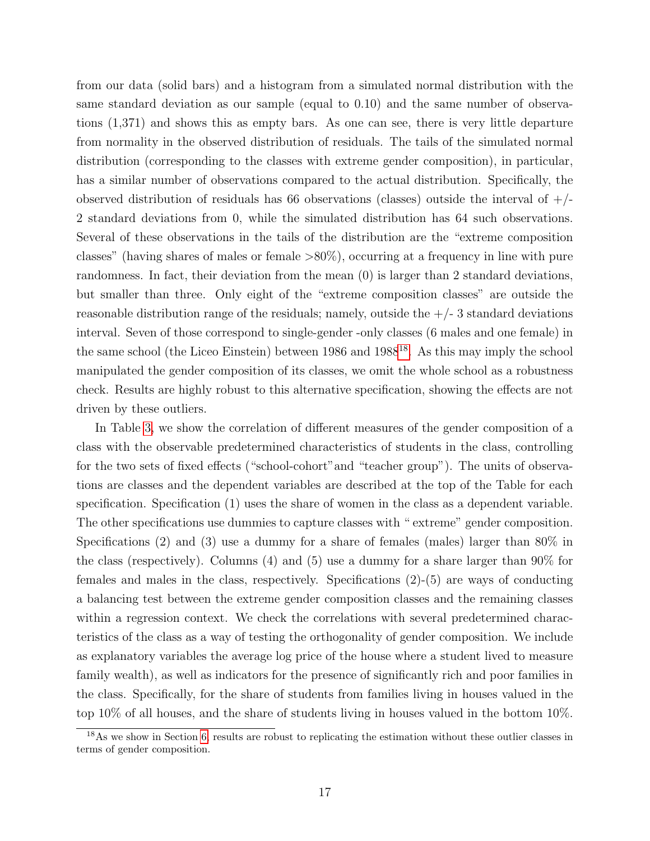from our data (solid bars) and a histogram from a simulated normal distribution with the same standard deviation as our sample (equal to 0.10) and the same number of observations (1,371) and shows this as empty bars. As one can see, there is very little departure from normality in the observed distribution of residuals. The tails of the simulated normal distribution (corresponding to the classes with extreme gender composition), in particular, has a similar number of observations compared to the actual distribution. Specifically, the observed distribution of residuals has 66 observations (classes) outside the interval of  $+/-$ 2 standard deviations from 0, while the simulated distribution has 64 such observations. Several of these observations in the tails of the distribution are the "extreme composition classes" (having shares of males or female >80%), occurring at a frequency in line with pure randomness. In fact, their deviation from the mean (0) is larger than 2 standard deviations, but smaller than three. Only eight of the "extreme composition classes" are outside the reasonable distribution range of the residuals; namely, outside the  $+/-3$  standard deviations interval. Seven of those correspond to single-gender -only classes (6 males and one female) in the same school (the Liceo Einstein) between  $1986$  and  $1988^{18}$  $1988^{18}$  $1988^{18}$ . As this may imply the school manipulated the gender composition of its classes, we omit the whole school as a robustness check. Results are highly robust to this alternative specification, showing the effects are not driven by these outliers.

In Table [3,](#page-39-0) we show the correlation of different measures of the gender composition of a class with the observable predetermined characteristics of students in the class, controlling for the two sets of fixed effects ("school-cohort"and "teacher group"). The units of observations are classes and the dependent variables are described at the top of the Table for each specification. Specification (1) uses the share of women in the class as a dependent variable. The other specifications use dummies to capture classes with " extreme" gender composition. Specifications (2) and (3) use a dummy for a share of females (males) larger than 80% in the class (respectively). Columns (4) and (5) use a dummy for a share larger than 90% for females and males in the class, respectively. Specifications (2)-(5) are ways of conducting a balancing test between the extreme gender composition classes and the remaining classes within a regression context. We check the correlations with several predetermined characteristics of the class as a way of testing the orthogonality of gender composition. We include as explanatory variables the average log price of the house where a student lived to measure family wealth), as well as indicators for the presence of significantly rich and poor families in the class. Specifically, for the share of students from families living in houses valued in the top 10% of all houses, and the share of students living in houses valued in the bottom 10%.

<span id="page-18-0"></span><sup>18</sup>As we show in Section [6,](#page-28-0) results are robust to replicating the estimation without these outlier classes in terms of gender composition.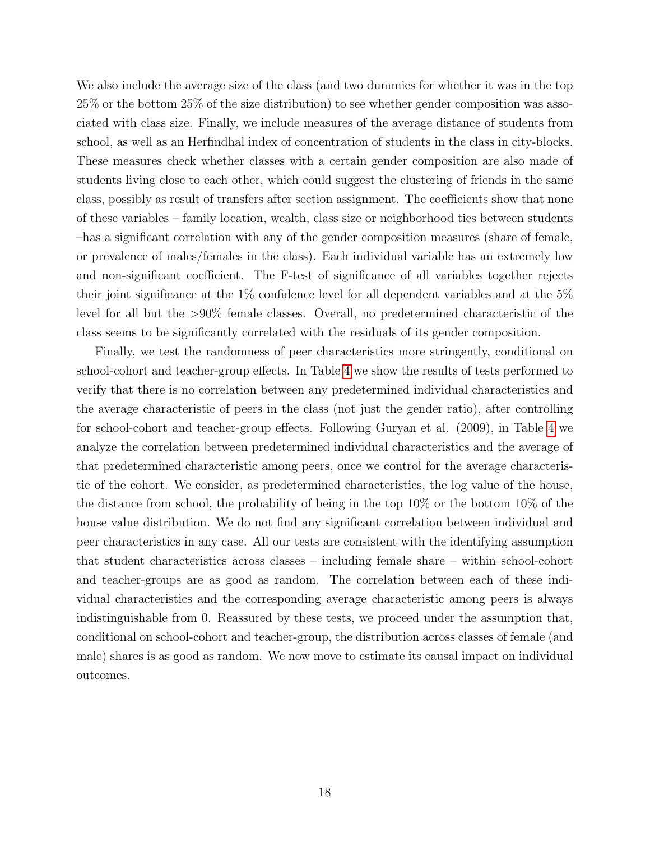We also include the average size of the class (and two dummies for whether it was in the top 25% or the bottom 25% of the size distribution) to see whether gender composition was associated with class size. Finally, we include measures of the average distance of students from school, as well as an Herfindhal index of concentration of students in the class in city-blocks. These measures check whether classes with a certain gender composition are also made of students living close to each other, which could suggest the clustering of friends in the same class, possibly as result of transfers after section assignment. The coefficients show that none of these variables – family location, wealth, class size or neighborhood ties between students –has a significant correlation with any of the gender composition measures (share of female, or prevalence of males/females in the class). Each individual variable has an extremely low and non-significant coefficient. The F-test of significance of all variables together rejects their joint significance at the 1% confidence level for all dependent variables and at the 5% level for all but the >90% female classes. Overall, no predetermined characteristic of the class seems to be significantly correlated with the residuals of its gender composition.

Finally, we test the randomness of peer characteristics more stringently, conditional on school-cohort and teacher-group effects. In Table [4](#page-40-0) we show the results of tests performed to verify that there is no correlation between any predetermined individual characteristics and the average characteristic of peers in the class (not just the gender ratio), after controlling for school-cohort and teacher-group effects. Following Guryan et al. (2009), in Table [4](#page-40-0) we analyze the correlation between predetermined individual characteristics and the average of that predetermined characteristic among peers, once we control for the average characteristic of the cohort. We consider, as predetermined characteristics, the log value of the house, the distance from school, the probability of being in the top 10% or the bottom 10% of the house value distribution. We do not find any significant correlation between individual and peer characteristics in any case. All our tests are consistent with the identifying assumption that student characteristics across classes – including female share – within school-cohort and teacher-groups are as good as random. The correlation between each of these individual characteristics and the corresponding average characteristic among peers is always indistinguishable from 0. Reassured by these tests, we proceed under the assumption that, conditional on school-cohort and teacher-group, the distribution across classes of female (and male) shares is as good as random. We now move to estimate its causal impact on individual outcomes.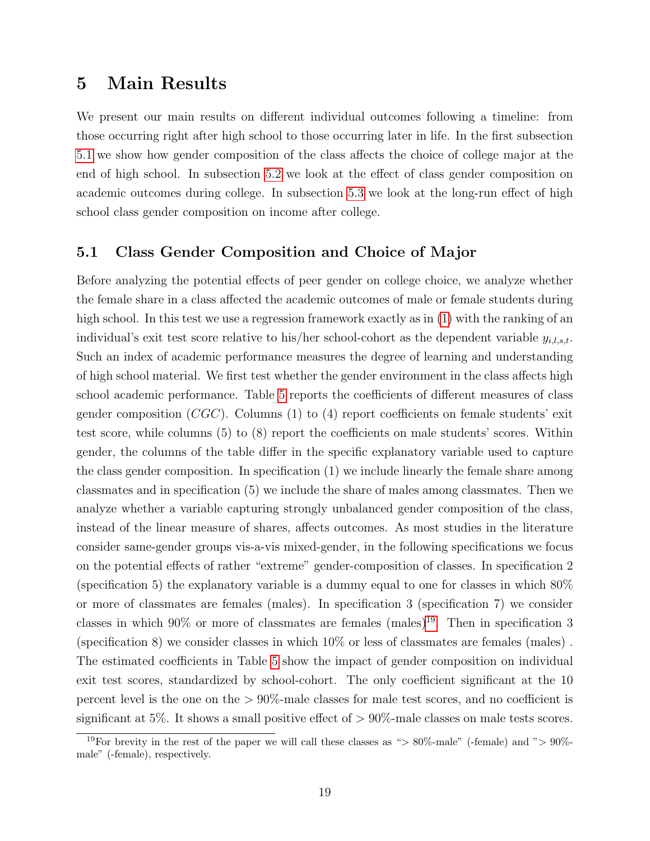### <span id="page-20-0"></span>5 Main Results

We present our main results on different individual outcomes following a timeline: from those occurring right after high school to those occurring later in life. In the first subsection [5.1](#page-20-1) we show how gender composition of the class affects the choice of college major at the end of high school. In subsection [5.2](#page-25-0) we look at the effect of class gender composition on academic outcomes during college. In subsection [5.3](#page-27-0) we look at the long-run effect of high school class gender composition on income after college.

#### <span id="page-20-1"></span>5.1 Class Gender Composition and Choice of Major

Before analyzing the potential effects of peer gender on college choice, we analyze whether the female share in a class affected the academic outcomes of male or female students during high school. In this test we use a regression framework exactly as in  $(1)$  with the ranking of an individual's exit test score relative to his/her school-cohort as the dependent variable  $y_{i,l,s,t}$ . Such an index of academic performance measures the degree of learning and understanding of high school material. We first test whether the gender environment in the class affects high school academic performance. Table [5](#page-41-0) reports the coefficients of different measures of class gender composition  $(CGC)$ . Columns (1) to (4) report coefficients on female students' exit test score, while columns (5) to (8) report the coefficients on male students' scores. Within gender, the columns of the table differ in the specific explanatory variable used to capture the class gender composition. In specification (1) we include linearly the female share among classmates and in specification (5) we include the share of males among classmates. Then we analyze whether a variable capturing strongly unbalanced gender composition of the class, instead of the linear measure of shares, affects outcomes. As most studies in the literature consider same-gender groups vis-a-vis mixed-gender, in the following specifications we focus on the potential effects of rather "extreme" gender-composition of classes. In specification 2 (specification 5) the explanatory variable is a dummy equal to one for classes in which 80% or more of classmates are females (males). In specification 3 (specification 7) we consider classes in which  $90\%$  or more of classmates are females (males)<sup>[19](#page-20-2)</sup>. Then in specification 3 (specification 8) we consider classes in which 10% or less of classmates are females (males) . The estimated coefficients in Table [5](#page-41-0) show the impact of gender composition on individual exit test scores, standardized by school-cohort. The only coefficient significant at the 10 percent level is the one on the  $> 90\%$ -male classes for male test scores, and no coefficient is significant at 5%. It shows a small positive effect of  $> 90\%$ -male classes on male tests scores.

<span id="page-20-2"></span><sup>&</sup>lt;sup>19</sup>For brevity in the rest of the paper we will call these classes as "> 80%-male" (-female) and "> 90%male" (-female), respectively.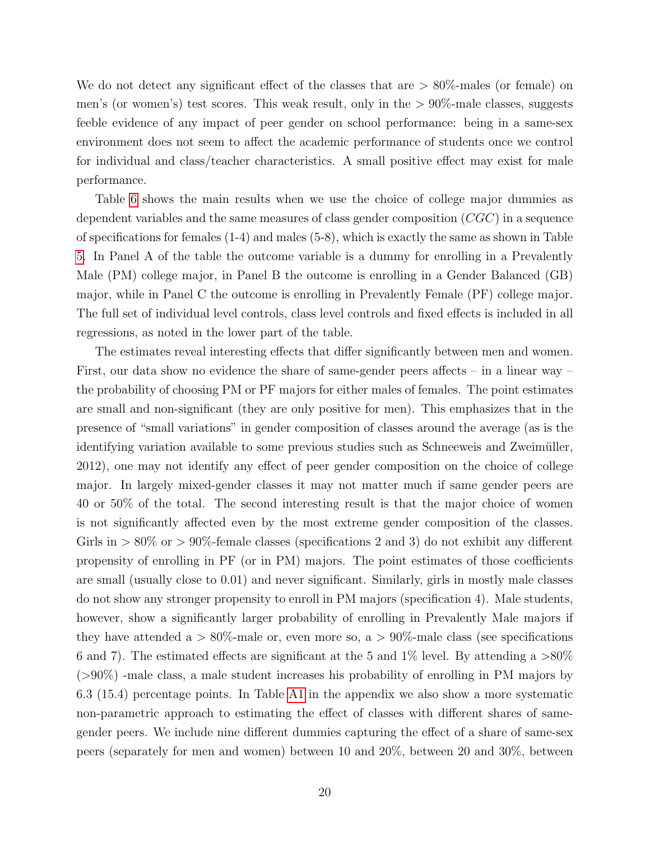We do not detect any significant effect of the classes that are  $> 80\%$ -males (or female) on men's (or women's) test scores. This weak result, only in the  $> 90\%$ -male classes, suggests feeble evidence of any impact of peer gender on school performance: being in a same-sex environment does not seem to affect the academic performance of students once we control for individual and class/teacher characteristics. A small positive effect may exist for male performance.

Table [6](#page-42-0) shows the main results when we use the choice of college major dummies as dependent variables and the same measures of class gender composition  $(CGC)$  in a sequence of specifications for females (1-4) and males (5-8), which is exactly the same as shown in Table [5.](#page-41-0) In Panel A of the table the outcome variable is a dummy for enrolling in a Prevalently Male (PM) college major, in Panel B the outcome is enrolling in a Gender Balanced (GB) major, while in Panel C the outcome is enrolling in Prevalently Female (PF) college major. The full set of individual level controls, class level controls and fixed effects is included in all regressions, as noted in the lower part of the table.

The estimates reveal interesting effects that differ significantly between men and women. First, our data show no evidence the share of same-gender peers affects – in a linear way – the probability of choosing PM or PF majors for either males of females. The point estimates are small and non-significant (they are only positive for men). This emphasizes that in the presence of "small variations" in gender composition of classes around the average (as is the identifying variation available to some previous studies such as Schneeweis and Zweimüller, 2012), one may not identify any effect of peer gender composition on the choice of college major. In largely mixed-gender classes it may not matter much if same gender peers are 40 or 50% of the total. The second interesting result is that the major choice of women is not significantly affected even by the most extreme gender composition of the classes. Girls in  $> 80\%$  or  $> 90\%$ -female classes (specifications 2 and 3) do not exhibit any different propensity of enrolling in PF (or in PM) majors. The point estimates of those coefficients are small (usually close to 0.01) and never significant. Similarly, girls in mostly male classes do not show any stronger propensity to enroll in PM majors (specification 4). Male students, however, show a significantly larger probability of enrolling in Prevalently Male majors if they have attended a  $> 80\%$ -male or, even more so, a  $> 90\%$ -male class (see specifications 6 and 7). The estimated effects are significant at the 5 and 1% level. By attending a  $>80\%$  $(>90\%)$  -male class, a male student increases his probability of enrolling in PM majors by 6.3 (15.4) percentage points. In Table [A1](#page-49-0) in the appendix we also show a more systematic non-parametric approach to estimating the effect of classes with different shares of samegender peers. We include nine different dummies capturing the effect of a share of same-sex peers (separately for men and women) between 10 and 20%, between 20 and 30%, between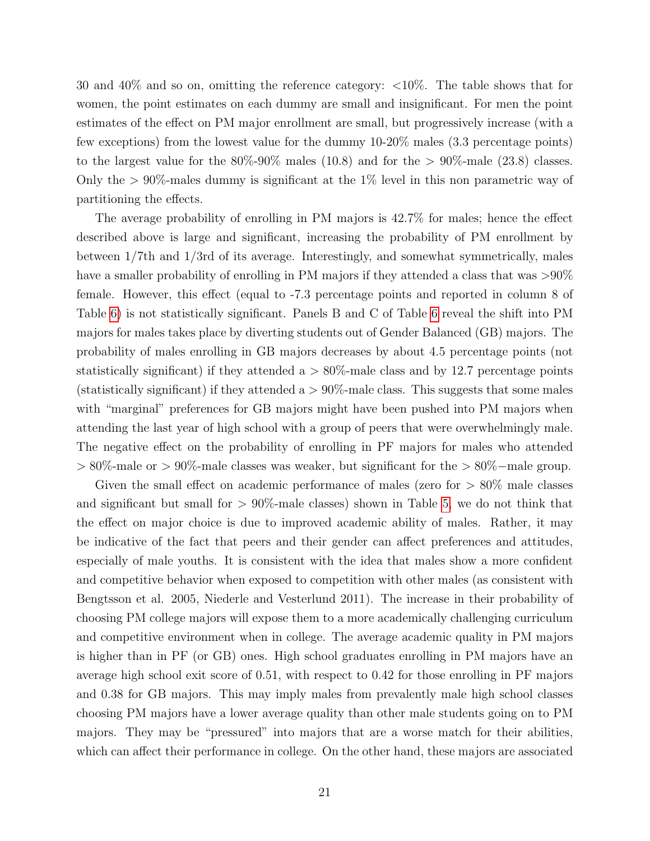30 and 40% and so on, omitting the reference category: <10%. The table shows that for women, the point estimates on each dummy are small and insignificant. For men the point estimates of the effect on PM major enrollment are small, but progressively increase (with a few exceptions) from the lowest value for the dummy 10-20% males (3.3 percentage points) to the largest value for the  $80\%$ -90% males (10.8) and for the  $> 90\%$ -male (23.8) classes. Only the  $> 90\%$ -males dummy is significant at the 1% level in this non parametric way of partitioning the effects.

The average probability of enrolling in PM majors is 42.7% for males; hence the effect described above is large and significant, increasing the probability of PM enrollment by between 1/7th and 1/3rd of its average. Interestingly, and somewhat symmetrically, males have a smaller probability of enrolling in PM majors if they attended a class that was  $>90\%$ female. However, this effect (equal to -7.3 percentage points and reported in column 8 of Table [6\)](#page-42-0) is not statistically significant. Panels B and C of Table [6](#page-42-0) reveal the shift into PM majors for males takes place by diverting students out of Gender Balanced (GB) majors. The probability of males enrolling in GB majors decreases by about 4.5 percentage points (not statistically significant) if they attended a  $> 80\%$ -male class and by 12.7 percentage points (statistically significant) if they attended a  $> 90\%$ -male class. This suggests that some males with "marginal" preferences for GB majors might have been pushed into PM majors when attending the last year of high school with a group of peers that were overwhelmingly male. The negative effect on the probability of enrolling in PF majors for males who attended > 80%-male or > 90%-male classes was weaker, but significant for the > 80%−male group.

Given the small effect on academic performance of males (zero for  $> 80\%$  male classes and significant but small for  $> 90\%$ -male classes) shown in Table [5,](#page-41-0) we do not think that the effect on major choice is due to improved academic ability of males. Rather, it may be indicative of the fact that peers and their gender can affect preferences and attitudes, especially of male youths. It is consistent with the idea that males show a more confident and competitive behavior when exposed to competition with other males (as consistent with Bengtsson et al. 2005, Niederle and Vesterlund 2011). The increase in their probability of choosing PM college majors will expose them to a more academically challenging curriculum and competitive environment when in college. The average academic quality in PM majors is higher than in PF (or GB) ones. High school graduates enrolling in PM majors have an average high school exit score of 0.51, with respect to 0.42 for those enrolling in PF majors and 0.38 for GB majors. This may imply males from prevalently male high school classes choosing PM majors have a lower average quality than other male students going on to PM majors. They may be "pressured" into majors that are a worse match for their abilities, which can affect their performance in college. On the other hand, these majors are associated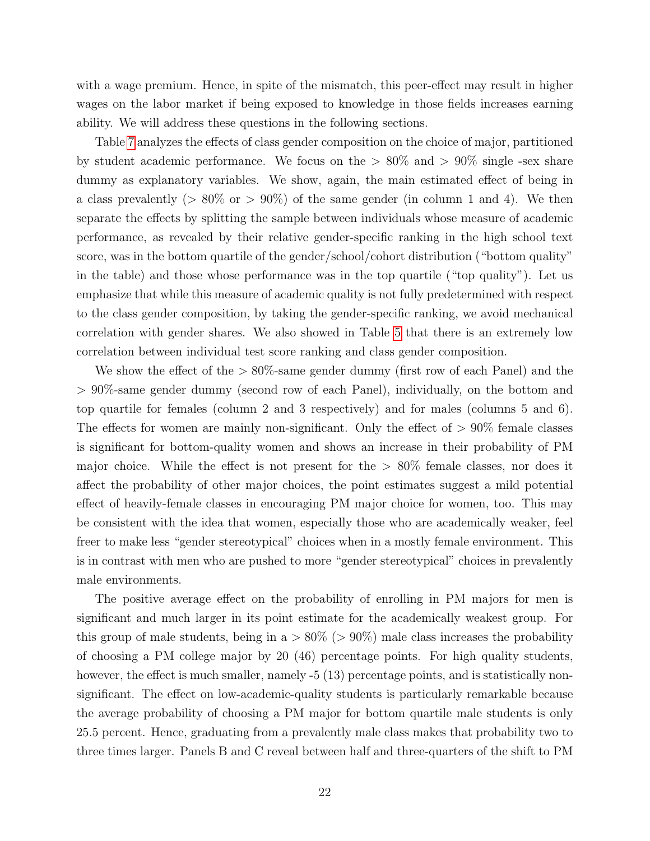with a wage premium. Hence, in spite of the mismatch, this peer-effect may result in higher wages on the labor market if being exposed to knowledge in those fields increases earning ability. We will address these questions in the following sections.

Table [7](#page-43-0) analyzes the effects of class gender composition on the choice of major, partitioned by student academic performance. We focus on the  $> 80\%$  and  $> 90\%$  single -sex share dummy as explanatory variables. We show, again, the main estimated effect of being in a class prevalently ( $> 80\%$  or  $> 90\%$ ) of the same gender (in column 1 and 4). We then separate the effects by splitting the sample between individuals whose measure of academic performance, as revealed by their relative gender-specific ranking in the high school text score, was in the bottom quartile of the gender/school/cohort distribution ("bottom quality" in the table) and those whose performance was in the top quartile ("top quality"). Let us emphasize that while this measure of academic quality is not fully predetermined with respect to the class gender composition, by taking the gender-specific ranking, we avoid mechanical correlation with gender shares. We also showed in Table [5](#page-41-0) that there is an extremely low correlation between individual test score ranking and class gender composition.

We show the effect of the  $> 80\%$ -same gender dummy (first row of each Panel) and the > 90%-same gender dummy (second row of each Panel), individually, on the bottom and top quartile for females (column 2 and 3 respectively) and for males (columns 5 and 6). The effects for women are mainly non-significant. Only the effect of  $> 90\%$  female classes is significant for bottom-quality women and shows an increase in their probability of PM major choice. While the effect is not present for the > 80% female classes, nor does it affect the probability of other major choices, the point estimates suggest a mild potential effect of heavily-female classes in encouraging PM major choice for women, too. This may be consistent with the idea that women, especially those who are academically weaker, feel freer to make less "gender stereotypical" choices when in a mostly female environment. This is in contrast with men who are pushed to more "gender stereotypical" choices in prevalently male environments.

The positive average effect on the probability of enrolling in PM majors for men is significant and much larger in its point estimate for the academically weakest group. For this group of male students, being in  $a > 80\%$  ( $> 90\%$ ) male class increases the probability of choosing a PM college major by 20 (46) percentage points. For high quality students, however, the effect is much smaller, namely -5 (13) percentage points, and is statistically nonsignificant. The effect on low-academic-quality students is particularly remarkable because the average probability of choosing a PM major for bottom quartile male students is only 25.5 percent. Hence, graduating from a prevalently male class makes that probability two to three times larger. Panels B and C reveal between half and three-quarters of the shift to PM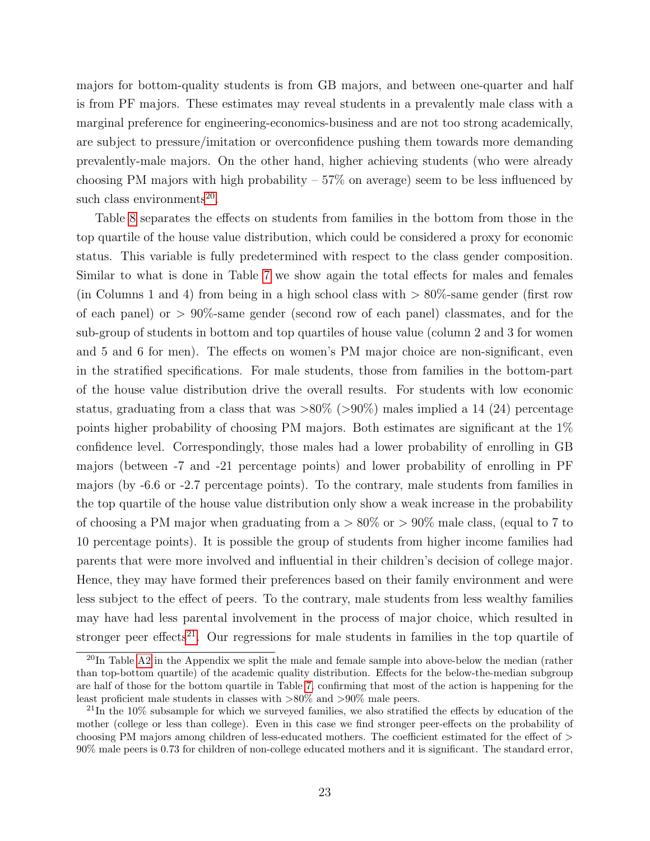majors for bottom-quality students is from GB majors, and between one-quarter and half is from PF majors. These estimates may reveal students in a prevalently male class with a marginal preference for engineering-economics-business and are not too strong academically, are subject to pressure/imitation or overconfidence pushing them towards more demanding prevalently-male majors. On the other hand, higher achieving students (who were already choosing PM majors with high probability  $-57\%$  on average) seem to be less influenced by such class environments<sup>[20](#page-24-0)</sup>.

Table [8](#page-44-0) separates the effects on students from families in the bottom from those in the top quartile of the house value distribution, which could be considered a proxy for economic status. This variable is fully predetermined with respect to the class gender composition. Similar to what is done in Table [7](#page-43-0) we show again the total effects for males and females (in Columns 1 and 4) from being in a high school class with  $> 80\%$ -same gender (first row of each panel) or > 90%-same gender (second row of each panel) classmates, and for the sub-group of students in bottom and top quartiles of house value (column 2 and 3 for women and 5 and 6 for men). The effects on women's PM major choice are non-significant, even in the stratified specifications. For male students, those from families in the bottom-part of the house value distribution drive the overall results. For students with low economic status, graduating from a class that was  $>80\%$  ( $>90\%$ ) males implied a 14 (24) percentage points higher probability of choosing PM majors. Both estimates are significant at the 1% confidence level. Correspondingly, those males had a lower probability of enrolling in GB majors (between -7 and -21 percentage points) and lower probability of enrolling in PF majors (by -6.6 or -2.7 percentage points). To the contrary, male students from families in the top quartile of the house value distribution only show a weak increase in the probability of choosing a PM major when graduating from  $a > 80\%$  or  $> 90\%$  male class, (equal to 7 to 10 percentage points). It is possible the group of students from higher income families had parents that were more involved and influential in their children's decision of college major. Hence, they may have formed their preferences based on their family environment and were less subject to the effect of peers. To the contrary, male students from less wealthy families may have had less parental involvement in the process of major choice, which resulted in stronger peer effects<sup>[21](#page-24-1)</sup>. Our regressions for male students in families in the top quartile of

<span id="page-24-0"></span> $^{20}$ In Table [A2](#page-50-0) in the Appendix we split the male and female sample into above-below the median (rather than top-bottom quartile) of the academic quality distribution. Effects for the below-the-median subgroup are half of those for the bottom quartile in Table [7,](#page-43-0) confirming that most of the action is happening for the least proficient male students in classes with >80% and >90% male peers.

<span id="page-24-1"></span> $^{21}$ In the 10% subsample for which we surveyed families, we also stratified the effects by education of the mother (college or less than college). Even in this case we find stronger peer-effects on the probability of choosing PM majors among children of less-educated mothers. The coefficient estimated for the effect of > 90% male peers is 0.73 for children of non-college educated mothers and it is significant. The standard error,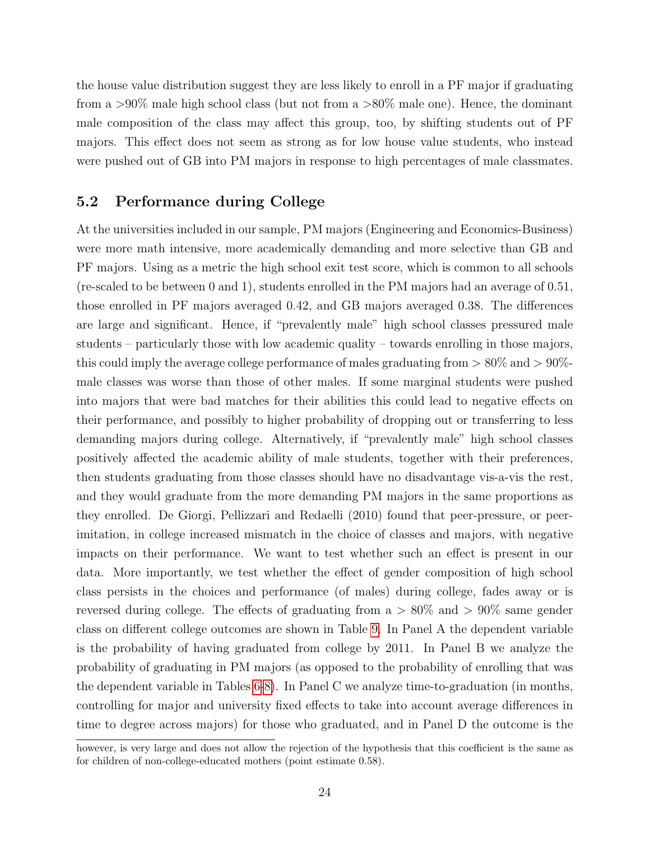the house value distribution suggest they are less likely to enroll in a PF major if graduating from a  $>90\%$  male high school class (but not from a  $>80\%$  male one). Hence, the dominant male composition of the class may affect this group, too, by shifting students out of PF majors. This effect does not seem as strong as for low house value students, who instead were pushed out of GB into PM majors in response to high percentages of male classmates.

#### <span id="page-25-0"></span>5.2 Performance during College

At the universities included in our sample, PM majors (Engineering and Economics-Business) were more math intensive, more academically demanding and more selective than GB and PF majors. Using as a metric the high school exit test score, which is common to all schools (re-scaled to be between 0 and 1), students enrolled in the PM majors had an average of 0.51, those enrolled in PF majors averaged 0.42, and GB majors averaged 0.38. The differences are large and significant. Hence, if "prevalently male" high school classes pressured male students – particularly those with low academic quality – towards enrolling in those majors, this could imply the average college performance of males graduating from  $> 80\%$  and  $> 90\%$ male classes was worse than those of other males. If some marginal students were pushed into majors that were bad matches for their abilities this could lead to negative effects on their performance, and possibly to higher probability of dropping out or transferring to less demanding majors during college. Alternatively, if "prevalently male" high school classes positively affected the academic ability of male students, together with their preferences, then students graduating from those classes should have no disadvantage vis-a-vis the rest, and they would graduate from the more demanding PM majors in the same proportions as they enrolled. De Giorgi, Pellizzari and Redaelli (2010) found that peer-pressure, or peerimitation, in college increased mismatch in the choice of classes and majors, with negative impacts on their performance. We want to test whether such an effect is present in our data. More importantly, we test whether the effect of gender composition of high school class persists in the choices and performance (of males) during college, fades away or is reversed during college. The effects of graduating from  $a > 80\%$  and  $> 90\%$  same gender class on different college outcomes are shown in Table [9.](#page-45-0) In Panel A the dependent variable is the probability of having graduated from college by 2011. In Panel B we analyze the probability of graduating in PM majors (as opposed to the probability of enrolling that was the dependent variable in Tables [6](#page-42-0)[-8\)](#page-44-0). In Panel C we analyze time-to-graduation (in months, controlling for major and university fixed effects to take into account average differences in time to degree across majors) for those who graduated, and in Panel D the outcome is the

however, is very large and does not allow the rejection of the hypothesis that this coefficient is the same as for children of non-college-educated mothers (point estimate 0.58).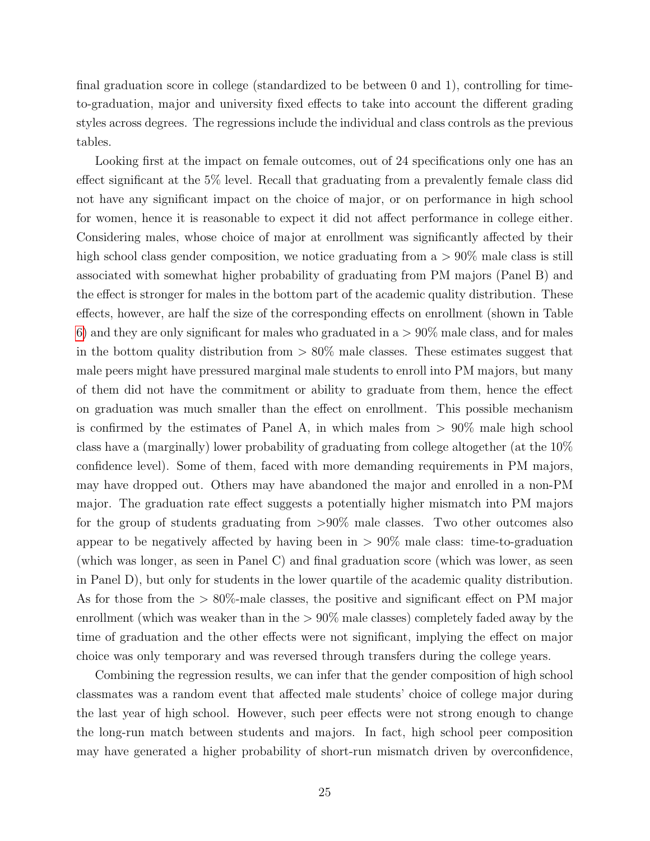final graduation score in college (standardized to be between 0 and 1), controlling for timeto-graduation, major and university fixed effects to take into account the different grading styles across degrees. The regressions include the individual and class controls as the previous tables.

Looking first at the impact on female outcomes, out of 24 specifications only one has an effect significant at the 5% level. Recall that graduating from a prevalently female class did not have any significant impact on the choice of major, or on performance in high school for women, hence it is reasonable to expect it did not affect performance in college either. Considering males, whose choice of major at enrollment was significantly affected by their high school class gender composition, we notice graduating from  $a > 90\%$  male class is still associated with somewhat higher probability of graduating from PM majors (Panel B) and the effect is stronger for males in the bottom part of the academic quality distribution. These effects, however, are half the size of the corresponding effects on enrollment (shown in Table [6\)](#page-42-0) and they are only significant for males who graduated in  $a > 90\%$  male class, and for males in the bottom quality distribution from  $> 80\%$  male classes. These estimates suggest that male peers might have pressured marginal male students to enroll into PM majors, but many of them did not have the commitment or ability to graduate from them, hence the effect on graduation was much smaller than the effect on enrollment. This possible mechanism is confirmed by the estimates of Panel A, in which males from  $> 90\%$  male high school class have a (marginally) lower probability of graduating from college altogether (at the 10% confidence level). Some of them, faced with more demanding requirements in PM majors, may have dropped out. Others may have abandoned the major and enrolled in a non-PM major. The graduation rate effect suggests a potentially higher mismatch into PM majors for the group of students graduating from >90% male classes. Two other outcomes also appear to be negatively affected by having been in  $> 90\%$  male class: time-to-graduation (which was longer, as seen in Panel C) and final graduation score (which was lower, as seen in Panel D), but only for students in the lower quartile of the academic quality distribution. As for those from the > 80%-male classes, the positive and significant effect on PM major enrollment (which was weaker than in the  $> 90\%$  male classes) completely faded away by the time of graduation and the other effects were not significant, implying the effect on major choice was only temporary and was reversed through transfers during the college years.

Combining the regression results, we can infer that the gender composition of high school classmates was a random event that affected male students' choice of college major during the last year of high school. However, such peer effects were not strong enough to change the long-run match between students and majors. In fact, high school peer composition may have generated a higher probability of short-run mismatch driven by overconfidence,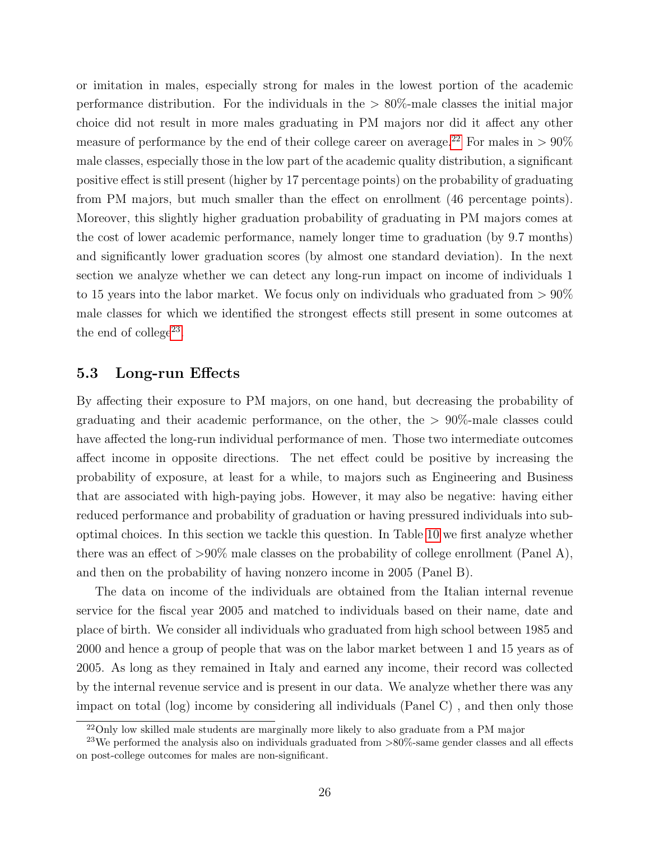or imitation in males, especially strong for males in the lowest portion of the academic performance distribution. For the individuals in the  $> 80\%$ -male classes the initial major choice did not result in more males graduating in PM majors nor did it affect any other measure of performance by the end of their college career on average.<sup>[22](#page-27-1)</sup> For males in  $> 90\%$ male classes, especially those in the low part of the academic quality distribution, a significant positive effect is still present (higher by 17 percentage points) on the probability of graduating from PM majors, but much smaller than the effect on enrollment (46 percentage points). Moreover, this slightly higher graduation probability of graduating in PM majors comes at the cost of lower academic performance, namely longer time to graduation (by 9.7 months) and significantly lower graduation scores (by almost one standard deviation). In the next section we analyze whether we can detect any long-run impact on income of individuals 1 to 15 years into the labor market. We focus only on individuals who graduated from  $> 90\%$ male classes for which we identified the strongest effects still present in some outcomes at the end of college<sup>[23](#page-27-2)</sup>.

#### <span id="page-27-0"></span>5.3 Long-run Effects

By affecting their exposure to PM majors, on one hand, but decreasing the probability of graduating and their academic performance, on the other, the > 90%-male classes could have affected the long-run individual performance of men. Those two intermediate outcomes affect income in opposite directions. The net effect could be positive by increasing the probability of exposure, at least for a while, to majors such as Engineering and Business that are associated with high-paying jobs. However, it may also be negative: having either reduced performance and probability of graduation or having pressured individuals into suboptimal choices. In this section we tackle this question. In Table [10](#page-46-0) we first analyze whether there was an effect of  $>90\%$  male classes on the probability of college enrollment (Panel A), and then on the probability of having nonzero income in 2005 (Panel B).

The data on income of the individuals are obtained from the Italian internal revenue service for the fiscal year 2005 and matched to individuals based on their name, date and place of birth. We consider all individuals who graduated from high school between 1985 and 2000 and hence a group of people that was on the labor market between 1 and 15 years as of 2005. As long as they remained in Italy and earned any income, their record was collected by the internal revenue service and is present in our data. We analyze whether there was any impact on total (log) income by considering all individuals (Panel C) , and then only those

<span id="page-27-2"></span><span id="page-27-1"></span><sup>&</sup>lt;sup>22</sup>Only low skilled male students are marginally more likely to also graduate from a PM major

<sup>&</sup>lt;sup>23</sup>We performed the analysis also on individuals graduated from  $>80\%$ -same gender classes and all effects on post-college outcomes for males are non-significant.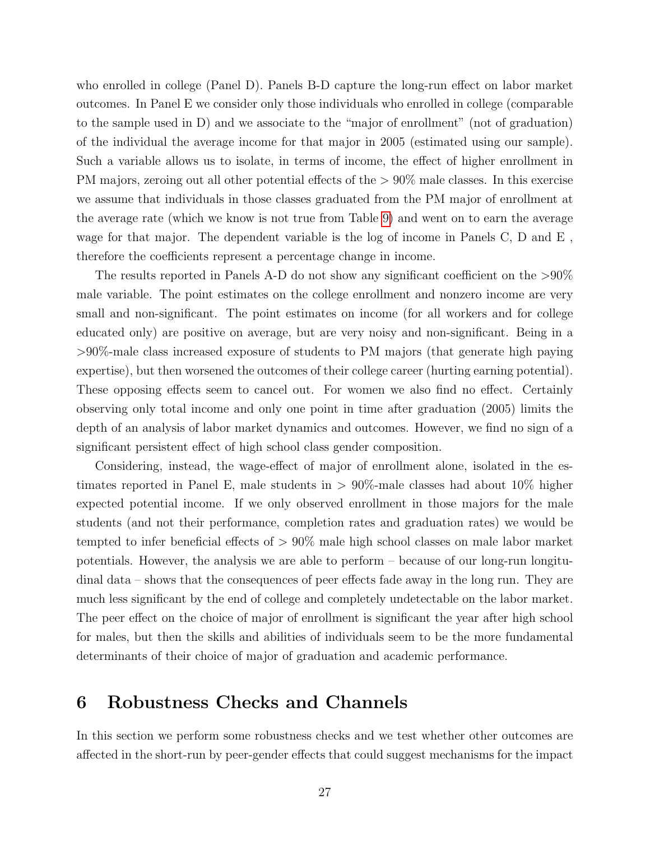who enrolled in college (Panel D). Panels B-D capture the long-run effect on labor market outcomes. In Panel E we consider only those individuals who enrolled in college (comparable to the sample used in D) and we associate to the "major of enrollment" (not of graduation) of the individual the average income for that major in 2005 (estimated using our sample). Such a variable allows us to isolate, in terms of income, the effect of higher enrollment in PM majors, zeroing out all other potential effects of the  $> 90\%$  male classes. In this exercise we assume that individuals in those classes graduated from the PM major of enrollment at the average rate (which we know is not true from Table [9\)](#page-45-0) and went on to earn the average wage for that major. The dependent variable is the log of income in Panels C, D and E , therefore the coefficients represent a percentage change in income.

The results reported in Panels A-D do not show any significant coefficient on the >90% male variable. The point estimates on the college enrollment and nonzero income are very small and non-significant. The point estimates on income (for all workers and for college educated only) are positive on average, but are very noisy and non-significant. Being in a >90%-male class increased exposure of students to PM majors (that generate high paying expertise), but then worsened the outcomes of their college career (hurting earning potential). These opposing effects seem to cancel out. For women we also find no effect. Certainly observing only total income and only one point in time after graduation (2005) limits the depth of an analysis of labor market dynamics and outcomes. However, we find no sign of a significant persistent effect of high school class gender composition.

Considering, instead, the wage-effect of major of enrollment alone, isolated in the estimates reported in Panel E, male students in  $> 90\%$ -male classes had about 10% higher expected potential income. If we only observed enrollment in those majors for the male students (and not their performance, completion rates and graduation rates) we would be tempted to infer beneficial effects of  $> 90\%$  male high school classes on male labor market potentials. However, the analysis we are able to perform – because of our long-run longitudinal data – shows that the consequences of peer effects fade away in the long run. They are much less significant by the end of college and completely undetectable on the labor market. The peer effect on the choice of major of enrollment is significant the year after high school for males, but then the skills and abilities of individuals seem to be the more fundamental determinants of their choice of major of graduation and academic performance.

### <span id="page-28-0"></span>6 Robustness Checks and Channels

In this section we perform some robustness checks and we test whether other outcomes are affected in the short-run by peer-gender effects that could suggest mechanisms for the impact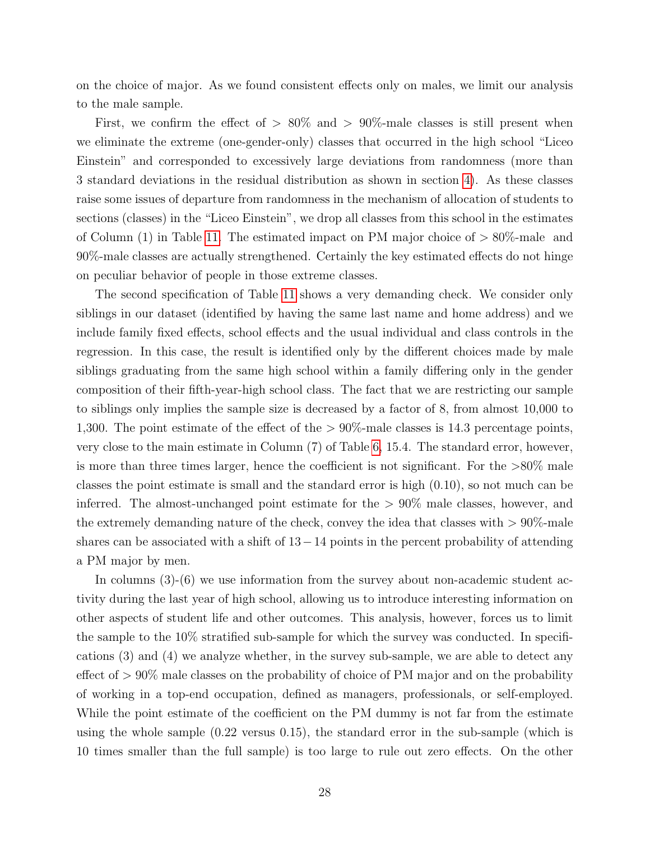on the choice of major. As we found consistent effects only on males, we limit our analysis to the male sample.

First, we confirm the effect of  $> 80\%$  and  $> 90\%$ -male classes is still present when we eliminate the extreme (one-gender-only) classes that occurred in the high school "Liceo Einstein" and corresponded to excessively large deviations from randomness (more than 3 standard deviations in the residual distribution as shown in section [4\)](#page-14-0). As these classes raise some issues of departure from randomness in the mechanism of allocation of students to sections (classes) in the "Liceo Einstein", we drop all classes from this school in the estimates of Column  $(1)$  in Table [11.](#page-47-0) The estimated impact on PM major choice of  $> 80\%$ -male and 90%-male classes are actually strengthened. Certainly the key estimated effects do not hinge on peculiar behavior of people in those extreme classes.

The second specification of Table [11](#page-47-0) shows a very demanding check. We consider only siblings in our dataset (identified by having the same last name and home address) and we include family fixed effects, school effects and the usual individual and class controls in the regression. In this case, the result is identified only by the different choices made by male siblings graduating from the same high school within a family differing only in the gender composition of their fifth-year-high school class. The fact that we are restricting our sample to siblings only implies the sample size is decreased by a factor of 8, from almost 10,000 to 1,300. The point estimate of the effect of the > 90%-male classes is 14.3 percentage points, very close to the main estimate in Column (7) of Table [6,](#page-42-0) 15.4. The standard error, however, is more than three times larger, hence the coefficient is not significant. For the >80% male classes the point estimate is small and the standard error is high (0.10), so not much can be inferred. The almost-unchanged point estimate for the > 90% male classes, however, and the extremely demanding nature of the check, convey the idea that classes with  $> 90\%$ -male shares can be associated with a shift of 13−14 points in the percent probability of attending a PM major by men.

In columns (3)-(6) we use information from the survey about non-academic student activity during the last year of high school, allowing us to introduce interesting information on other aspects of student life and other outcomes. This analysis, however, forces us to limit the sample to the 10% stratified sub-sample for which the survey was conducted. In specifications (3) and (4) we analyze whether, in the survey sub-sample, we are able to detect any effect of > 90% male classes on the probability of choice of PM major and on the probability of working in a top-end occupation, defined as managers, professionals, or self-employed. While the point estimate of the coefficient on the PM dummy is not far from the estimate using the whole sample (0.22 versus 0.15), the standard error in the sub-sample (which is 10 times smaller than the full sample) is too large to rule out zero effects. On the other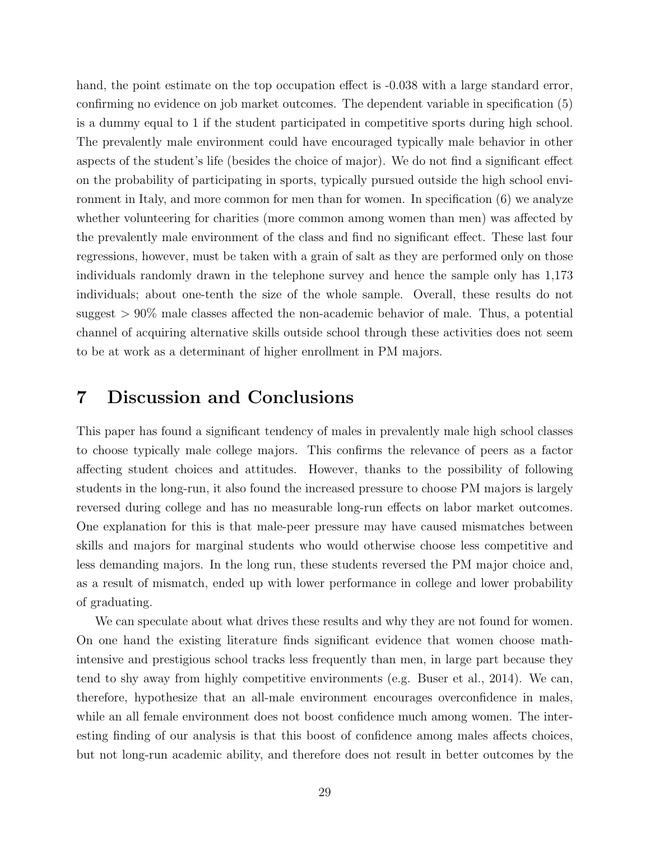hand, the point estimate on the top occupation effect is  $-0.038$  with a large standard error, confirming no evidence on job market outcomes. The dependent variable in specification (5) is a dummy equal to 1 if the student participated in competitive sports during high school. The prevalently male environment could have encouraged typically male behavior in other aspects of the student's life (besides the choice of major). We do not find a significant effect on the probability of participating in sports, typically pursued outside the high school environment in Italy, and more common for men than for women. In specification (6) we analyze whether volunteering for charities (more common among women than men) was affected by the prevalently male environment of the class and find no significant effect. These last four regressions, however, must be taken with a grain of salt as they are performed only on those individuals randomly drawn in the telephone survey and hence the sample only has 1,173 individuals; about one-tenth the size of the whole sample. Overall, these results do not suggest > 90% male classes affected the non-academic behavior of male. Thus, a potential channel of acquiring alternative skills outside school through these activities does not seem to be at work as a determinant of higher enrollment in PM majors.

### <span id="page-30-0"></span>7 Discussion and Conclusions

This paper has found a significant tendency of males in prevalently male high school classes to choose typically male college majors. This confirms the relevance of peers as a factor affecting student choices and attitudes. However, thanks to the possibility of following students in the long-run, it also found the increased pressure to choose PM majors is largely reversed during college and has no measurable long-run effects on labor market outcomes. One explanation for this is that male-peer pressure may have caused mismatches between skills and majors for marginal students who would otherwise choose less competitive and less demanding majors. In the long run, these students reversed the PM major choice and, as a result of mismatch, ended up with lower performance in college and lower probability of graduating.

We can speculate about what drives these results and why they are not found for women. On one hand the existing literature finds significant evidence that women choose mathintensive and prestigious school tracks less frequently than men, in large part because they tend to shy away from highly competitive environments (e.g. Buser et al., 2014). We can, therefore, hypothesize that an all-male environment encourages overconfidence in males, while an all female environment does not boost confidence much among women. The interesting finding of our analysis is that this boost of confidence among males affects choices, but not long-run academic ability, and therefore does not result in better outcomes by the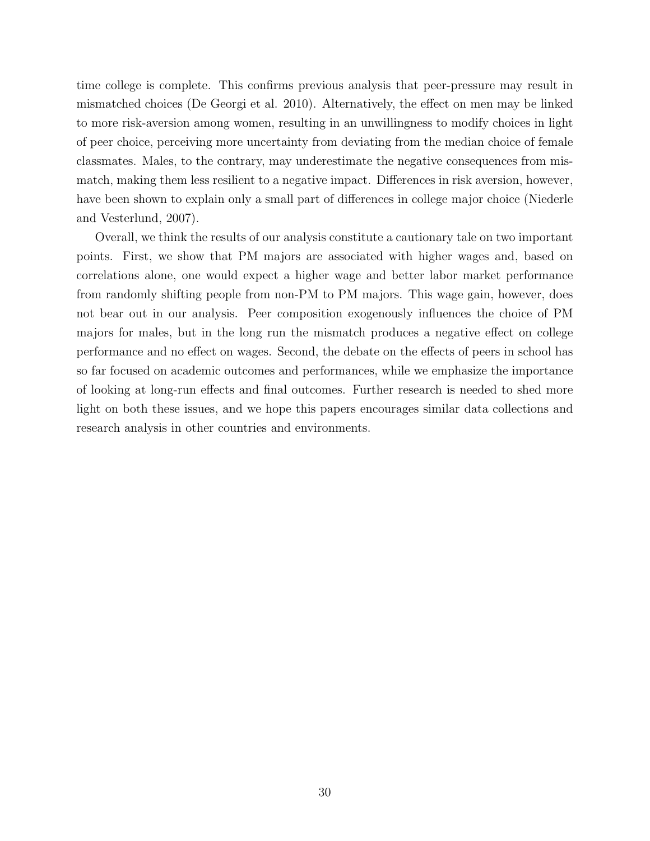time college is complete. This confirms previous analysis that peer-pressure may result in mismatched choices (De Georgi et al. 2010). Alternatively, the effect on men may be linked to more risk-aversion among women, resulting in an unwillingness to modify choices in light of peer choice, perceiving more uncertainty from deviating from the median choice of female classmates. Males, to the contrary, may underestimate the negative consequences from mismatch, making them less resilient to a negative impact. Differences in risk aversion, however, have been shown to explain only a small part of differences in college major choice (Niederle and Vesterlund, 2007).

Overall, we think the results of our analysis constitute a cautionary tale on two important points. First, we show that PM majors are associated with higher wages and, based on correlations alone, one would expect a higher wage and better labor market performance from randomly shifting people from non-PM to PM majors. This wage gain, however, does not bear out in our analysis. Peer composition exogenously influences the choice of PM majors for males, but in the long run the mismatch produces a negative effect on college performance and no effect on wages. Second, the debate on the effects of peers in school has so far focused on academic outcomes and performances, while we emphasize the importance of looking at long-run effects and final outcomes. Further research is needed to shed more light on both these issues, and we hope this papers encourages similar data collections and research analysis in other countries and environments.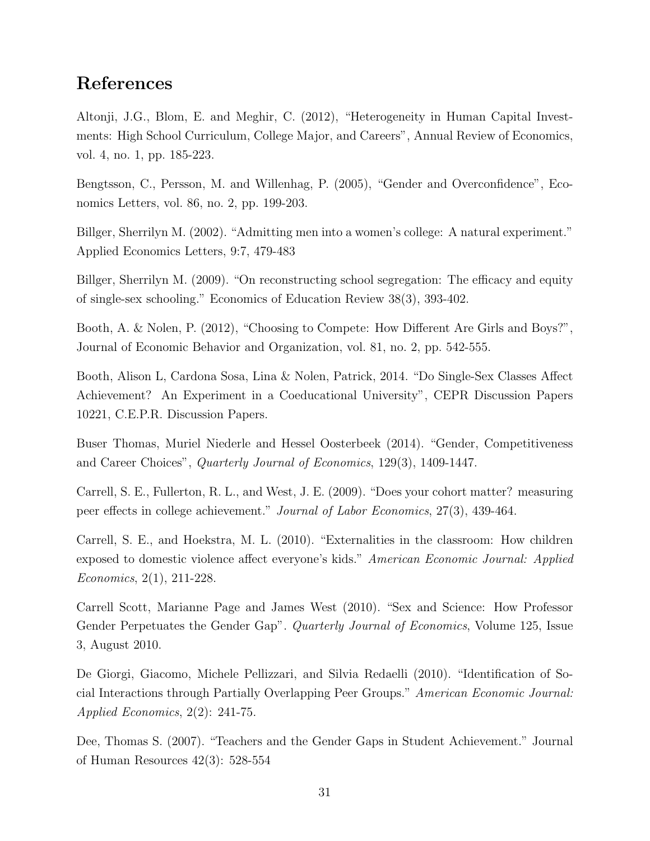### References

Altonji, J.G., Blom, E. and Meghir, C. (2012), "Heterogeneity in Human Capital Investments: High School Curriculum, College Major, and Careers", Annual Review of Economics, vol. 4, no. 1, pp. 185-223.

Bengtsson, C., Persson, M. and Willenhag, P. (2005), "Gender and Overconfidence", Economics Letters, vol. 86, no. 2, pp. 199-203.

Billger, Sherrilyn M. (2002). "Admitting men into a women's college: A natural experiment." Applied Economics Letters, 9:7, 479-483

Billger, Sherrilyn M. (2009). "On reconstructing school segregation: The efficacy and equity of single-sex schooling." Economics of Education Review 38(3), 393-402.

Booth, A. & Nolen, P. (2012), "Choosing to Compete: How Different Are Girls and Boys?", Journal of Economic Behavior and Organization, vol. 81, no. 2, pp. 542-555.

Booth, Alison L, Cardona Sosa, Lina & Nolen, Patrick, 2014. "Do Single-Sex Classes Affect Achievement? An Experiment in a Coeducational University", CEPR Discussion Papers 10221, C.E.P.R. Discussion Papers.

Buser Thomas, Muriel Niederle and Hessel Oosterbeek (2014). "Gender, Competitiveness and Career Choices", Quarterly Journal of Economics, 129(3), 1409-1447.

Carrell, S. E., Fullerton, R. L., and West, J. E. (2009). "Does your cohort matter? measuring peer effects in college achievement." Journal of Labor Economics, 27(3), 439-464.

Carrell, S. E., and Hoekstra, M. L. (2010). "Externalities in the classroom: How children exposed to domestic violence affect everyone's kids." American Economic Journal: Applied Economics, 2(1), 211-228.

Carrell Scott, Marianne Page and James West (2010). "Sex and Science: How Professor Gender Perpetuates the Gender Gap". *Quarterly Journal of Economics*, Volume 125, Issue 3, August 2010.

De Giorgi, Giacomo, Michele Pellizzari, and Silvia Redaelli (2010). "Identification of Social Interactions through Partially Overlapping Peer Groups." American Economic Journal: Applied Economics, 2(2): 241-75.

Dee, Thomas S. (2007). "Teachers and the Gender Gaps in Student Achievement." Journal of Human Resources 42(3): 528-554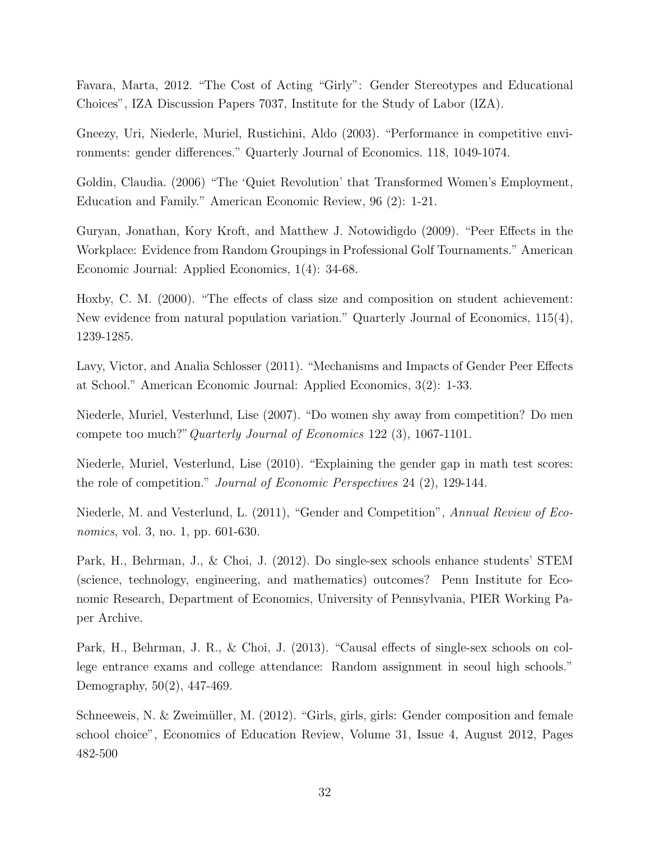Favara, Marta, 2012. "The Cost of Acting "Girly": Gender Stereotypes and Educational Choices", IZA Discussion Papers 7037, Institute for the Study of Labor (IZA).

Gneezy, Uri, Niederle, Muriel, Rustichini, Aldo (2003). "Performance in competitive environments: gender differences." Quarterly Journal of Economics. 118, 1049-1074.

Goldin, Claudia. (2006) "The 'Quiet Revolution' that Transformed Women's Employment, Education and Family." American Economic Review, 96 (2): 1-21.

Guryan, Jonathan, Kory Kroft, and Matthew J. Notowidigdo (2009). "Peer Effects in the Workplace: Evidence from Random Groupings in Professional Golf Tournaments." American Economic Journal: Applied Economics, 1(4): 34-68.

Hoxby, C. M. (2000). "The effects of class size and composition on student achievement: New evidence from natural population variation." Quarterly Journal of Economics, 115(4), 1239-1285.

Lavy, Victor, and Analia Schlosser (2011). "Mechanisms and Impacts of Gender Peer Effects at School." American Economic Journal: Applied Economics, 3(2): 1-33.

Niederle, Muriel, Vesterlund, Lise (2007). "Do women shy away from competition? Do men compete too much?"Quarterly Journal of Economics 122 (3), 1067-1101.

Niederle, Muriel, Vesterlund, Lise (2010). "Explaining the gender gap in math test scores: the role of competition." Journal of Economic Perspectives 24 (2), 129-144.

Niederle, M. and Vesterlund, L. (2011), "Gender and Competition", Annual Review of Economics, vol. 3, no. 1, pp. 601-630.

Park, H., Behrman, J., & Choi, J. (2012). Do single-sex schools enhance students' STEM (science, technology, engineering, and mathematics) outcomes? Penn Institute for Economic Research, Department of Economics, University of Pennsylvania, PIER Working Paper Archive.

Park, H., Behrman, J. R., & Choi, J. (2013). "Causal effects of single-sex schools on college entrance exams and college attendance: Random assignment in seoul high schools." Demography, 50(2), 447-469.

Schneeweis, N.  $\&$  Zweimüller, M. (2012). "Girls, girls, girls: Gender composition and female school choice", Economics of Education Review, Volume 31, Issue 4, August 2012, Pages 482-500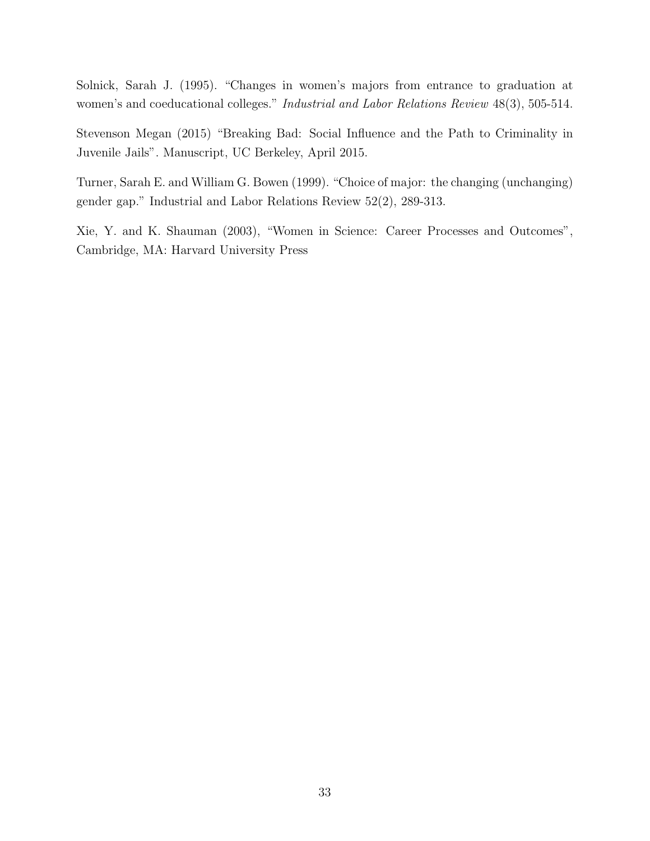Solnick, Sarah J. (1995). "Changes in women's majors from entrance to graduation at women's and coeducational colleges." Industrial and Labor Relations Review 48(3), 505-514.

Stevenson Megan (2015) "Breaking Bad: Social Influence and the Path to Criminality in Juvenile Jails". Manuscript, UC Berkeley, April 2015.

Turner, Sarah E. and William G. Bowen (1999). "Choice of major: the changing (unchanging) gender gap." Industrial and Labor Relations Review 52(2), 289-313.

Xie, Y. and K. Shauman (2003), "Women in Science: Career Processes and Outcomes", Cambridge, MA: Harvard University Press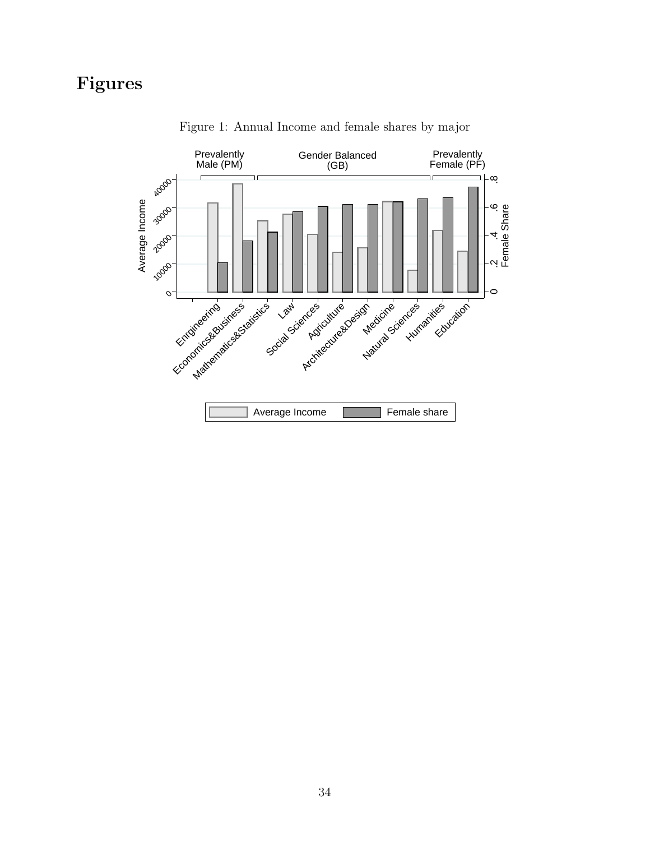# Figures

<span id="page-35-0"></span>

Figure 1: Annual Income and female shares by major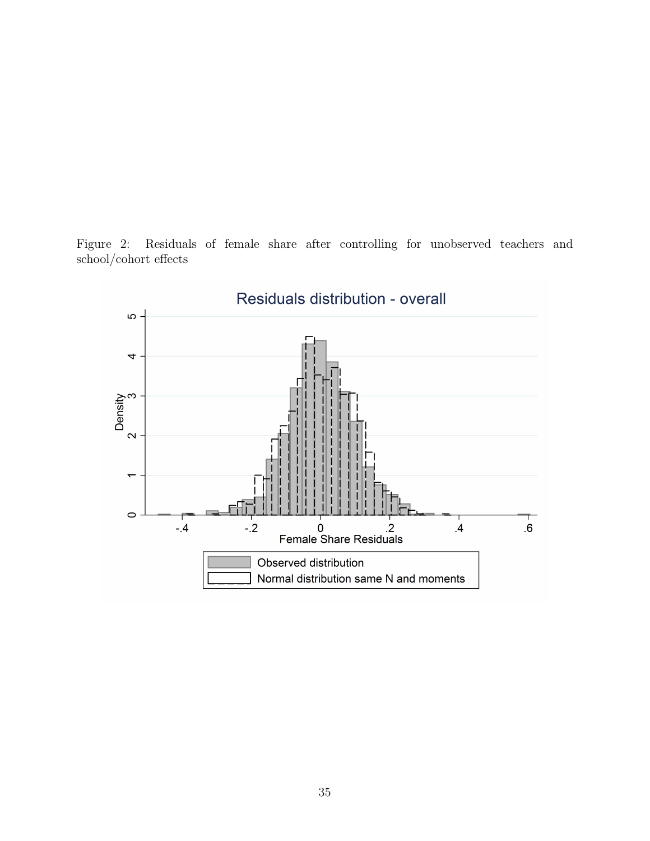Figure 2: Residuals of female share after controlling for unobserved teachers and school/cohort effects

<span id="page-36-0"></span>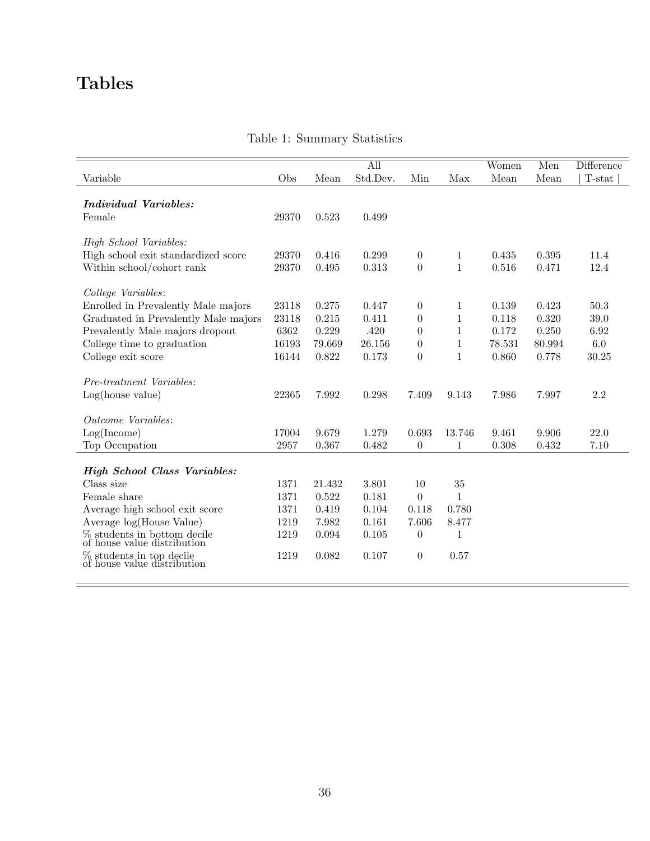# Tables

 $\equiv$ 

<span id="page-37-0"></span>

|                                                            |       |        | All      |                  |              | Women  | Men    | Difference |
|------------------------------------------------------------|-------|--------|----------|------------------|--------------|--------|--------|------------|
| Variable                                                   | Obs   | Mean   | Std.Dev. | Min              | Max          | Mean   | Mean   | $T$ -stat  |
| <b>Individual Variables:</b>                               |       |        |          |                  |              |        |        |            |
| Female                                                     | 29370 | 0.523  | 0.499    |                  |              |        |        |            |
| High School Variables:                                     |       |        |          |                  |              |        |        |            |
| High school exit standardized score                        | 29370 | 0.416  | 0.299    | $\overline{0}$   | 1            | 0.435  | 0.395  | 11.4       |
| Within school/cohort rank                                  | 29370 | 0.495  | 0.313    | $\boldsymbol{0}$ | $\mathbf{1}$ | 0.516  | 0.471  | 12.4       |
| College Variables:                                         |       |        |          |                  |              |        |        |            |
| Enrolled in Prevalently Male majors                        | 23118 | 0.275  | 0.447    | $\overline{0}$   | 1            | 0.139  | 0.423  | 50.3       |
| Graduated in Prevalently Male majors                       | 23118 | 0.215  | 0.411    | $\overline{0}$   | 1            | 0.118  | 0.320  | $39.0\,$   |
| Prevalently Male majors dropout                            | 6362  | 0.229  | .420     | $\overline{0}$   | $\mathbf 1$  | 0.172  | 0.250  | $6.92\,$   |
| College time to graduation                                 | 16193 | 79.669 | 26.156   | $\overline{0}$   | $\mathbf{1}$ | 78.531 | 80.994 | 6.0        |
| College exit score                                         | 16144 | 0.822  | 0.173    | $\theta$         | $\mathbf{1}$ | 0.860  | 0.778  | 30.25      |
| Pre-treatment Variables:                                   |       |        |          |                  |              |        |        |            |
| Log(house value)                                           | 22365 | 7.992  | 0.298    | 7.409            | 9.143        | 7.986  | 7.997  | $2.2\,$    |
| Outcome Variables:                                         |       |        |          |                  |              |        |        |            |
| Log(Income)                                                | 17004 | 9.679  | 1.279    | 0.693            | 13.746       | 9.461  | 9.906  | 22.0       |
| Top Occupation                                             | 2957  | 0.367  | 0.482    | $\boldsymbol{0}$ | 1            | 0.308  | 0.432  | 7.10       |
|                                                            |       |        |          |                  |              |        |        |            |
| <b>High School Class Variables:</b>                        |       |        |          |                  |              |        |        |            |
| Class size                                                 | 1371  | 21.432 | 3.801    | 10               | 35           |        |        |            |
| Female share                                               | 1371  | 0.522  | 0.181    | $\boldsymbol{0}$ | $\mathbf{1}$ |        |        |            |
| Average high school exit score                             | 1371  | 0.419  | 0.104    | 0.118            | 0.780        |        |        |            |
| Average log(House Value)                                   | 1219  | 7.982  | 0.161    | 7.606            | 8.477        |        |        |            |
| $\%$ students in bottom decile of house value distribution | 1219  | 0.094  | 0.105    | $\overline{0}$   | 1            |        |        |            |
| % students in top decile<br>of house value distribution    | 1219  | 0.082  | 0.107    | $\boldsymbol{0}$ | 0.57         |        |        |            |
|                                                            |       |        |          |                  |              |        |        |            |

### Table 1: Summary Statistics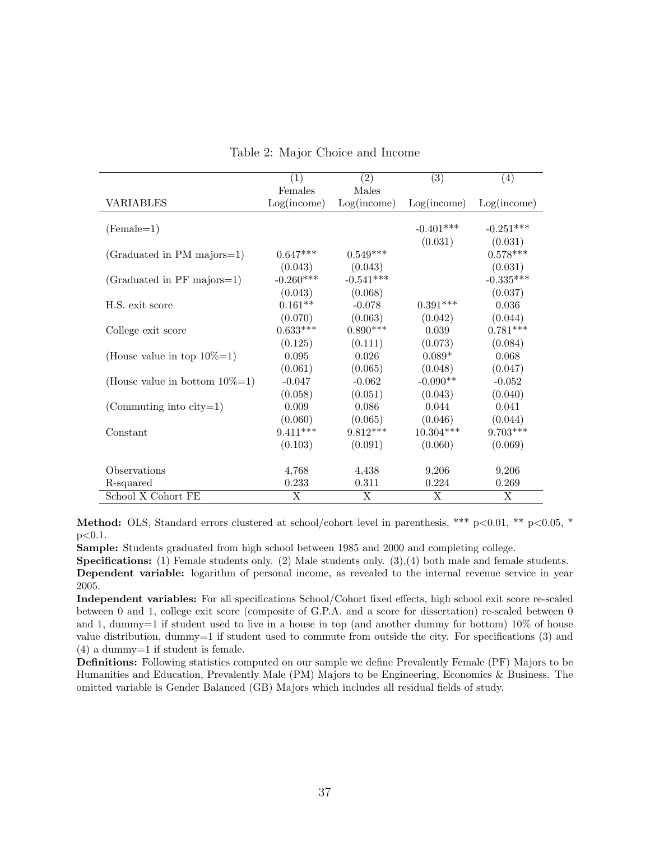<span id="page-38-0"></span>

|                                     | $\left( 1\right)$ | (2)         | (3)         | (4)         |
|-------------------------------------|-------------------|-------------|-------------|-------------|
|                                     | Females           | Males       |             |             |
| VARIABLES                           | Log(income)       | Log(income) | Log(income) | Log(income) |
|                                     |                   |             |             |             |
| $(Female=1)$                        |                   |             | $-0.401***$ | $-0.251***$ |
|                                     |                   |             | (0.031)     | (0.031)     |
| (Graduated in PM majors=1)          | $0.647***$        | $0.549***$  |             | $0.578***$  |
|                                     | (0.043)           | (0.043)     |             | (0.031)     |
| (Graduated in PF majors=1)          | $-0.260***$       | $-0.541***$ |             | $-0.335***$ |
|                                     | (0.043)           | (0.068)     |             | (0.037)     |
| H.S. exit score                     | $0.161**$         | $-0.078$    | $0.391***$  | 0.036       |
|                                     | (0.070)           | (0.063)     | (0.042)     | (0.044)     |
| College exit score                  | $0.633***$        | $0.890***$  | 0.039       | $0.781***$  |
|                                     | (0.125)           | (0.111)     | (0.073)     | (0.084)     |
| (House value in top $10\% = 1$ )    | 0.095             | 0.026       | $0.089*$    | 0.068       |
|                                     | (0.061)           | (0.065)     | (0.048)     | (0.047)     |
| (House value in bottom $10\% = 1$ ) | $-0.047$          | $-0.062$    | $-0.090**$  | $-0.052$    |
|                                     | (0.058)           | (0.051)     | (0.043)     | (0.040)     |
| (Commuting into $city=1$ )          | 0.009             | 0.086       | 0.044       | 0.041       |
|                                     | (0.060)           | (0.065)     | (0.046)     | (0.044)     |
| Constant                            | $9.411***$        | $9.812***$  | $10.304***$ | $9.703***$  |
|                                     | (0.103)           | (0.091)     | (0.060)     | (0.069)     |
|                                     |                   |             |             |             |
| Observations                        | 4,768             | 4,438       | 9,206       | 9,206       |
| R-squared                           | 0.233             | 0.311       | 0.224       | 0.269       |
| School X Cohort FE                  | X                 | X           | X           | X           |

Table 2: Major Choice and Income

Method: OLS, Standard errors clustered at school/cohort level in parenthesis, \*\*\* p<0.01, \*\* p<0.05, \*  $p<0.1$ .

Sample: Students graduated from high school between 1985 and 2000 and completing college.

Specifications: (1) Female students only. (2) Male students only. (3),(4) both male and female students. Dependent variable: logarithm of personal income, as revealed to the internal revenue service in year 2005.

Independent variables: For all specifications School/Cohort fixed effects, high school exit score re-scaled between 0 and 1, college exit score (composite of G.P.A. and a score for dissertation) re-scaled between 0 and 1, dummy=1 if student used to live in a house in top (and another dummy for bottom) 10% of house value distribution, dummy=1 if student used to commute from outside the city. For specifications (3) and (4) a dummy=1 if student is female.

Definitions: Following statistics computed on our sample we define Prevalently Female (PF) Majors to be Humanities and Education, Prevalently Male (PM) Majors to be Engineering, Economics & Business. The omitted variable is Gender Balanced (GB) Majors which includes all residual fields of study.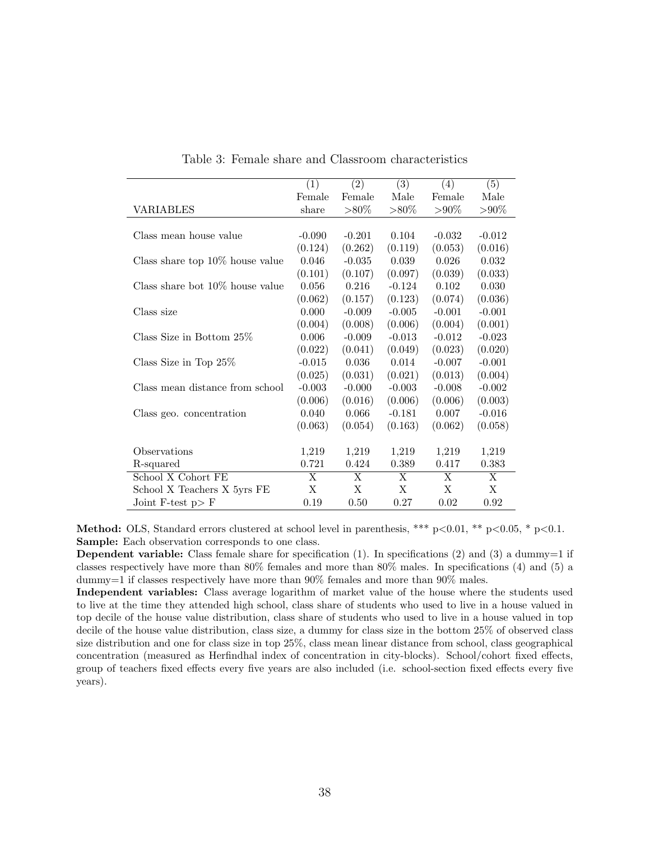<span id="page-39-0"></span>

|                                    | (1)                     | $\overline{(2)}$        | $\overline{(3)}$ | (4)      | (5)                     |
|------------------------------------|-------------------------|-------------------------|------------------|----------|-------------------------|
|                                    | Female                  | Female                  | Male             | Female   | Male                    |
| VARIABLES                          | share                   | $>80\%$                 | $>80\%$          | $> 90\%$ | $> \!\! 90\%$           |
|                                    |                         |                         |                  |          |                         |
| Class mean house value             | $-0.090$                | $-0.201$                | 0.104            | $-0.032$ | $-0.012$                |
|                                    | (0.124)                 | (0.262)                 | (0.119)          | (0.053)  | (0.016)                 |
| Class share top $10\%$ house value | 0.046                   | $-0.035$                | 0.039            | 0.026    | 0.032                   |
|                                    | (0.101)                 | (0.107)                 | (0.097)          | (0.039)  | (0.033)                 |
| Class share bot $10\%$ house value | 0.056                   | 0.216                   | $-0.124$         | 0.102    | 0.030                   |
|                                    | (0.062)                 | (0.157)                 | (0.123)          | (0.074)  | (0.036)                 |
| Class size                         | 0.000                   | $-0.009$                | $-0.005$         | $-0.001$ | $-0.001$                |
|                                    | (0.004)                 | (0.008)                 | (0.006)          | (0.004)  | (0.001)                 |
| Class Size in Bottom $25\%$        | 0.006                   | $-0.009$                | $-0.013$         | $-0.012$ | $-0.023$                |
|                                    | (0.022)                 | (0.041)                 | (0.049)          | (0.023)  | (0.020)                 |
| Class Size in Top $25\%$           | $-0.015$                | 0.036                   | 0.014            | $-0.007$ | $-0.001$                |
|                                    | (0.025)                 | (0.031)                 | (0.021)          | (0.013)  | (0.004)                 |
| Class mean distance from school    | $-0.003$                | $-0.000$                | $-0.003$         | $-0.008$ | $-0.002$                |
|                                    | (0.006)                 | (0.016)                 | (0.006)          | (0.006)  | (0.003)                 |
| Class geo. concentration           | 0.040                   | 0.066                   | $-0.181$         | 0.007    | $-0.016$                |
|                                    | (0.063)                 | (0.054)                 | (0.163)          | (0.062)  | (0.058)                 |
|                                    |                         |                         |                  |          |                         |
| Observations                       | 1,219                   | 1,219                   | 1,219            | 1,219    | 1,219                   |
| R-squared                          | 0.721                   | 0.424                   | 0.389            | 0.417    | 0.383                   |
| School X Cohort FE                 | $\overline{\mathrm{X}}$ | $\overline{\mathrm{X}}$ | X                | X        | $\overline{\mathrm{X}}$ |
| School X Teachers X 5yrs FE        | X                       | X                       | X                | X        | X                       |
| Joint F-test $p > F$               | 0.19                    | 0.50                    | 0.27             | 0.02     | 0.92                    |

Table 3: Female share and Classroom characteristics

**Method:** OLS, Standard errors clustered at school level in parenthesis, \*\*\*  $p<0.01$ , \*\*  $p<0.05$ , \*  $p<0.1$ . Sample: Each observation corresponds to one class.

**Dependent variable:** Class female share for specification  $(1)$ . In specifications  $(2)$  and  $(3)$  a dummy=1 if classes respectively have more than 80% females and more than 80% males. In specifications (4) and (5) a dummy=1 if classes respectively have more than 90% females and more than 90% males.

Independent variables: Class average logarithm of market value of the house where the students used to live at the time they attended high school, class share of students who used to live in a house valued in top decile of the house value distribution, class share of students who used to live in a house valued in top decile of the house value distribution, class size, a dummy for class size in the bottom 25% of observed class size distribution and one for class size in top 25%, class mean linear distance from school, class geographical concentration (measured as Herfindhal index of concentration in city-blocks). School/cohort fixed effects, group of teachers fixed effects every five years are also included (i.e. school-section fixed effects every five years).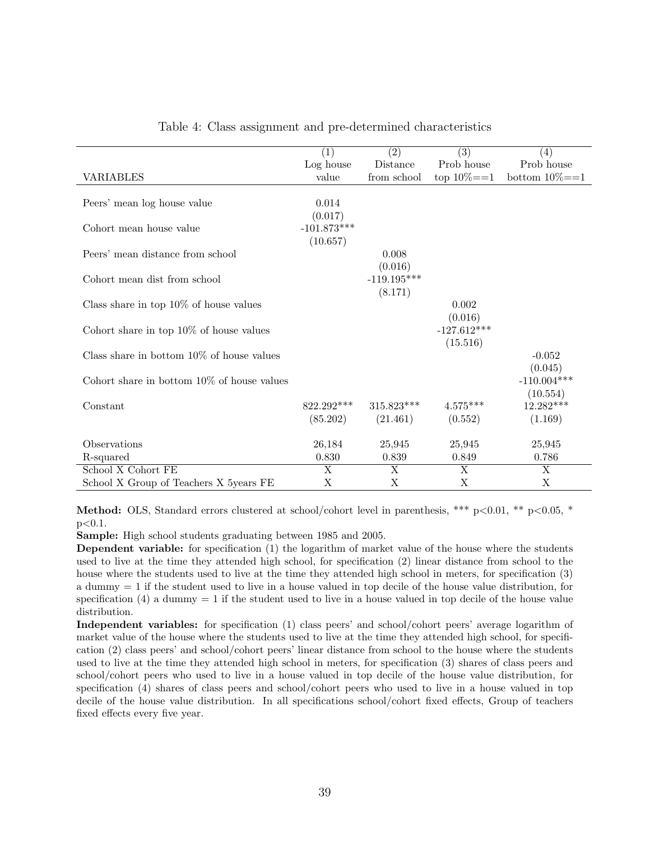<span id="page-40-0"></span>

|                                               | (1)                     | (2)           | $\overline{(3)}$ | (4)               |
|-----------------------------------------------|-------------------------|---------------|------------------|-------------------|
|                                               | Log house               | Distance      | Prob house       | Prob house        |
| <b>VARIABLES</b>                              | value                   | from school   | top $10\% = 1$   | bottom $10\%{=}1$ |
|                                               |                         |               |                  |                   |
| Peers' mean log house value                   | 0.014                   |               |                  |                   |
|                                               | (0.017)                 |               |                  |                   |
| Cohort mean house value                       | $-101.873***$           |               |                  |                   |
|                                               | (10.657)                |               |                  |                   |
|                                               |                         |               |                  |                   |
| Peers' mean distance from school              |                         | 0.008         |                  |                   |
|                                               |                         | (0.016)       |                  |                   |
| Cohort mean dist from school                  |                         | $-119.195***$ |                  |                   |
|                                               |                         | (8.171)       |                  |                   |
| Class share in top $10\%$ of house values     |                         |               | 0.002            |                   |
|                                               |                         |               | (0.016)          |                   |
| Cohort share in top $10\%$ of house values    |                         |               | $-127.612***$    |                   |
|                                               |                         |               | (15.516)         |                   |
| Class share in bottom $10\%$ of house values  |                         |               |                  | $-0.052$          |
|                                               |                         |               |                  | (0.045)           |
|                                               |                         |               |                  |                   |
| Cohort share in bottom $10\%$ of house values |                         |               |                  | $-110.004***$     |
|                                               |                         |               |                  | (10.554)          |
| Constant                                      | $822.292***$            | $315.823***$  | $4.575***$       | 12.282***         |
|                                               | (85.202)                | (21.461)      | (0.552)          | (1.169)           |
|                                               |                         |               |                  |                   |
| Observations                                  | 26,184                  | 25,945        | 25,945           | 25,945            |
| R-squared                                     | 0.830                   | 0.839         | 0.849            | 0.786             |
| School X Cohort FE                            | $\overline{\mathbf{X}}$ | X             | X                | X                 |
| School X Group of Teachers X 5years FE        | X                       | X             | X                | X                 |

Table 4: Class assignment and pre-determined characteristics

**Method:** OLS, Standard errors clustered at school/cohort level in parenthesis, \*\*\*  $p<0.01$ , \*\*  $p<0.05$ , \* p<0.1.

Sample: High school students graduating between 1985 and 2005.

Dependent variable: for specification (1) the logarithm of market value of the house where the students used to live at the time they attended high school, for specification (2) linear distance from school to the house where the students used to live at the time they attended high school in meters, for specification (3) a dummy = 1 if the student used to live in a house valued in top decile of the house value distribution, for specification  $(4)$  a dummy  $= 1$  if the student used to live in a house valued in top decile of the house value distribution.

Independent variables: for specification (1) class peers' and school/cohort peers' average logarithm of market value of the house where the students used to live at the time they attended high school, for specification (2) class peers' and school/cohort peers' linear distance from school to the house where the students used to live at the time they attended high school in meters, for specification (3) shares of class peers and school/cohort peers who used to live in a house valued in top decile of the house value distribution, for specification (4) shares of class peers and school/cohort peers who used to live in a house valued in top decile of the house value distribution. In all specifications school/cohort fixed effects, Group of teachers fixed effects every five year.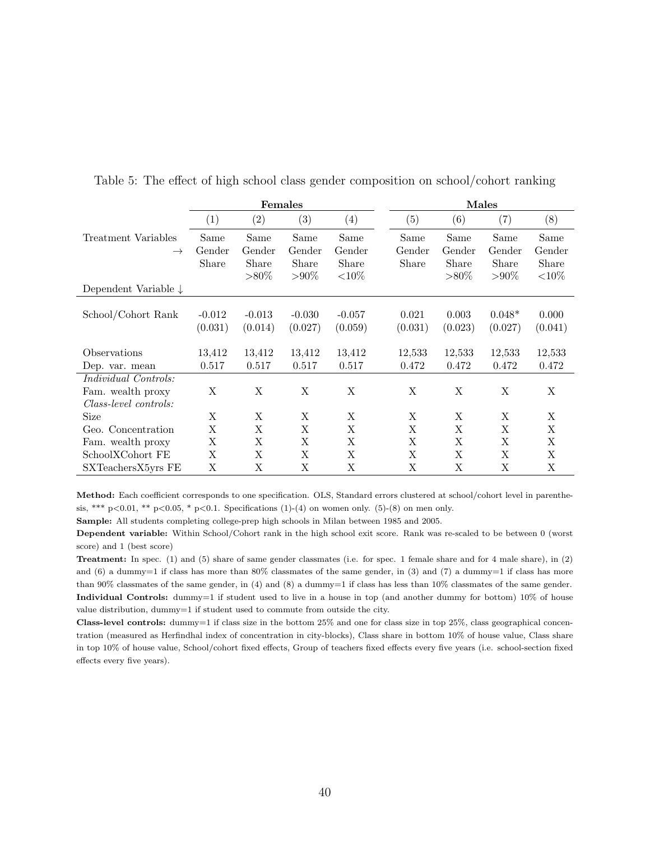<span id="page-41-0"></span>

|                                 |                   |          | <b>Females</b> |           | Males   |          |               |           |  |
|---------------------------------|-------------------|----------|----------------|-----------|---------|----------|---------------|-----------|--|
|                                 | $\left( 1\right)$ | (2)      | (3)            | (4)       | (5)     | (6)      | (7)           | (8)       |  |
| Treatment Variables             | Same              | Same     | Same           | Same      | Same    | Same     | Same          | Same      |  |
| $\rightarrow$                   | Gender            | Gender   | Gender         | Gender    | Gender  | Gender   | Gender        | Gender    |  |
|                                 | Share             | Share    | Share          | Share     | Share   | Share    | Share         | Share     |  |
|                                 |                   | $> 80\%$ | $> \!\! 90\%$  | ${<}10\%$ |         | $> 80\%$ | $> \!\! 90\%$ | ${<}10\%$ |  |
| Dependent Variable $\downarrow$ |                   |          |                |           |         |          |               |           |  |
| School/Cohort Rank              | $-0.012$          | $-0.013$ | $-0.030$       | $-0.057$  | 0.021   | 0.003    | $0.048*$      | 0.000     |  |
|                                 |                   |          |                |           |         |          |               |           |  |
|                                 | (0.031)           | (0.014)  | (0.027)        | (0.059)   | (0.031) | (0.023)  | (0.027)       | (0.041)   |  |
| Observations                    | 13,412            | 13,412   | 13,412         | 13,412    | 12,533  | 12,533   | 12,533        | 12,533    |  |
| Dep. var. mean                  | 0.517             | 0.517    | 0.517          | 0.517     | 0.472   | 0.472    | 0.472         | 0.472     |  |
| <i>Individual Controls:</i>     |                   |          |                |           |         |          |               |           |  |
| Fam. wealth proxy               | X                 | X        | X              | X         | X       | X        | X             | X         |  |
| Class-level controls:           |                   |          |                |           |         |          |               |           |  |
| Size                            | X                 | X        | X              | X         | X       | X        | X             | X         |  |
| Geo. Concentration              | Χ                 | Χ        | Χ              | X         | X       | X        | X             | X         |  |
| Fam. wealth proxy               | Χ                 | Χ        | Χ              | X         | Χ       | X        | X             | X         |  |
| SchoolXCohort FE                | Χ                 | X        | X              | X         | X       | X        | X             | X         |  |
| SXTeachersX5yrs FE              | Χ                 | Χ        | Χ              | Χ         | Χ       | X        | Χ             | Χ         |  |

Table 5: The effect of high school class gender composition on school/cohort ranking

Method: Each coefficient corresponds to one specification. OLS, Standard errors clustered at school/cohort level in parenthesis, \*\*\* p<0.01, \*\* p<0.05, \* p<0.1. Specifications (1)-(4) on women only. (5)-(8) on men only.

Sample: All students completing college-prep high schools in Milan between 1985 and 2005.

Dependent variable: Within School/Cohort rank in the high school exit score. Rank was re-scaled to be between 0 (worst score) and 1 (best score)

Treatment: In spec. (1) and (5) share of same gender classmates (i.e. for spec. 1 female share and for 4 male share), in (2) and  $(6)$  a dummy=1 if class has more than 80% classmates of the same gender, in  $(3)$  and  $(7)$  a dummy=1 if class has more than 90% classmates of the same gender, in (4) and (8) a dummy=1 if class has less than 10% classmates of the same gender. Individual Controls: dummy=1 if student used to live in a house in top (and another dummy for bottom) 10% of house value distribution, dummy=1 if student used to commute from outside the city.

**Class-level controls:** dummy=1 if class size in the bottom  $25\%$  and one for class size in top  $25\%$ , class geographical concentration (measured as Herfindhal index of concentration in city-blocks), Class share in bottom 10% of house value, Class share in top 10% of house value, School/cohort fixed effects, Group of teachers fixed effects every five years (i.e. school-section fixed effects every five years).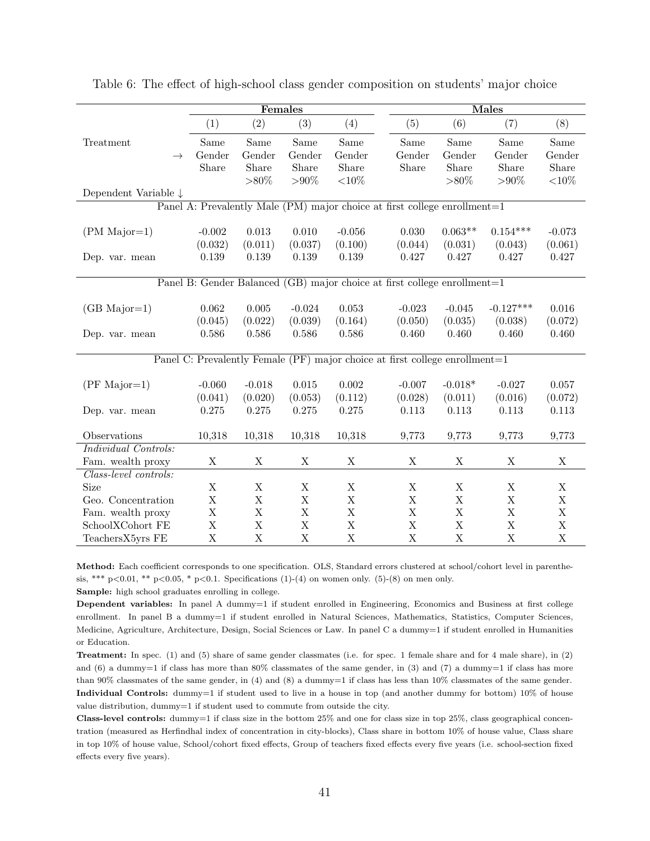<span id="page-42-0"></span>

|                                 |             | Females     |             |                                                                             |  | <b>Males</b> |             |             |             |
|---------------------------------|-------------|-------------|-------------|-----------------------------------------------------------------------------|--|--------------|-------------|-------------|-------------|
|                                 | (1)         | (2)         | (3)         | (4)                                                                         |  | (5)          | (6)         | (7)         | (8)         |
| Treatment                       | Same        | Same        | Same        | Same                                                                        |  | Same         | Same        | Same        | Same        |
| $\rightarrow$                   | Gender      | Gender      | Gender      | Gender                                                                      |  | Gender       | Gender      | Gender      | Gender      |
|                                 | Share       | Share       | Share       | Share                                                                       |  | Share        | Share       | Share       | Share       |
|                                 |             | $>80\%$     | $> 90\%$    | ${<}10\%$                                                                   |  |              | $> 80\%$    | $> 90\%$    | ${<}10\%$   |
| Dependent Variable $\downarrow$ |             |             |             |                                                                             |  |              |             |             |             |
|                                 |             |             |             | Panel A: Prevalently Male (PM) major choice at first college enrollment=1   |  |              |             |             |             |
| $(PM\ Major=1)$                 | $-0.002$    | $0.013\,$   | 0.010       | $-0.056$                                                                    |  | 0.030        | $0.063**$   | $0.154***$  | $-0.073$    |
|                                 | (0.032)     | (0.011)     | (0.037)     | (0.100)                                                                     |  | (0.044)      | (0.031)     | (0.043)     | (0.061)     |
| Dep. var. mean                  | 0.139       | 0.139       | 0.139       | 0.139                                                                       |  | 0.427        | 0.427       | 0.427       | 0.427       |
|                                 |             |             |             |                                                                             |  |              |             |             |             |
|                                 |             |             |             | Panel B: Gender Balanced (GB) major choice at first college enrollment=1    |  |              |             |             |             |
|                                 |             |             |             |                                                                             |  |              |             |             |             |
| $(GB\_{\text{Major}=1})$        | 0.062       | 0.005       | $-0.024$    | 0.053                                                                       |  | $-0.023$     | $-0.045$    | $-0.127***$ | 0.016       |
|                                 | (0.045)     | (0.022)     | (0.039)     | (0.164)                                                                     |  | (0.050)      | (0.035)     | (0.038)     | (0.072)     |
| Dep. var. mean                  | 0.586       | 0.586       | 0.586       | 0.586                                                                       |  | 0.460        | 0.460       | 0.460       | 0.460       |
|                                 |             |             |             | Panel C: Prevalently Female (PF) major choice at first college enrollment=1 |  |              |             |             |             |
|                                 |             |             |             |                                                                             |  |              |             |             |             |
| $(PF\ Major=1)$                 | $-0.060$    | $-0.018$    | $0.015\,$   | 0.002                                                                       |  | $-0.007$     | $-0.018*$   | $-0.027$    | 0.057       |
|                                 | (0.041)     | (0.020)     | (0.053)     | (0.112)                                                                     |  | (0.028)      | (0.011)     | (0.016)     | (0.072)     |
| Dep. var. mean                  | 0.275       | 0.275       | 0.275       | 0.275                                                                       |  | 0.113        | 0.113       | 0.113       | 0.113       |
| Observations                    | 10,318      | 10,318      | 10,318      | 10,318                                                                      |  | 9,773        | 9,773       | 9,773       | 9,773       |
| Individual Controls:            |             |             |             |                                                                             |  |              |             |             |             |
| Fam. wealth proxy               | X           | X           | $\mathbf X$ | $\mathbf X$                                                                 |  | $\mathbf X$  | $\mathbf X$ | X           | $\mathbf X$ |
| Class-level controls:           |             |             |             |                                                                             |  |              |             |             |             |
| Size                            | X           | X           | X           | X                                                                           |  | $\mathbf X$  | X           | X           | X           |
| Geo. Concentration              | X           | X           | $\mathbf X$ | $\mathbf X$                                                                 |  | $\mathbf X$  | $\mathbf X$ | $\mathbf X$ | $\mathbf X$ |
| Fam. wealth proxy               | X           | $\mathbf X$ | $\mathbf X$ | $\mathbf X$                                                                 |  | $\mathbf X$  | $\mathbf X$ | $\mathbf X$ | $\mathbf X$ |
| SchoolXCohort FE                | X           | $\bar{X}$   | $\rm X$     | $\mathbf X$                                                                 |  | $\bar{X}$    | $\mathbf X$ | $\mathbf X$ | $\mathbf X$ |
| TeachersX5yrs FE                | $\mathbf X$ | $\mathbf X$ | $\mathbf X$ | $\mathbf X$                                                                 |  | $\mathbf X$  | $\mathbf X$ | $\mathbf X$ | $\mathbf X$ |

Table 6: The effect of high-school class gender composition on students' major choice

Method: Each coefficient corresponds to one specification. OLS, Standard errors clustered at school/cohort level in parenthesis, \*\*\* p<0.01, \*\* p<0.05, \* p<0.1. Specifications (1)-(4) on women only. (5)-(8) on men only.

Sample: high school graduates enrolling in college.

Dependent variables: In panel A dummy=1 if student enrolled in Engineering, Economics and Business at first college enrollment. In panel B a dummy=1 if student enrolled in Natural Sciences, Mathematics, Statistics, Computer Sciences, Medicine, Agriculture, Architecture, Design, Social Sciences or Law. In panel C a dummy=1 if student enrolled in Humanities or Education.

Treatment: In spec. (1) and (5) share of same gender classmates (i.e. for spec. 1 female share and for 4 male share), in (2) and  $(6)$  a dummy=1 if class has more than 80% classmates of the same gender, in  $(3)$  and  $(7)$  a dummy=1 if class has more than 90% classmates of the same gender, in (4) and (8) a dummy=1 if class has less than 10% classmates of the same gender. Individual Controls: dummy=1 if student used to live in a house in top (and another dummy for bottom) 10% of house value distribution, dummy=1 if student used to commute from outside the city.

Class-level controls: dummy=1 if class size in the bottom 25% and one for class size in top 25%, class geographical concentration (measured as Herfindhal index of concentration in city-blocks), Class share in bottom 10% of house value, Class share in top 10% of house value, School/cohort fixed effects, Group of teachers fixed effects every five years (i.e. school-section fixed effects every five years).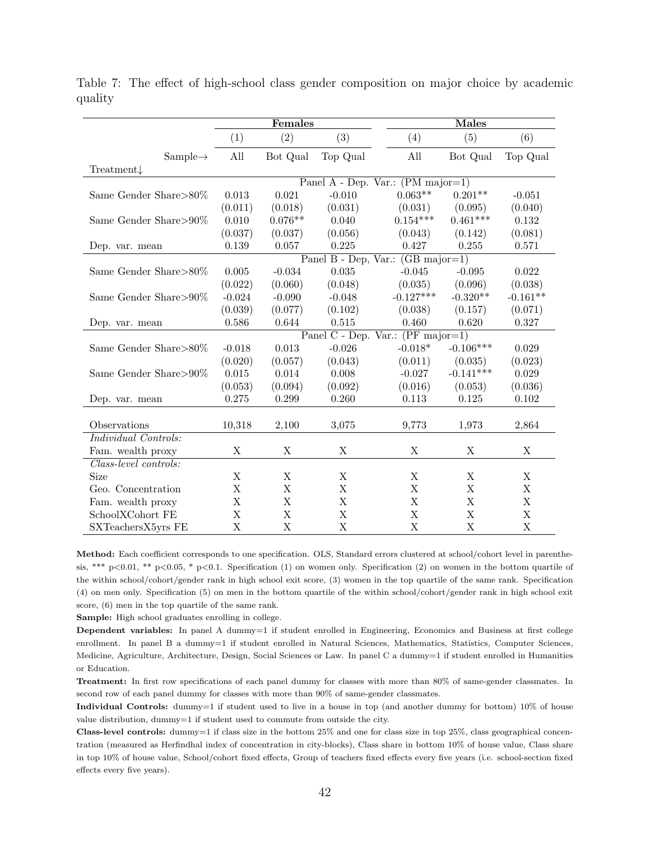<span id="page-43-0"></span>

|                       |          | Females   |          |                                             | <b>Males</b> |             |  |  |
|-----------------------|----------|-----------|----------|---------------------------------------------|--------------|-------------|--|--|
|                       | (1)      | (2)       | (3)      | (4)                                         | (5)          | (6)         |  |  |
| $Sample \rightarrow$  | All      | Bot Qual  | Top Qual | All                                         | Bot Qual     | Top Qual    |  |  |
| $Treatment\downarrow$ |          |           |          |                                             |              |             |  |  |
|                       |          |           |          | Panel A - Dep. Var.: (PM major=1)           |              |             |  |  |
| Same Gender Share>80% | 0.013    | 0.021     | $-0.010$ | $0.063**$                                   | $0.201**$    | $-0.051$    |  |  |
|                       | (0.011)  | (0.018)   | (0.031)  | (0.031)                                     | (0.095)      | (0.040)     |  |  |
| Same Gender Share>90% | 0.010    | $0.076**$ | 0.040    | $0.154***$                                  | $0.461***$   | 0.132       |  |  |
|                       | (0.037)  | (0.037)   | (0.056)  | (0.043)                                     | (0.142)      | (0.081)     |  |  |
| Dep. var. mean        | 0.139    | 0.057     | 0.225    | 0.427                                       | 0.255        | 0.571       |  |  |
|                       |          |           |          | Panel B - Dep, Var.: $(GB \text{ major}=1)$ |              |             |  |  |
| Same Gender Share>80% | 0.005    | $-0.034$  | 0.035    | $-0.045$                                    | $-0.095$     | 0.022       |  |  |
|                       | (0.022)  | (0.060)   | (0.048)  | (0.035)                                     | (0.096)      | (0.038)     |  |  |
| Same Gender Share>90% | $-0.024$ | $-0.090$  | $-0.048$ | $-0.127***$                                 | $-0.320**$   | $-0.161**$  |  |  |
|                       | (0.039)  | (0.077)   | (0.102)  | (0.038)                                     | (0.157)      | (0.071)     |  |  |
| Dep. var. mean        | 0.586    | 0.644     | 0.515    | 0.460                                       | 0.620        | 0.327       |  |  |
|                       |          |           |          | Panel C - Dep. Var.: (PF major=1)           |              |             |  |  |
| Same Gender Share>80% | $-0.018$ | 0.013     | $-0.026$ | $-0.018*$                                   | $-0.106***$  | 0.029       |  |  |
|                       | (0.020)  | (0.057)   | (0.043)  | (0.011)                                     | (0.035)      | (0.023)     |  |  |
| Same Gender Share>90% | 0.015    | 0.014     | 0.008    | $-0.027$                                    | $-0.141***$  | 0.029       |  |  |
|                       | (0.053)  | (0.094)   | (0.092)  | (0.016)                                     | (0.053)      | (0.036)     |  |  |
| Dep. var. mean        | 0.275    | 0.299     | 0.260    | 0.113                                       | $0.125\,$    | 0.102       |  |  |
|                       |          |           |          |                                             |              |             |  |  |
| Observations          | 10,318   | 2,100     | 3,075    | 9,773                                       | 1,973        | 2,864       |  |  |
| Individual Controls:  |          |           |          |                                             |              |             |  |  |
| Fam. wealth proxy     | X        | Χ         | Χ        | Χ                                           | Х            | Χ           |  |  |
| Class-level controls: |          |           |          |                                             |              |             |  |  |
| Size                  | X        | Χ         | X        | X                                           | X            | Χ           |  |  |
| Geo. Concentration    | X        | Χ         | Χ        | X                                           | X            | Χ           |  |  |
| Fam. wealth proxy     | Χ        | X         | X        | X                                           | X            | X           |  |  |
| SchoolXCohort FE      | Χ        | Χ         | Χ        | Χ                                           | X            | X           |  |  |
| SXTeachersX5yrs FE    | X        | X         | X        | X                                           | X            | $\mathbf X$ |  |  |

Table 7: The effect of high-school class gender composition on major choice by academic quality

Method: Each coefficient corresponds to one specification. OLS, Standard errors clustered at school/cohort level in parenthesis, \*\*\* p<0.01, \*\* p<0.05, \* p<0.1. Specification (1) on women only. Specification (2) on women in the bottom quartile of the within school/cohort/gender rank in high school exit score, (3) women in the top quartile of the same rank. Specification (4) on men only. Specification (5) on men in the bottom quartile of the within school/cohort/gender rank in high school exit score, (6) men in the top quartile of the same rank.

Sample: High school graduates enrolling in college.

Dependent variables: In panel A dummy=1 if student enrolled in Engineering, Economics and Business at first college enrollment. In panel B a dummy=1 if student enrolled in Natural Sciences, Mathematics, Statistics, Computer Sciences, Medicine, Agriculture, Architecture, Design, Social Sciences or Law. In panel C a dummy=1 if student enrolled in Humanities or Education.

Treatment: In first row specifications of each panel dummy for classes with more than 80% of same-gender classmates. In second row of each panel dummy for classes with more than 90% of same-gender classmates.

Individual Controls: dummy=1 if student used to live in a house in top (and another dummy for bottom) 10% of house value distribution, dummy=1 if student used to commute from outside the city.

**Class-level controls:** dummy=1 if class size in the bottom  $25\%$  and one for class size in top  $25\%$ , class geographical concentration (measured as Herfindhal index of concentration in city-blocks), Class share in bottom 10% of house value, Class share in top 10% of house value, School/cohort fixed effects, Group of teachers fixed effects every five years (i.e. school-section fixed effects every five years).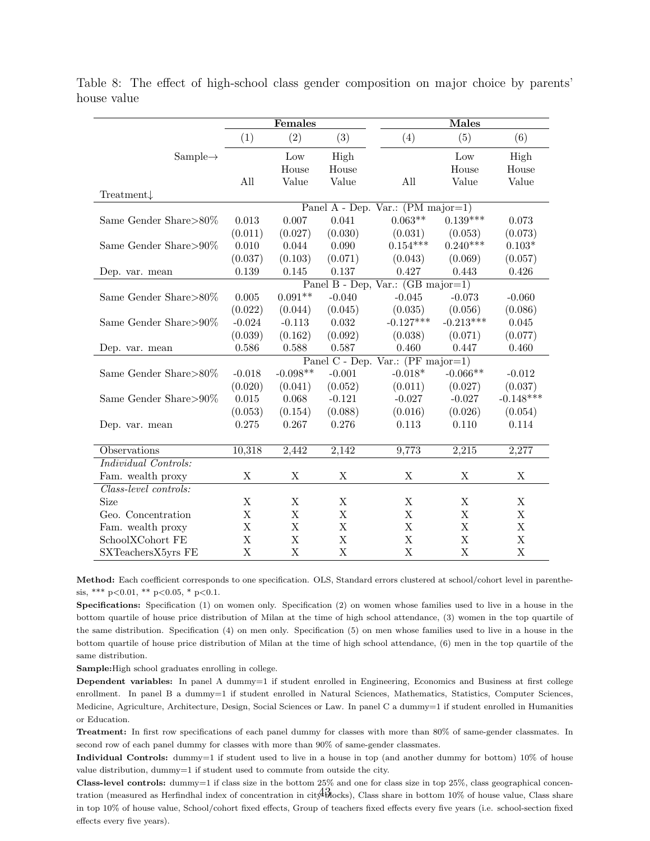<span id="page-44-0"></span>

|                        |          | Females     |             |                                             | <b>Males</b> |             |
|------------------------|----------|-------------|-------------|---------------------------------------------|--------------|-------------|
|                        | (1)      | (2)         | (3)         | (4)                                         | (5)          | (6)         |
| $Sample \rightarrow$   |          | Low         | High        |                                             | Low          | High        |
|                        |          | House       | House       |                                             | House        | House       |
|                        | All      | Value       | Value       | All                                         | Value        | Value       |
| Treatment $\downarrow$ |          |             |             |                                             |              |             |
|                        |          |             |             | Panel A - Dep. Var.: (PM major=1)           |              |             |
| Same Gender Share>80%  | 0.013    | 0.007       | 0.041       | $0.063**$                                   | $0.139***$   | 0.073       |
|                        | (0.011)  | (0.027)     | (0.030)     | (0.031)                                     | (0.053)      | (0.073)     |
| Same Gender Share>90%  | 0.010    | 0.044       | 0.090       | $0.154***$                                  | $0.240***$   | $0.103*$    |
|                        | (0.037)  | (0.103)     | (0.071)     | (0.043)                                     | (0.069)      | (0.057)     |
| Dep. var. mean         | 0.139    | 0.145       | 0.137       | 0.427                                       | 0.443        | 0.426       |
|                        |          |             |             | Panel B - Dep, Var.: $(GB \text{ major}=1)$ |              |             |
| Same Gender Share>80\% | 0.005    | $0.091**$   | $-0.040$    | $-0.045$                                    | $-0.073$     | $-0.060$    |
|                        | (0.022)  | (0.044)     | (0.045)     | (0.035)                                     | (0.056)      | (0.086)     |
| Same Gender Share>90%  | $-0.024$ | $-0.113$    | 0.032       | $-0.127***$                                 | $-0.213***$  | 0.045       |
|                        | (0.039)  | (0.162)     | (0.092)     | (0.038)                                     | (0.071)      | (0.077)     |
| Dep. var. mean         | 0.586    | 0.588       | 0.587       | 0.460                                       | 0.447        | 0.460       |
|                        |          |             |             | Panel C - Dep. Var.: (PF major=1)           |              |             |
| Same Gender Share>80%  | $-0.018$ | $-0.098**$  | $-0.001$    | $-0.018*$                                   | $-0.066**$   | $-0.012$    |
|                        | (0.020)  | (0.041)     | (0.052)     | (0.011)                                     | (0.027)      | (0.037)     |
| Same Gender Share>90%  | 0.015    | 0.068       | $-0.121$    | $-0.027$                                    | $-0.027$     | $-0.148***$ |
|                        | (0.053)  | (0.154)     | (0.088)     | (0.016)                                     | (0.026)      | (0.054)     |
| Dep. var. mean         | 0.275    | 0.267       | 0.276       | 0.113                                       | 0.110        | 0.114       |
|                        |          |             |             |                                             |              |             |
| Observations           | 10,318   | 2,442       | 2,142       | 9,773                                       | 2,215        | 2,277       |
| Individual Controls:   |          |             |             |                                             |              |             |
| Fam. wealth proxy      | X        | X           | X           | X                                           | X            | $\mathbf X$ |
| Class-level controls:  |          |             |             |                                             |              |             |
| Size                   | X        | Χ           | X           | X                                           | X            | X           |
| Geo. Concentration     | X        | $\mathbf X$ | X           | X                                           | X            | $\mathbf X$ |
| Fam. wealth proxy      | X        | Χ           | X           | X                                           | X            | X           |
| SchoolXCohort FE       | X        | Χ           | X           | X                                           | X            | X           |
| SXTeachersX5yrs FE     | X        | $\mathbf X$ | $\mathbf X$ | $\mathbf X$                                 | X            | $\mathbf X$ |

Table 8: The effect of high-school class gender composition on major choice by parents' house value

Method: Each coefficient corresponds to one specification. OLS, Standard errors clustered at school/cohort level in parenthesis, \*\*\*  $p<0.01$ , \*\*  $p<0.05$ , \*  $p<0.1$ .

Specifications: Specification (1) on women only. Specification (2) on women whose families used to live in a house in the bottom quartile of house price distribution of Milan at the time of high school attendance, (3) women in the top quartile of the same distribution. Specification (4) on men only. Specification (5) on men whose families used to live in a house in the bottom quartile of house price distribution of Milan at the time of high school attendance, (6) men in the top quartile of the same distribution.

Sample:High school graduates enrolling in college.

Dependent variables: In panel A dummy=1 if student enrolled in Engineering, Economics and Business at first college enrollment. In panel B a dummy=1 if student enrolled in Natural Sciences, Mathematics, Statistics, Computer Sciences, Medicine, Agriculture, Architecture, Design, Social Sciences or Law. In panel C a dummy=1 if student enrolled in Humanities or Education.

Treatment: In first row specifications of each panel dummy for classes with more than 80% of same-gender classmates. In second row of each panel dummy for classes with more than 90% of same-gender classmates.

Individual Controls: dummy=1 if student used to live in a house in top (and another dummy for bottom) 10% of house value distribution, dummy=1 if student used to commute from outside the city.

Class-level controls: dummy=1 if class size in the bottom 25% and one for class size in top 25%, class geographical concentration (measured as Herfindhal index of concentration in city  $\widehat{A}$ Blocks), Class share in bottom 10% of house value, Class share in top 10% of house value, School/cohort fixed effects, Group of teachers fixed effects every five years (i.e. school-section fixed effects every five years).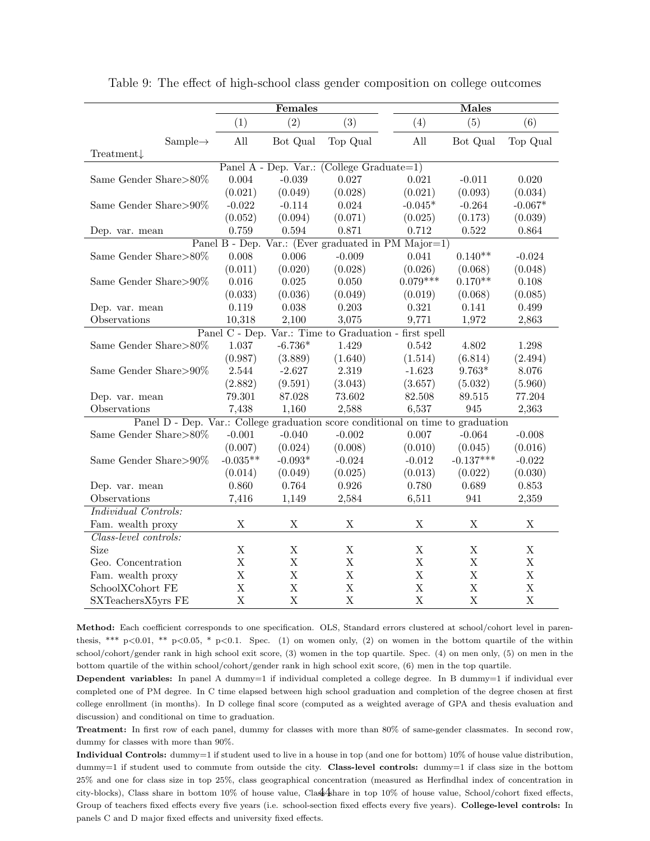<span id="page-45-0"></span>

|                                                                                 |                | Females     |                                           | <b>Males</b>                                        |             |             |  |
|---------------------------------------------------------------------------------|----------------|-------------|-------------------------------------------|-----------------------------------------------------|-------------|-------------|--|
|                                                                                 | (1)            | (2)         | (3)                                       | (4)                                                 | (5)         | (6)         |  |
| $Sample \rightarrow$                                                            | All            | Bot Qual    | Top Qual                                  | All                                                 | Bot Qual    | Top Qual    |  |
| Treatment $\downarrow$                                                          |                |             |                                           |                                                     |             |             |  |
|                                                                                 |                |             | Panel A - Dep. Var.: (College Graduate=1) |                                                     |             |             |  |
| Same Gender Share>80%                                                           | 0.004          | $-0.039$    | 0.027                                     | 0.021                                               | $-0.011$    | 0.020       |  |
|                                                                                 | (0.021)        | (0.049)     | (0.028)                                   | (0.021)                                             | (0.093)     | (0.034)     |  |
| Same Gender Share>90%                                                           | $-0.022$       | $-0.114$    | 0.024                                     | $-0.045*$                                           | $-0.264$    | $-0.067*$   |  |
|                                                                                 | (0.052)        | (0.094)     | (0.071)                                   | (0.025)                                             | (0.173)     | (0.039)     |  |
| Dep. var. mean                                                                  | 0.759          | 0.594       | 0.871                                     | 0.712                                               | 0.522       | 0.864       |  |
|                                                                                 |                |             |                                           | Panel B - Dep. Var.: (Ever graduated in PM Major=1) |             |             |  |
| Same Gender Share ${>}80\%$                                                     | 0.008          | 0.006       | $-0.009$                                  | 0.041                                               | $0.140**$   | $-0.024$    |  |
|                                                                                 | (0.011)        | (0.020)     | (0.028)                                   | (0.026)                                             | (0.068)     | (0.048)     |  |
| Same Gender Share>90%                                                           | $0.016\,$      | 0.025       | 0.050                                     | $0.079***$                                          | $0.170**$   | $0.108\,$   |  |
|                                                                                 | (0.033)        | (0.036)     | (0.049)                                   | (0.019)                                             | (0.068)     | (0.085)     |  |
| Dep. var. mean                                                                  | 0.119          | 0.038       | 0.203                                     | 0.321                                               | 0.141       | 0.499       |  |
| Observations                                                                    | 10,318         | 2,100       | 3,075                                     | 9,771                                               | 1,972       | 2,863       |  |
|                                                                                 | Panel C - Dep. |             |                                           | Var.: Time to Graduation - first spell              |             |             |  |
| Same Gender Share>80%                                                           | 1.037          | $-6.736*$   | 1.429                                     | 0.542                                               | 4.802       | 1.298       |  |
|                                                                                 | (0.987)        | (3.889)     | (1.640)                                   | (1.514)                                             | (6.814)     | (2.494)     |  |
| Same Gender Share>90%                                                           | 2.544          | $-2.627$    | 2.319                                     | $-1.623$                                            | $9.763*$    | 8.076       |  |
|                                                                                 | (2.882)        | (9.591)     | (3.043)                                   | (3.657)                                             | (5.032)     | (5.960)     |  |
| Dep. var. mean                                                                  | 79.301         | 87.028      | 73.602                                    | 82.508                                              | 89.515      | 77.204      |  |
| Observations                                                                    | 7,438          | 1,160       | 2,588                                     | 6,537                                               | 945         | 2,363       |  |
| Panel D - Dep. Var.: College graduation score conditional on time to graduation |                |             |                                           |                                                     |             |             |  |
| Same Gender Share>80%                                                           | $-0.001$       | $-0.040$    | $-0.002$                                  | 0.007                                               | $-0.064$    | $-0.008$    |  |
|                                                                                 | (0.007)        | (0.024)     | (0.008)                                   | (0.010)                                             | (0.045)     | (0.016)     |  |
| Same Gender Share>90%                                                           | $-0.035**$     | $-0.093*$   | $-0.024$                                  | $-0.012$                                            | $-0.137***$ | $-0.022$    |  |
|                                                                                 | (0.014)        | (0.049)     | (0.025)                                   | (0.013)                                             | (0.022)     | (0.030)     |  |
| Dep. var. mean                                                                  | 0.860          | 0.764       | 0.926                                     | 0.780                                               | 0.689       | 0.853       |  |
| Observations                                                                    | 7,416          | 1,149       | 2,584                                     | 6,511                                               | 941         | 2,359       |  |
| Individual Controls:                                                            |                |             |                                           |                                                     |             |             |  |
| Fam. wealth proxy                                                               | X              | X           | X                                         | X                                                   | X           | X           |  |
| Class-level controls:                                                           |                |             |                                           |                                                     |             |             |  |
| Size                                                                            | X              | X           | $\mathbf X$                               | X                                                   | $\mathbf X$ | X           |  |
| Geo. Concentration                                                              | X              | $\mathbf X$ | $\mathbf X$                               | $\boldsymbol{\mathrm{X}}$                           | $\mathbf X$ | $\mathbf X$ |  |
| Fam. wealth proxy                                                               | X              | $\mathbf X$ | X                                         | $\mathbf X$                                         | $\mathbf X$ | $\mathbf X$ |  |
| SchoolXCohort FE                                                                | X              | $\mathbf X$ | X                                         | $\mathbf X$                                         | $\mathbf X$ | $\mathbf X$ |  |
| SXTeachersX5yrs FE                                                              | X              | $\mathbf X$ | $\mathbf X$                               | $\mathbf X$                                         | $\mathbf X$ | $\mathbf X$ |  |

Table 9: The effect of high-school class gender composition on college outcomes

Method: Each coefficient corresponds to one specification. OLS, Standard errors clustered at school/cohort level in parenthesis, \*\*\* p<0.01, \*\* p<0.05, \* p<0.1. Spec. (1) on women only, (2) on women in the bottom quartile of the within school/cohort/gender rank in high school exit score, (3) women in the top quartile. Spec. (4) on men only, (5) on men in the bottom quartile of the within school/cohort/gender rank in high school exit score, (6) men in the top quartile.

Dependent variables: In panel A dummy=1 if individual completed a college degree. In B dummy=1 if individual ever completed one of PM degree. In C time elapsed between high school graduation and completion of the degree chosen at first college enrollment (in months). In D college final score (computed as a weighted average of GPA and thesis evaluation and discussion) and conditional on time to graduation.

Treatment: In first row of each panel, dummy for classes with more than 80% of same-gender classmates. In second row, dummy for classes with more than 90%.

Individual Controls: dummy=1 if student used to live in a house in top (and one for bottom) 10% of house value distribution, dummy=1 if student used to commute from outside the city. Class-level controls: dummy=1 if class size in the bottom 25% and one for class size in top 25%, class geographical concentration (measured as Herfindhal index of concentration in city-blocks), Class share in bottom 10% of house value, Class 4 hare in top 10% of house value, School/cohort fixed effects, Group of teachers fixed effects every five years (i.e. school-section fixed effects every five years). College-level controls: In panels C and D major fixed effects and university fixed effects.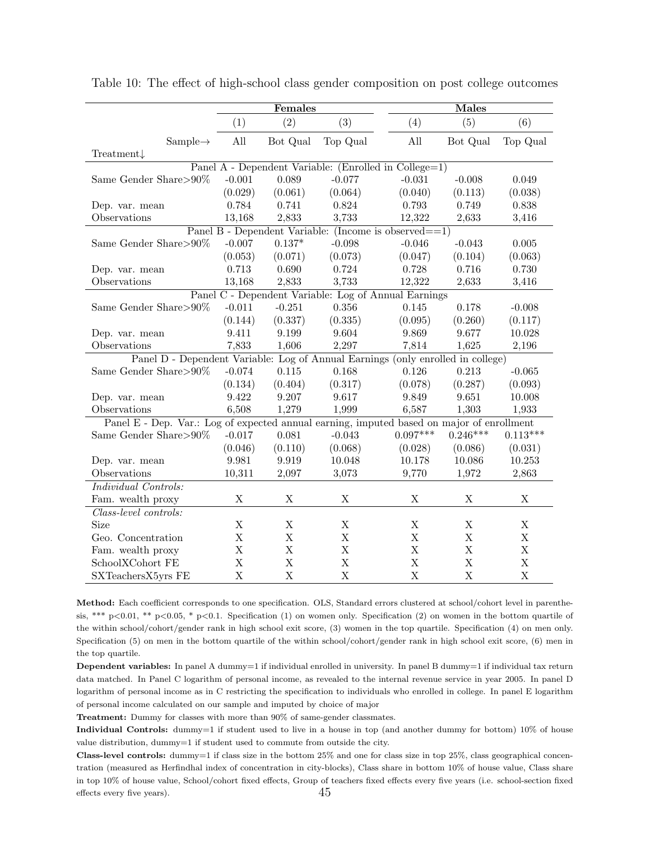<span id="page-46-0"></span>

|                                                                                           | Females     |             |             | <b>Males</b>                                              |             |             |  |
|-------------------------------------------------------------------------------------------|-------------|-------------|-------------|-----------------------------------------------------------|-------------|-------------|--|
|                                                                                           | (1)         | (2)         | (3)         | (4)                                                       | (5)         | (6)         |  |
| $Sample \rightarrow$                                                                      | All         | Bot Qual    | Top Qual    | All                                                       | Bot Qual    | Top Qual    |  |
| Treatment $\downarrow$                                                                    |             |             |             |                                                           |             |             |  |
|                                                                                           |             |             |             | Panel A - Dependent Variable: (Enrolled in College=1)     |             |             |  |
| Same Gender Share>90%                                                                     | $-0.001$    | 0.089       | $-0.077$    | $-0.031$                                                  | $-0.008$    | 0.049       |  |
|                                                                                           | (0.029)     | (0.061)     | (0.064)     | (0.040)                                                   | (0.113)     | (0.038)     |  |
| Dep. var. mean                                                                            | 0.784       | 0.741       | 0.824       | 0.793                                                     | 0.749       | 0.838       |  |
| Observations                                                                              | 13,168      | 2,833       | 3,733       | 12,322                                                    | 2,633       | 3,416       |  |
|                                                                                           |             |             |             | Panel B - Dependent Variable: (Income is observed $==1$ ) |             |             |  |
| Same Gender Share>90%                                                                     | $-0.007$    | $0.137*$    | $-0.098$    | $-0.046$                                                  | $-0.043$    | 0.005       |  |
|                                                                                           | (0.053)     | (0.071)     | (0.073)     | (0.047)                                                   | (0.104)     | (0.063)     |  |
| Dep. var. mean                                                                            | 0.713       | 0.690       | 0.724       | 0.728                                                     | 0.716       | 0.730       |  |
| Observations                                                                              | 13,168      | 2,833       | 3,733       | 12,322                                                    | 2,633       | 3,416       |  |
|                                                                                           |             |             |             | Panel C - Dependent Variable: Log of Annual Earnings      |             |             |  |
| Same Gender Share>90%                                                                     | $-0.011$    | $-0.251$    | 0.356       | 0.145                                                     | 0.178       | $-0.008$    |  |
|                                                                                           | (0.144)     | (0.337)     | (0.335)     | (0.095)                                                   | (0.260)     | (0.117)     |  |
| Dep. var. mean                                                                            | 9.411       | 9.199       | 9.604       | 9.869                                                     | 9.677       | 10.028      |  |
| Observations                                                                              | 7,833       | 1,606       | 2,297       | 7,814                                                     | 1,625       | 2,196       |  |
| Panel D - Dependent Variable: Log of Annual Earnings (only enrolled in college)           |             |             |             |                                                           |             |             |  |
| Same Gender Share>90%                                                                     | $-0.074$    | 0.115       | 0.168       | 0.126                                                     | 0.213       | $-0.065$    |  |
|                                                                                           | (0.134)     | (0.404)     | (0.317)     | (0.078)                                                   | (0.287)     | (0.093)     |  |
| Dep. var. mean                                                                            | 9.422       | 9.207       | 9.617       | 9.849                                                     | 9.651       | 10.008      |  |
| Observations                                                                              | 6,508       | 1,279       | 1,999       | 6,587                                                     | 1,303       | 1,933       |  |
| Panel E - Dep. Var.: Log of expected annual earning, imputed based on major of enrollment |             |             |             |                                                           |             |             |  |
| Same Gender Share>90%                                                                     | $-0.017$    | 0.081       | $-0.043$    | $0.097***$                                                | $0.246***$  | $0.113***$  |  |
|                                                                                           | (0.046)     | (0.110)     | (0.068)     | (0.028)                                                   | (0.086)     | (0.031)     |  |
| Dep. var. mean                                                                            | 9.981       | 9.919       | 10.048      | 10.178                                                    | 10.086      | 10.253      |  |
| Observations                                                                              | 10,311      | 2,097       | 3,073       | 9,770                                                     | 1,972       | 2,863       |  |
| Individual Controls:                                                                      |             |             |             |                                                           |             |             |  |
| Fam. wealth proxy                                                                         | $\mathbf X$ | $\mathbf X$ | $\mathbf X$ | $\mathbf X$                                               | $\mathbf X$ | $\mathbf X$ |  |
| Class-level controls:                                                                     |             |             |             |                                                           |             |             |  |
| Size                                                                                      | $\mathbf X$ | $\mathbf X$ | $\mathbf X$ | $\mathbf X$                                               | $\mathbf X$ | $\mathbf X$ |  |
| Geo. Concentration                                                                        | $\mathbf X$ | $\mathbf X$ | X           | $\mathbf X$                                               | $\mathbf X$ | X           |  |
| Fam. wealth proxy                                                                         | $\mathbf X$ | $\mathbf X$ | X           | $\mathbf X$                                               | $\mathbf X$ | X           |  |
| SchoolXCohort FE                                                                          | X           | $\mathbf X$ | $\mathbf X$ | X                                                         | X           | X           |  |
| SXTeachersX5yrs FE                                                                        | $\mathbf X$ | $\mathbf X$ | $\mathbf X$ | $\mathbf X$                                               | X           | X           |  |

Table 10: The effect of high-school class gender composition on post college outcomes

Method: Each coefficient corresponds to one specification. OLS, Standard errors clustered at school/cohort level in parenthesis, \*\*\* p<0.01, \*\* p<0.05, \* p<0.1. Specification (1) on women only. Specification (2) on women in the bottom quartile of the within school/cohort/gender rank in high school exit score, (3) women in the top quartile. Specification (4) on men only. Specification (5) on men in the bottom quartile of the within school/cohort/gender rank in high school exit score, (6) men in the top quartile.

Dependent variables: In panel A dummy=1 if individual enrolled in university. In panel B dummy=1 if individual tax return data matched. In Panel C logarithm of personal income, as revealed to the internal revenue service in year 2005. In panel D logarithm of personal income as in C restricting the specification to individuals who enrolled in college. In panel E logarithm of personal income calculated on our sample and imputed by choice of major

Treatment: Dummy for classes with more than 90% of same-gender classmates.

Individual Controls: dummy=1 if student used to live in a house in top (and another dummy for bottom) 10% of house value distribution, dummy=1 if student used to commute from outside the city.

Class-level controls: dummy=1 if class size in the bottom 25% and one for class size in top 25%, class geographical concentration (measured as Herfindhal index of concentration in city-blocks), Class share in bottom 10% of house value, Class share in top 10% of house value, School/cohort fixed effects, Group of teachers fixed effects every five years (i.e. school-section fixed effects every five years).  $45$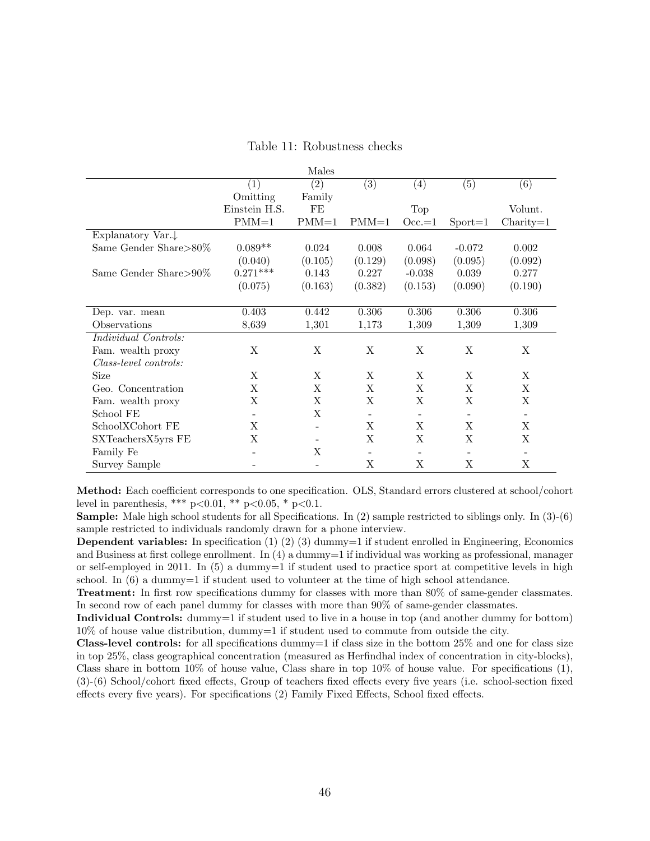<span id="page-47-0"></span>

|                               |                          | Males                    |                          |                          |                          |                          |
|-------------------------------|--------------------------|--------------------------|--------------------------|--------------------------|--------------------------|--------------------------|
|                               | (1)                      | (2)                      | (3)                      | $\left( 4\right)$        | (5)                      | (6)                      |
|                               | Omitting                 | Family                   |                          |                          |                          |                          |
|                               | Einstein H.S.            | FE                       |                          | Top                      |                          | Volunt.                  |
|                               | $PMM=1$                  | $PMM=1$                  | $PMM=1$                  | $Occ=1$                  | $\text{Sports}=1$        | $Charity=1$              |
| Explanatory Var. $\downarrow$ |                          |                          |                          |                          |                          |                          |
| Same Gender Share>80%         | $0.089**$                | 0.024                    | 0.008                    | 0.064                    | $-0.072$                 | 0.002                    |
|                               | (0.040)                  | (0.105)                  | (0.129)                  | (0.098)                  | (0.095)                  | (0.092)                  |
| Same Gender Share>90\%        | $0.271***$               | 0.143                    | 0.227                    | $-0.038$                 | 0.039                    | 0.277                    |
|                               | (0.075)                  | (0.163)                  | (0.382)                  | (0.153)                  | (0.090)                  | (0.190)                  |
|                               |                          |                          |                          |                          |                          |                          |
| Dep. var. mean                | 0.403                    | 0.442                    | 0.306                    | 0.306                    | 0.306                    | 0.306                    |
| Observations                  | 8,639                    | 1,301                    | 1,173                    | 1,309                    | 1,309                    | 1,309                    |
| Individual Controls:          |                          |                          |                          |                          |                          |                          |
| Fam. wealth proxy             | X                        | X                        | X                        | X                        | X                        | X                        |
| Class-level controls:         |                          |                          |                          |                          |                          |                          |
| Size                          | X                        | X                        | X                        | X                        | X                        | X                        |
| Geo. Concentration            | X                        | X                        | X                        | X                        | X                        | X                        |
| Fam. wealth proxy             | X                        | X                        | X                        | X                        | X                        | X                        |
| School FE                     | $\overline{\phantom{a}}$ | X                        |                          |                          |                          | $\overline{\phantom{a}}$ |
| SchoolXCohort FE              | X                        | $\overline{\phantom{0}}$ | X                        | X                        | X                        | X                        |
| SXTeachersX5yrs FE            | X                        |                          | X                        | X                        | X                        | X                        |
| Family Fe                     | $\qquad \qquad$          | X                        | $\overline{\phantom{a}}$ | $\overline{\phantom{a}}$ | $\overline{\phantom{a}}$ | $\overline{\phantom{a}}$ |
| Survey Sample                 |                          | $\qquad \qquad -$        | X                        | X                        | X                        | X                        |

#### Table 11: Robustness checks

Method: Each coefficient corresponds to one specification. OLS, Standard errors clustered at school/cohort level in parenthesis, \*\*\*  $p<0.01$ , \*\*  $p<0.05$ , \*  $p<0.1$ .

Sample: Male high school students for all Specifications. In (2) sample restricted to siblings only. In (3)-(6) sample restricted to individuals randomly drawn for a phone interview.

**Dependent variables:** In specification  $(1)$   $(2)$   $(3)$  dummy=1 if student enrolled in Engineering, Economics and Business at first college enrollment. In (4) a dummy=1 if individual was working as professional, manager or self-employed in 2011. In  $(5)$  a dummy=1 if student used to practice sport at competitive levels in high school. In  $(6)$  a dummy=1 if student used to volunteer at the time of high school attendance.

Treatment: In first row specifications dummy for classes with more than 80% of same-gender classmates. In second row of each panel dummy for classes with more than 90% of same-gender classmates.

Individual Controls: dummy=1 if student used to live in a house in top (and another dummy for bottom) 10% of house value distribution, dummy=1 if student used to commute from outside the city.

**Class-level controls:** for all specifications dummy=1 if class size in the bottom  $25\%$  and one for class size in top 25%, class geographical concentration (measured as Herfindhal index of concentration in city-blocks), Class share in bottom  $10\%$  of house value, Class share in top  $10\%$  of house value. For specifications  $(1)$ , (3)-(6) School/cohort fixed effects, Group of teachers fixed effects every five years (i.e. school-section fixed effects every five years). For specifications (2) Family Fixed Effects, School fixed effects.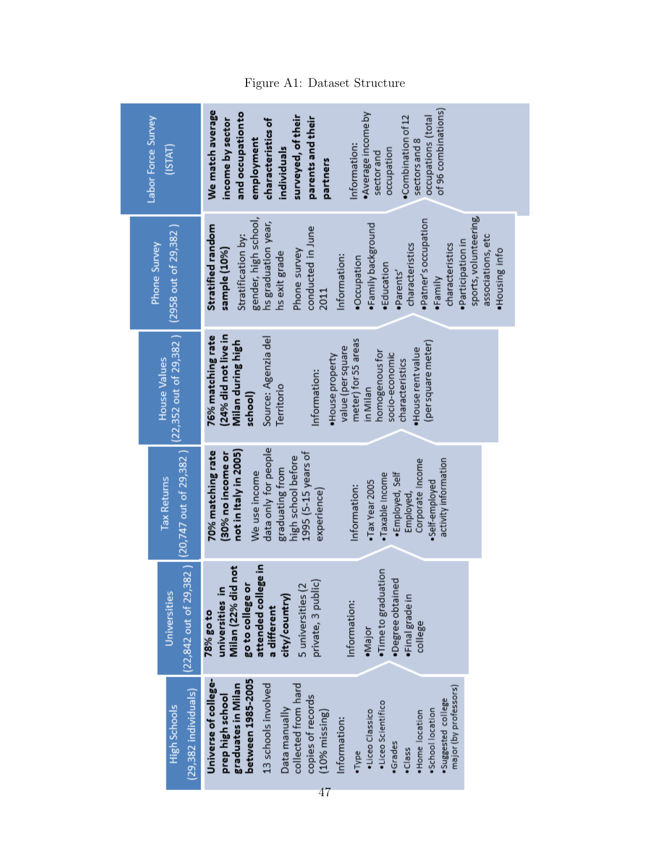| Labor Force Survey<br>(ISTAT)                                             | of 96 combinations)<br>We match average<br>and occupation to<br>·Average income by<br>surveyed, of their<br>•Combination of 12<br>occupations (total<br>parents and their<br>income by sector<br>characteristics of<br>employment<br>sectors and 8<br>Information:<br>occupation<br>individuals<br>sector and<br>partners                                                                                         |
|---------------------------------------------------------------------------|-------------------------------------------------------------------------------------------------------------------------------------------------------------------------------------------------------------------------------------------------------------------------------------------------------------------------------------------------------------------------------------------------------------------|
| (2958 out of 29,382)<br>Phone Survey                                      | sports, volunteering,<br>gender, high school,<br>·Patner's occupation<br>hs graduation year,<br>•Family background<br>Stratified random<br>conducted in June<br>Stratification by:<br>associations, etc<br>·Participation in<br>characteristics<br>characteristics<br>sample (10%)<br>.Housing info<br>Phone survey<br>hs exit grade<br>Information:<br>.Occupation<br>·Education<br>.Parents'<br>·Family<br>2011 |
| $(22,352$ out of $29,382$ )<br><b>House Values</b>                        | (24% did not live in<br>Source: Agenzia del<br>76% matching rate<br>meter) for 55 areas<br>Milan during high<br>(per square meter)<br>value (per square<br>·House rent value<br>homogenous for<br>socio-economic<br>·House property<br>characteristics<br>Information:<br>Territorio<br>in Milan<br>school)                                                                                                       |
| $(22,842$ out of 29,382 ) $(20,747$ out of 29,382 )<br><b>Tax Returns</b> | data only for people<br>not in Italy in 2005)<br>70% matching rate<br>1995 (5-15 years of<br>(30% no income or<br>high school before<br>activity information<br>Corporate Income<br>graduating from<br>We use income<br>·Employed, Self<br>·Taxable Income<br>.Tax Year 2005<br>·Self-employed<br>Information:<br>experience)<br>Employed,                                                                        |
| Universities                                                              | attended college in<br>Milan (22% did not<br>·Time to graduation<br>·Degree obtained<br>private, 3 public)<br>universities in<br>go to college or<br>5 universities (2<br>city/country)<br>·Final grade in<br>Information:<br>a different<br>78% go to<br>college<br>·Major                                                                                                                                       |
| 9,382 individuals)<br>High Schools                                        | between 1985-2005<br>Universe of college-<br>3 schools involved<br>collected from hard<br>graduates in Milan<br>major (by professors)<br>copies of records<br>prep high school<br>·Suggested college<br>·Liceo Scientifico<br>Data manually<br>School location<br>·Liceo Classico<br>10% missing)<br>Home location<br>Information:<br>Grades<br>•Class<br>Type                                                    |

### Figure A1: Dataset Structure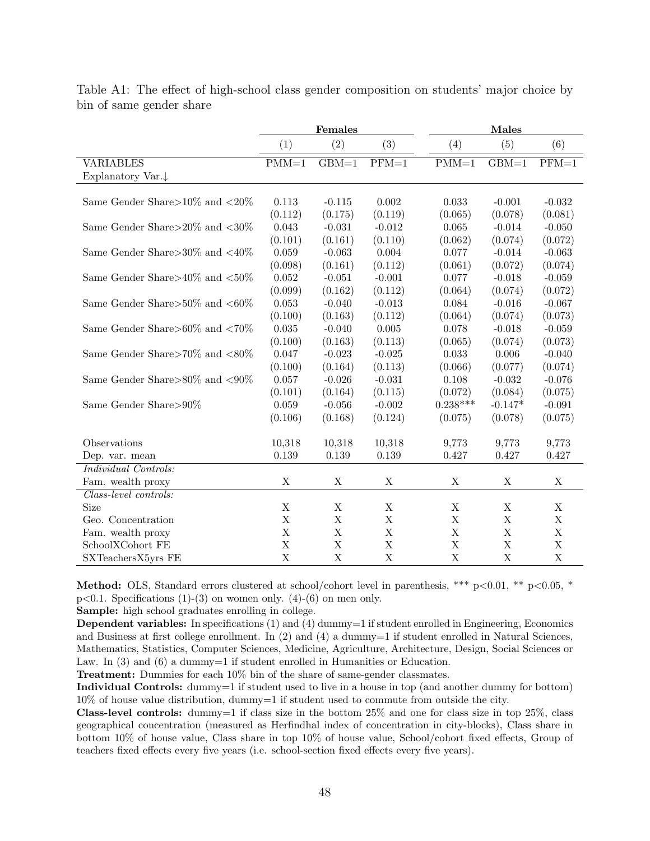<span id="page-49-0"></span>

|                                         | Females     |             |             | Males       |             |          |
|-----------------------------------------|-------------|-------------|-------------|-------------|-------------|----------|
|                                         | (1)         | (2)         | (3)         | (4)         | (5)         | (6)      |
| <b>VARIABLES</b>                        | $PMM=1$     | $GBM=1$     | $PFM=1$     | $PMM=1$     | $GBM=1$     | $PFM=1$  |
| Explanatory Var.↓                       |             |             |             |             |             |          |
|                                         |             |             |             |             |             |          |
| Same Gender Share $>10\%$ and $<\!20\%$ | 0.113       | $-0.115$    | 0.002       | 0.033       | $-0.001$    | $-0.032$ |
|                                         | (0.112)     | (0.175)     | (0.119)     | (0.065)     | (0.078)     | (0.081)  |
| Same Gender Share $>20\%$ and $<30\%$   | $\,0.043\,$ | $-0.031$    | $-0.012$    | 0.065       | $-0.014$    | $-0.050$ |
|                                         | (0.101)     | (0.161)     | (0.110)     | (0.062)     | (0.074)     | (0.072)  |
| Same Gender Share $>30\%$ and $<40\%$   | 0.059       | $-0.063$    | 0.004       | 0.077       | $-0.014$    | $-0.063$ |
|                                         | (0.098)     | (0.161)     | (0.112)     | (0.061)     | (0.072)     | (0.074)  |
| Same Gender Share $>40\%$ and $<50\%$   | $\,0.052\,$ | $-0.051$    | $-0.001$    | 0.077       | $-0.018$    | $-0.059$ |
|                                         | (0.099)     | (0.162)     | (0.112)     | (0.064)     | (0.074)     | (0.072)  |
| Same Gender Share $>50\%$ and $<60\%$   | 0.053       | $-0.040$    | $-0.013$    | 0.084       | $-0.016$    | $-0.067$ |
|                                         | (0.100)     | (0.163)     | (0.112)     | (0.064)     | (0.074)     | (0.073)  |
| Same Gender Share $>60\%$ and $<70\%$   | 0.035       | $-0.040$    | 0.005       | 0.078       | $-0.018$    | $-0.059$ |
|                                         | (0.100)     | (0.163)     | (0.113)     | (0.065)     | (0.074)     | (0.073)  |
| Same Gender Share $>70\%$ and $<80\%$   | 0.047       | $-0.023$    | $-0.025$    | 0.033       | 0.006       | $-0.040$ |
|                                         | (0.100)     | (0.164)     | (0.113)     | (0.066)     | (0.077)     | (0.074)  |
| Same Gender Share $>80\%$ and $< 90\%$  | 0.057       | $-0.026$    | $-0.031$    | 0.108       | $-0.032$    | $-0.076$ |
|                                         | (0.101)     | (0.164)     | (0.115)     | (0.072)     | (0.084)     | (0.075)  |
| Same Gender Share>90%                   | 0.059       | $-0.056$    | $-0.002$    | $0.238***$  | $-0.147*$   | $-0.091$ |
|                                         | (0.106)     | (0.168)     | (0.124)     | (0.075)     | (0.078)     | (0.075)  |
|                                         |             |             |             |             |             |          |
| Observations                            | 10,318      | 10,318      | 10,318      | 9,773       | 9,773       | 9,773    |
| Dep. var. mean                          | 0.139       | 0.139       | 0.139       | 0.427       | 0.427       | 0.427    |
| Individual Controls:                    |             |             |             |             |             |          |
| Fam. wealth proxy                       | X           | X           | Χ           | Χ           | X           | X        |
| Class-level controls:                   |             |             |             |             |             |          |
| <b>Size</b>                             | X           | $\mathbf X$ | X           | $\mathbf X$ | $\mathbf X$ | X        |
| Geo. Concentration                      | X           | $\mathbf X$ | $\mathbf X$ | $\mathbf X$ | $\mathbf X$ | X        |
| Fam. wealth proxy                       | $\mathbf X$ | $\mathbf X$ | X           | $\mathbf X$ | $\mathbf X$ | X        |
| SchoolXCohort FE                        | $\mathbf X$ | $\mathbf X$ | $\mathbf X$ | $\mathbf X$ | $\mathbf X$ | X        |
| SXTeachersX5yrs FE                      | $\mathbf X$ | $\mathbf X$ | $\mathbf X$ | $\mathbf X$ | $\mathbf X$ | X        |

Table A1: The effect of high-school class gender composition on students' major choice by bin of same gender share

**Method:** OLS, Standard errors clustered at school/cohort level in parenthesis, \*\*\*  $p<0.01$ , \*\*  $p<0.05$ , \*  $p<0.1$ . Specifications (1)-(3) on women only. (4)-(6) on men only.

Sample: high school graduates enrolling in college.

Dependent variables: In specifications (1) and (4) dummy=1 if student enrolled in Engineering, Economics and Business at first college enrollment. In (2) and (4) a dummy=1 if student enrolled in Natural Sciences, Mathematics, Statistics, Computer Sciences, Medicine, Agriculture, Architecture, Design, Social Sciences or Law. In  $(3)$  and  $(6)$  a dummy=1 if student enrolled in Humanities or Education.

Treatment: Dummies for each 10% bin of the share of same-gender classmates.

Individual Controls: dummy=1 if student used to live in a house in top (and another dummy for bottom) 10% of house value distribution, dummy=1 if student used to commute from outside the city.

Class-level controls: dummy=1 if class size in the bottom 25% and one for class size in top 25%, class geographical concentration (measured as Herfindhal index of concentration in city-blocks), Class share in bottom 10% of house value, Class share in top 10% of house value, School/cohort fixed effects, Group of teachers fixed effects every five years (i.e. school-section fixed effects every five years).